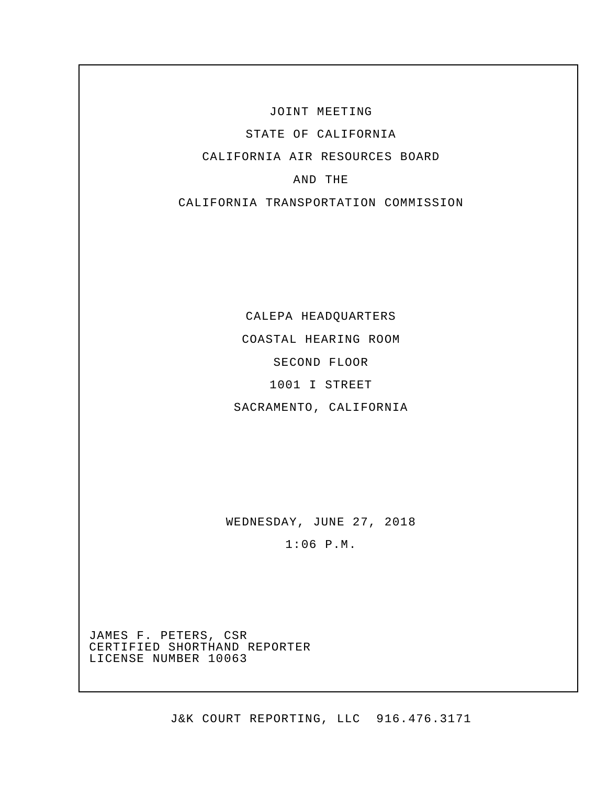JOINT MEETING

STATE OF CALIFORNIA

CALIFORNIA AIR RESOURCES BOARD

## AND THE

CALIFORNIA TRANSPORTATION COMMISSION

CALEPA HEADQUARTERS

COASTAL HEARING ROOM

SECOND FLOOR

1001 I STREET

SACRAMENTO, CALIFORNIA

WEDNESDAY, JUNE 27, 2018

1:06 P.M.

JAMES F. PETERS, CSR CERTIFIED SHORTHAND REPORTER LICENSE NUMBER 10063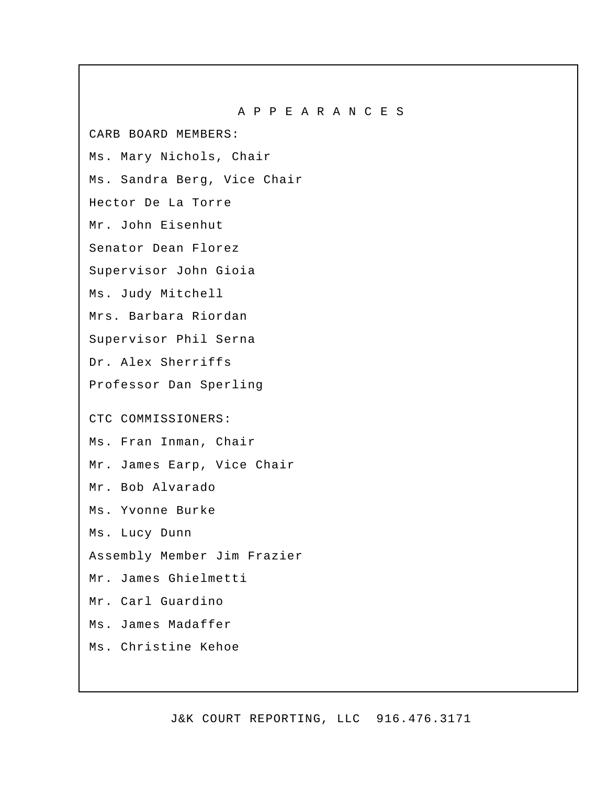A P P E A R A N C E S CARB BOARD MEMBERS: Ms. Mary Nichols, Chair Ms. Sandra Berg, Vice Chair Hector De La Torre Mr. John Eisenhut Senator Dean Florez Supervisor John Gioia Ms. Judy Mitchell Mrs. Barbara Riordan Supervisor Phil Serna Dr. Alex Sherriffs Professor Dan Sperling CTC COMMISSIONERS: Ms. Fran Inman, Chair Mr. James Earp, Vice Chair Mr. Bob Alvarado Ms. Yvonne Burke Ms. Lucy Dunn Assembly Member Jim Frazier Mr. James Ghielmetti Mr. Carl Guardino Ms. James Madaffer Ms. Christine Kehoe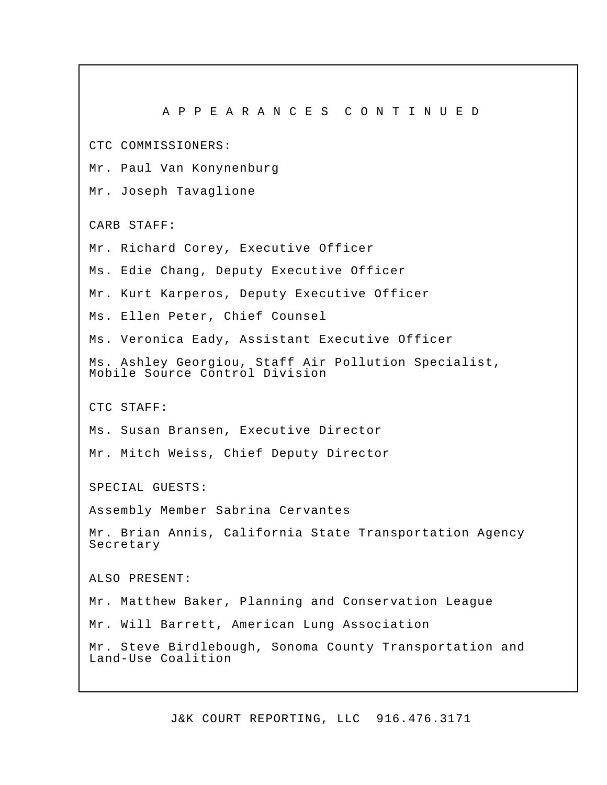A P P E A R A N C E S C O N T I N U E D CTC COMMISSIONERS: Mr. Paul Van Konynenburg Mr. Joseph Tavaglione CARB STAFF: Mr. Richard Corey, Executive Officer Ms. Edie Chang, Deputy Executive Officer Mr. Kurt Karperos, Deputy Executive Officer Ms. Ellen Peter, Chief Counsel Ms. Veronica Eady, Assistant Executive Officer Ms. Ashley Georgiou, Staff Air Pollution Specialist, Mobile Source Control Division CTC STAFF: Ms. Susan Bransen, Executive Director Mr. Mitch Weiss, Chief Deputy Director SPECIAL GUESTS: Assembly Member Sabrina Cervantes Mr. Brian Annis, California State Transportation Agency Secretary ALSO PRESENT: Mr. Matthew Baker, Planning and Conservation League Mr. Will Barrett, American Lung Association Mr. Steve Birdlebough, Sonoma County Transportation and Land-Use Coalition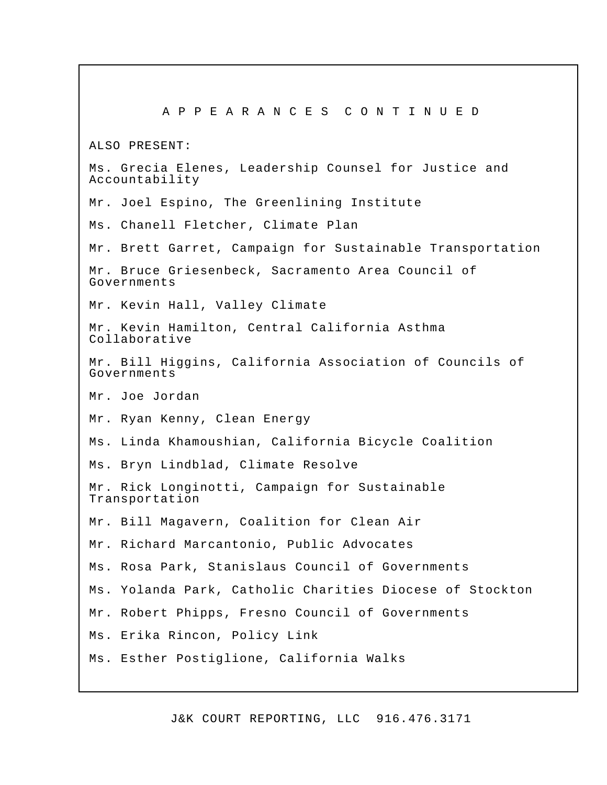A P P E A R A N C E S C O N T I N U E D ALSO PRESENT: Ms. Grecia Elenes, Leadership Counsel for Justice and Accountability Mr. Joel Espino, The Greenlining Institute Ms. Chanell Fletcher, Climate Plan Mr. Brett Garret, Campaign for Sustainable Transportation Mr. Bruce Griesenbeck, Sacramento Area Council of Governments Mr. Kevin Hall, Valley Climate Mr. Kevin Hamilton, Central California Asthma Collaborative Mr. Bill Higgins, California Association of Councils of Governments Mr. Joe Jordan Mr. Ryan Kenny, Clean Energy Ms. Linda Khamoushian, California Bicycle Coalition Ms. Bryn Lindblad, Climate Resolve Mr. Rick Longinotti, Campaign for Sustainable Transportation Mr. Bill Magavern, Coalition for Clean Air Mr. Richard Marcantonio, Public Advocates Ms. Rosa Park, Stanislaus Council of Governments Ms. Yolanda Park, Catholic Charities Diocese of Stockton Mr. Robert Phipps, Fresno Council of Governments Ms. Erika Rincon, Policy Link Ms. Esther Postiglione, California Walks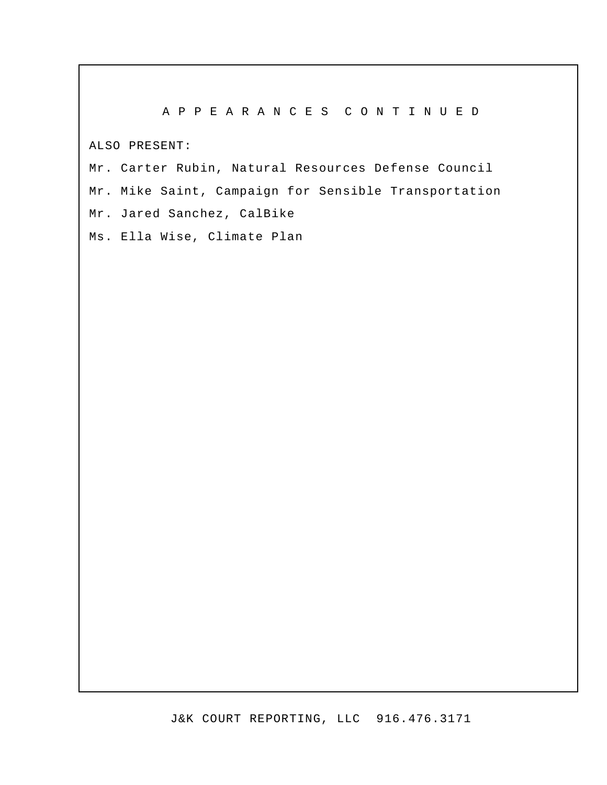### A P P E A R A N C E S C O N T I N U E D

ALSO PRESENT:

Mr. Carter Rubin, Natural Resources Defense Council Mr. Mike Saint, Campaign for Sensible Transportation Mr. Jared Sanchez, CalBike

Ms. Ella Wise, Climate Plan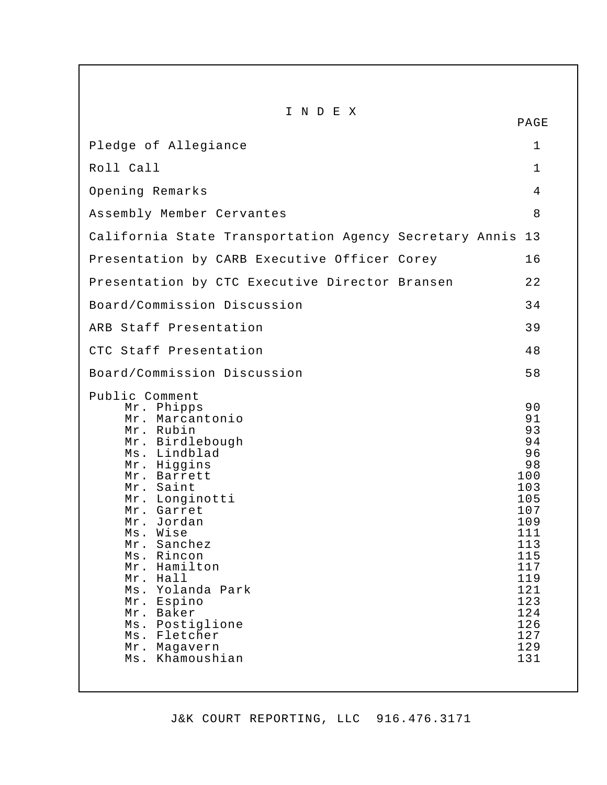| INDEX                                                                                                                                                                                                                                                                                                                                                                                                   | PAGE                                                                                                                                                    |
|---------------------------------------------------------------------------------------------------------------------------------------------------------------------------------------------------------------------------------------------------------------------------------------------------------------------------------------------------------------------------------------------------------|---------------------------------------------------------------------------------------------------------------------------------------------------------|
| Pledge of Allegiance                                                                                                                                                                                                                                                                                                                                                                                    | 1                                                                                                                                                       |
| Roll Call                                                                                                                                                                                                                                                                                                                                                                                               | $\mathbf{1}$                                                                                                                                            |
| Opening Remarks                                                                                                                                                                                                                                                                                                                                                                                         | 4                                                                                                                                                       |
| Assembly Member Cervantes                                                                                                                                                                                                                                                                                                                                                                               | 8                                                                                                                                                       |
| California State Transportation Agency Secretary Annis 13                                                                                                                                                                                                                                                                                                                                               |                                                                                                                                                         |
| Presentation by CARB Executive Officer Corey                                                                                                                                                                                                                                                                                                                                                            | 16                                                                                                                                                      |
| Presentation by CTC Executive Director Bransen                                                                                                                                                                                                                                                                                                                                                          | 22                                                                                                                                                      |
| Board/Commission Discussion                                                                                                                                                                                                                                                                                                                                                                             | 34                                                                                                                                                      |
| ARB Staff Presentation                                                                                                                                                                                                                                                                                                                                                                                  | 39                                                                                                                                                      |
| CTC Staff Presentation                                                                                                                                                                                                                                                                                                                                                                                  | 48                                                                                                                                                      |
| Board/Commission Discussion                                                                                                                                                                                                                                                                                                                                                                             | 58                                                                                                                                                      |
| Public Comment<br>Mr. Phipps<br>Mr. Marcantonio<br>Mr. Rubin<br>Mr. Birdlebough<br>Ms. Lindblad<br>Mr. Higgins<br>Mr. Barrett<br>Mr. Saint<br>Mr. Longinotti<br>Mr. Garret<br>Mr. Jordan<br>$Ms$ .<br>Wise<br>Sanchez<br>Mr.<br>Ms. Rincon<br>Mr. Hamilton<br>$Mr$ .<br>Hall<br>Ms. Yolanda Park<br>Mr. Espino<br>Mr. Baker<br>Postiglione<br>$Ms$ .<br>Ms. Fletcher<br>Mr. Magavern<br>Ms. Khamoushian | 90<br>91<br>93<br>94<br>96<br>98<br>100<br>103<br>105<br>107<br>109<br>111<br>113<br>115<br>117<br>119<br>121<br>123<br>124<br>126<br>127<br>129<br>131 |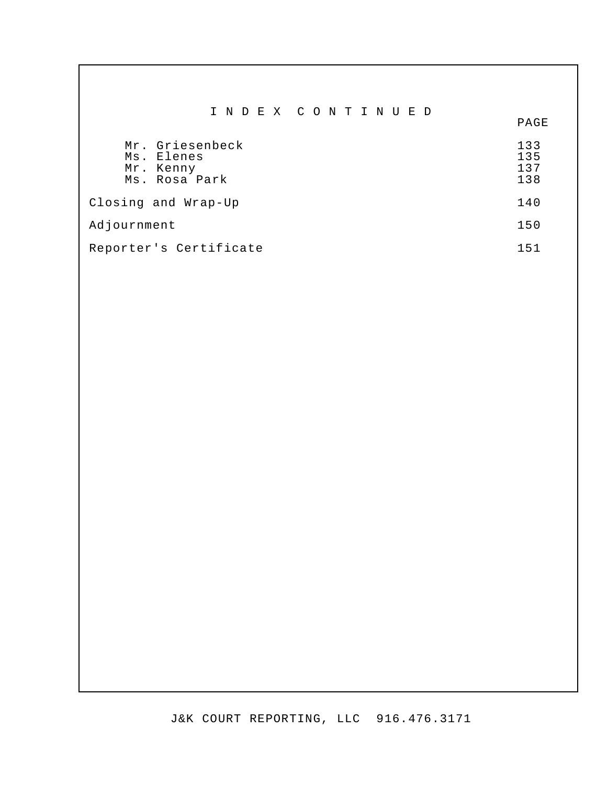|                                                             | I N D E X C O N T I N U E D | PAGE                     |
|-------------------------------------------------------------|-----------------------------|--------------------------|
| Mr. Griesenbeck<br>Ms. Elenes<br>Mr. Kenny<br>Ms. Rosa Park |                             | 133<br>135<br>137<br>138 |
| Closing and Wrap-Up                                         |                             | 140                      |
| Adjournment                                                 |                             | 150                      |
| Reporter's Certificate                                      |                             | 151                      |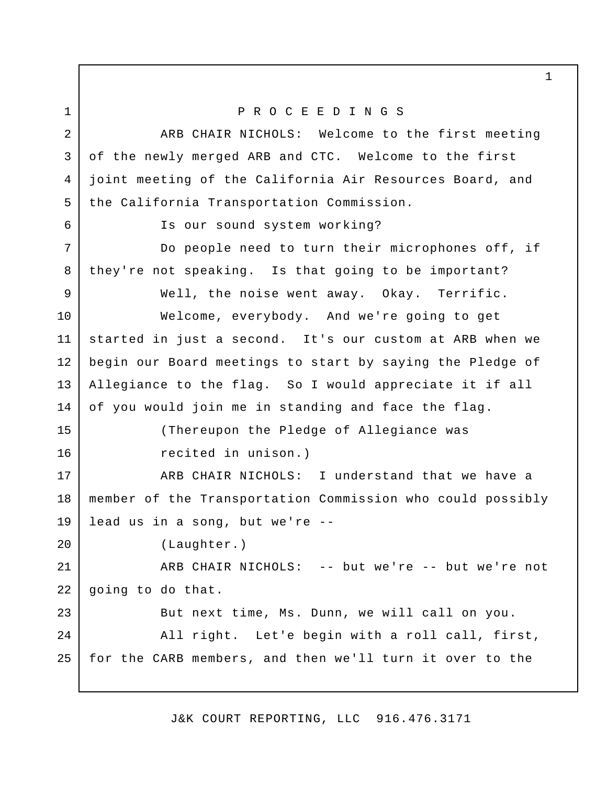P R O C E E D I N G S ARB CHAIR NICHOLS: Welcome to the first meeting of the newly merged ARB and CTC. Welcome to the first joint meeting of the California Air Resources Board, and the California Transportation Commission. Is our sound system working? Do people need to turn their microphones off, if they're not speaking. Is that going to be important? Well, the noise went away. Okay. Terrific. Welcome, everybody. And we're going to get started in just a second. It's our custom at ARB when we begin our Board meetings to start by saying the Pledge of Allegiance to the flag. So I would appreciate it if all of you would join me in standing and face the flag. (Thereupon the Pledge of Allegiance was recited in unison.) ARB CHAIR NICHOLS: I understand that we have a member of the Transportation Commission who could possibly lead us in a song, but we're -- (Laughter.) ARB CHAIR NICHOLS: -- but we're -- but we're not going to do that. But next time, Ms. Dunn, we will call on you. All right. Let'e begin with a roll call, first, for the CARB members, and then we'll turn it over to the 1 2 3 4 5 6 7 8 9 10 11 12 13 14 15 16 17 18 19 20 21 22 23 24 25

J&K COURT REPORTING, LLC 916.476.3171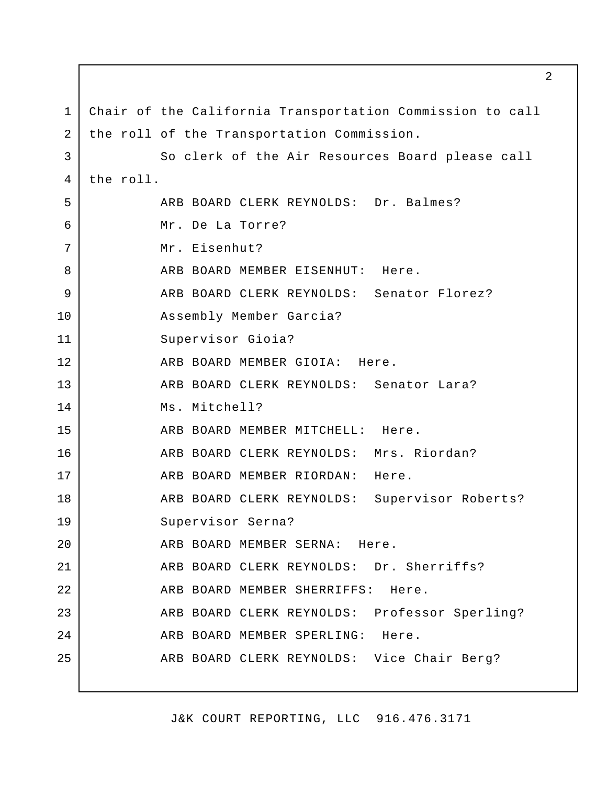Chair of the California Transportation Commission to call the roll of the Transportation Commission. So clerk of the Air Resources Board please call the roll. ARB BOARD CLERK REYNOLDS: Dr. Balmes? Mr. De La Torre? Mr. Eisenhut? ARB BOARD MEMBER EISENHUT: Here. ARB BOARD CLERK REYNOLDS: Senator Florez? Assembly Member Garcia? Supervisor Gioia? ARB BOARD MEMBER GIOIA: Here. ARB BOARD CLERK REYNOLDS: Senator Lara? Ms. Mitchell? ARB BOARD MEMBER MITCHELL: Here. ARB BOARD CLERK REYNOLDS: Mrs. Riordan? ARB BOARD MEMBER RIORDAN: Here. ARB BOARD CLERK REYNOLDS: Supervisor Roberts? Supervisor Serna? ARB BOARD MEMBER SERNA: Here. ARB BOARD CLERK REYNOLDS: Dr. Sherriffs? ARB BOARD MEMBER SHERRIFFS: Here. ARB BOARD CLERK REYNOLDS: Professor Sperling? ARB BOARD MEMBER SPERLING: Here. ARB BOARD CLERK REYNOLDS: Vice Chair Berg? 1 2 3 4 5 6 7 8 9 10 11 12 13 14 15 16 17 18 19 20 21 22 23 24 25

J&K COURT REPORTING, LLC 916.476.3171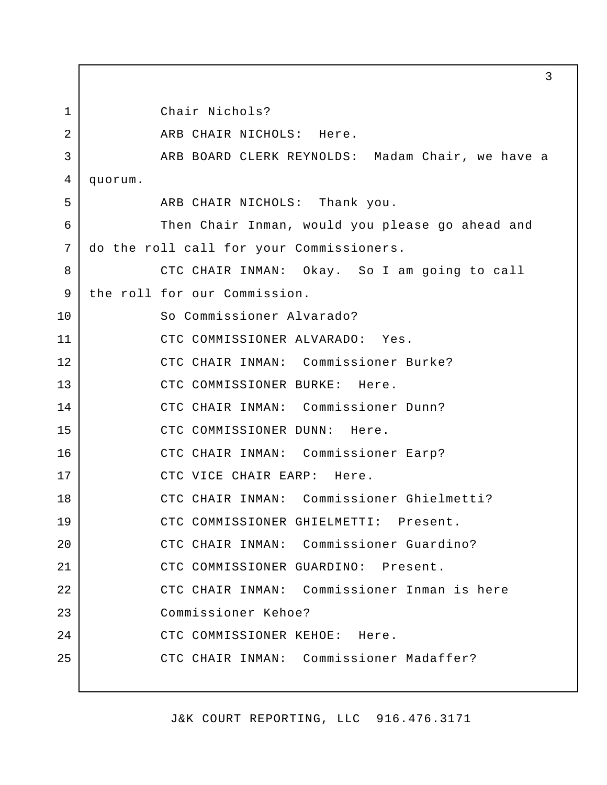Chair Nichols? ARB CHAIR NICHOLS: Here. ARB BOARD CLERK REYNOLDS: Madam Chair, we have a quorum. ARB CHAIR NICHOLS: Thank you. Then Chair Inman, would you please go ahead and do the roll call for your Commissioners. CTC CHAIR INMAN: Okay. So I am going to call the roll for our Commission. So Commissioner Alvarado? CTC COMMISSIONER ALVARADO: Yes. CTC CHAIR INMAN: Commissioner Burke? CTC COMMISSIONER BURKE: Here. CTC CHAIR INMAN: Commissioner Dunn? CTC COMMISSIONER DUNN: Here. CTC CHAIR INMAN: Commissioner Earp? CTC VICE CHAIR EARP: Here. CTC CHAIR INMAN: Commissioner Ghielmetti? CTC COMMISSIONER GHIELMETTI: Present. CTC CHAIR INMAN: Commissioner Guardino? CTC COMMISSIONER GUARDINO: Present. CTC CHAIR INMAN: Commissioner Inman is here Commissioner Kehoe? CTC COMMISSIONER KEHOE: Here. CTC CHAIR INMAN: Commissioner Madaffer? 1 2 3 4 5 6 7 8 9 10 11 12 13 14 15 16 17 18 19 20 21 22 23 24 25

J&K COURT REPORTING, LLC 916.476.3171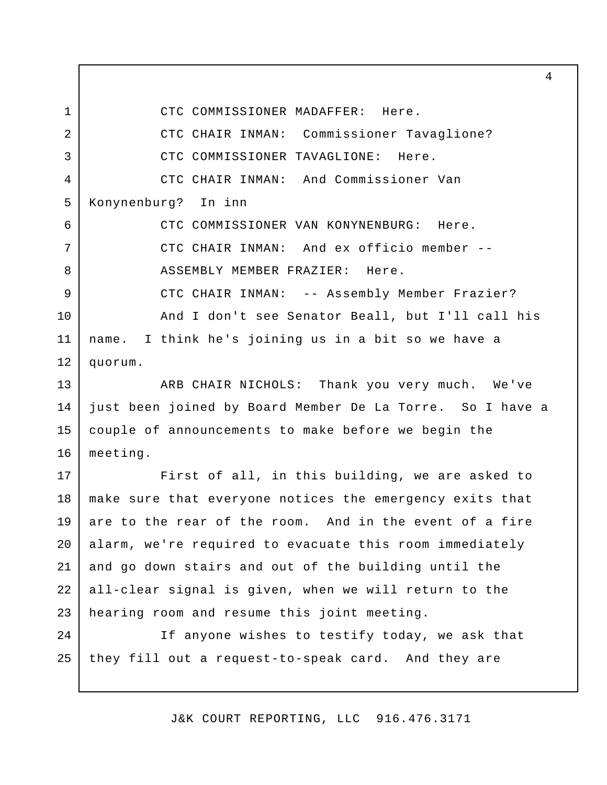CTC COMMISSIONER MADAFFER: Here.

1

CTC CHAIR INMAN: Commissioner Tavaglione? CTC COMMISSIONER TAVAGLIONE: Here. CTC CHAIR INMAN: And Commissioner Van Konynenburg? In inn CTC COMMISSIONER VAN KONYNENBURG: Here. CTC CHAIR INMAN: And ex officio member -- ASSEMBLY MEMBER FRAZIER: Here. CTC CHAIR INMAN: -- Assembly Member Frazier? And I don't see Senator Beall, but I'll call his name. I think he's joining us in a bit so we have a quorum. ARB CHAIR NICHOLS: Thank you very much. We've just been joined by Board Member De La Torre. So I have a couple of announcements to make before we begin the meeting. First of all, in this building, we are asked to make sure that everyone notices the emergency exits that are to the rear of the room. And in the event of a fire alarm, we're required to evacuate this room immediately and go down stairs and out of the building until the all-clear signal is given, when we will return to the hearing room and resume this joint meeting. If anyone wishes to testify today, we ask that they fill out a request-to-speak card. And they are 2 3 4 5 6 7 8 9 10 11 12 13 14 15 16 17 18 19 20 21 22 23  $2.4$ 25

J&K COURT REPORTING, LLC 916.476.3171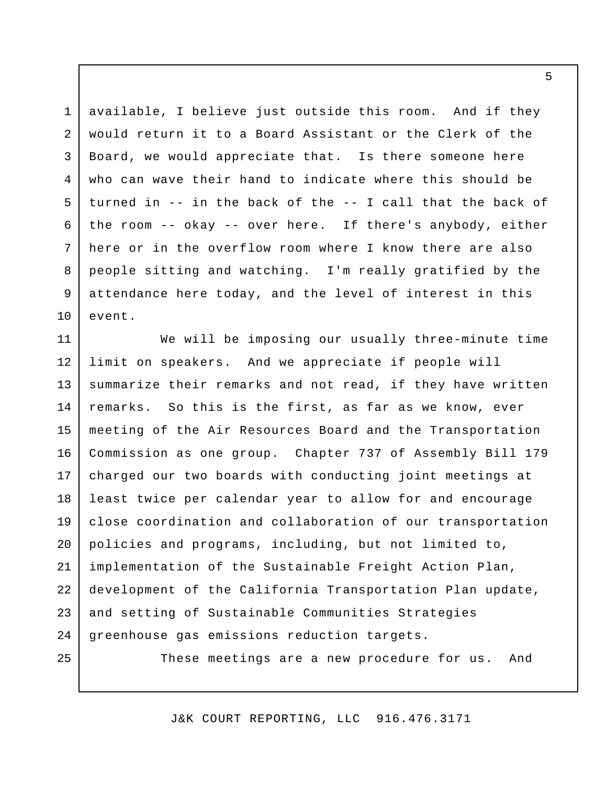available, I believe just outside this room. And if they would return it to a Board Assistant or the Clerk of the Board, we would appreciate that. Is there someone here who can wave their hand to indicate where this should be turned in -- in the back of the -- I call that the back of the room -- okay -- over here. If there's anybody, either here or in the overflow room where I know there are also people sitting and watching. I'm really gratified by the attendance here today, and the level of interest in this event. 1 2 3 4 5 6 7 8 9 10

We will be imposing our usually three-minute time limit on speakers. And we appreciate if people will summarize their remarks and not read, if they have written remarks. So this is the first, as far as we know, ever meeting of the Air Resources Board and the Transportation Commission as one group. Chapter 737 of Assembly Bill 179 charged our two boards with conducting joint meetings at least twice per calendar year to allow for and encourage close coordination and collaboration of our transportation policies and programs, including, but not limited to, implementation of the Sustainable Freight Action Plan, development of the California Transportation Plan update, and setting of Sustainable Communities Strategies greenhouse gas emissions reduction targets. These meetings are a new procedure for us. And 11 12 13 14 15 16 17 18 19 20 21 22 23 24 25

J&K COURT REPORTING, LLC 916.476.3171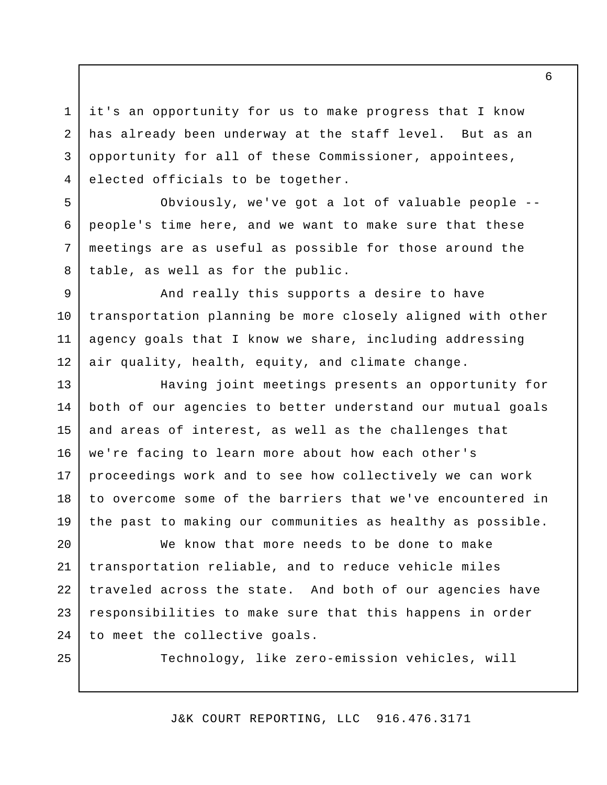it's an opportunity for us to make progress that I know has already been underway at the staff level. But as an opportunity for all of these Commissioner, appointees, elected officials to be together.

Obviously, we've got a lot of valuable people - people's time here, and we want to make sure that these meetings are as useful as possible for those around the table, as well as for the public.

And really this supports a desire to have transportation planning be more closely aligned with other agency goals that I know we share, including addressing air quality, health, equity, and climate change. 9 10 11 12

Having joint meetings presents an opportunity for both of our agencies to better understand our mutual goals and areas of interest, as well as the challenges that we're facing to learn more about how each other's proceedings work and to see how collectively we can work to overcome some of the barriers that we've encountered in the past to making our communities as healthy as possible. 13 14 15 16 17 18 19

We know that more needs to be done to make transportation reliable, and to reduce vehicle miles traveled across the state. And both of our agencies have responsibilities to make sure that this happens in order to meet the collective goals. 20 21 22 23 24

25

1

2

3

4

5

6

7

8

Technology, like zero-emission vehicles, will

J&K COURT REPORTING, LLC 916.476.3171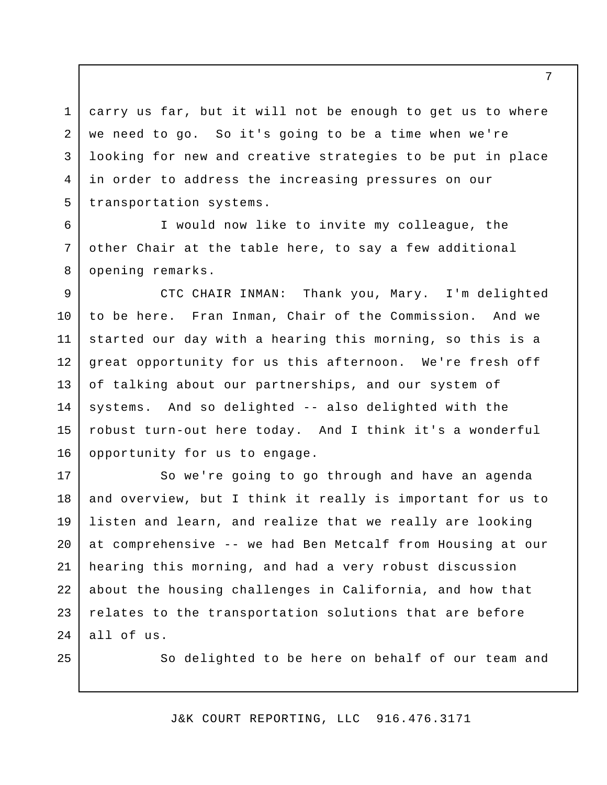carry us far, but it will not be enough to get us to where we need to go. So it's going to be a time when we're looking for new and creative strategies to be put in place in order to address the increasing pressures on our transportation systems. 1 2 3 4 5

I would now like to invite my colleague, the other Chair at the table here, to say a few additional opening remarks.

6

7

8

25

CTC CHAIR INMAN: Thank you, Mary. I'm delighted to be here. Fran Inman, Chair of the Commission. And we started our day with a hearing this morning, so this is a great opportunity for us this afternoon. We're fresh off of talking about our partnerships, and our system of systems. And so delighted -- also delighted with the robust turn-out here today. And I think it's a wonderful opportunity for us to engage. 9 10 11 12 13 14 15 16

So we're going to go through and have an agenda and overview, but I think it really is important for us to listen and learn, and realize that we really are looking at comprehensive -- we had Ben Metcalf from Housing at our hearing this morning, and had a very robust discussion about the housing challenges in California, and how that relates to the transportation solutions that are before all of us. 17 18 19 20 21 22 23  $2.4$ 

So delighted to be here on behalf of our team and

J&K COURT REPORTING, LLC 916.476.3171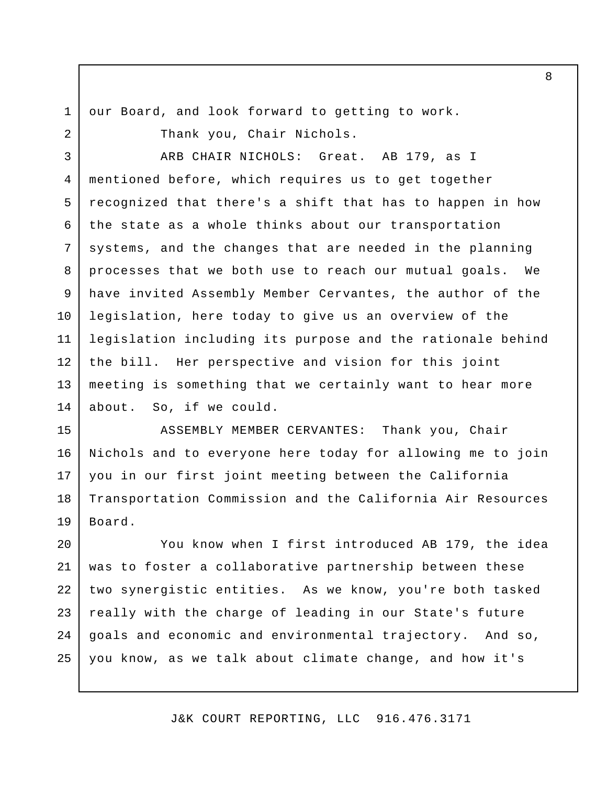1 2 our Board, and look forward to getting to work.

Thank you, Chair Nichols.

ARB CHAIR NICHOLS: Great. AB 179, as I mentioned before, which requires us to get together recognized that there's a shift that has to happen in how the state as a whole thinks about our transportation systems, and the changes that are needed in the planning processes that we both use to reach our mutual goals. We have invited Assembly Member Cervantes, the author of the legislation, here today to give us an overview of the legislation including its purpose and the rationale behind the bill. Her perspective and vision for this joint meeting is something that we certainly want to hear more about. So, if we could. 3 4 5 6 7 8 9 10 11 12 13 14

ASSEMBLY MEMBER CERVANTES: Thank you, Chair Nichols and to everyone here today for allowing me to join you in our first joint meeting between the California Transportation Commission and the California Air Resources Board. 15 16 17 18 19

You know when I first introduced AB 179, the idea was to foster a collaborative partnership between these two synergistic entities. As we know, you're both tasked really with the charge of leading in our State's future goals and economic and environmental trajectory. And so, you know, as we talk about climate change, and how it's 20 21 22 23 24 25

J&K COURT REPORTING, LLC 916.476.3171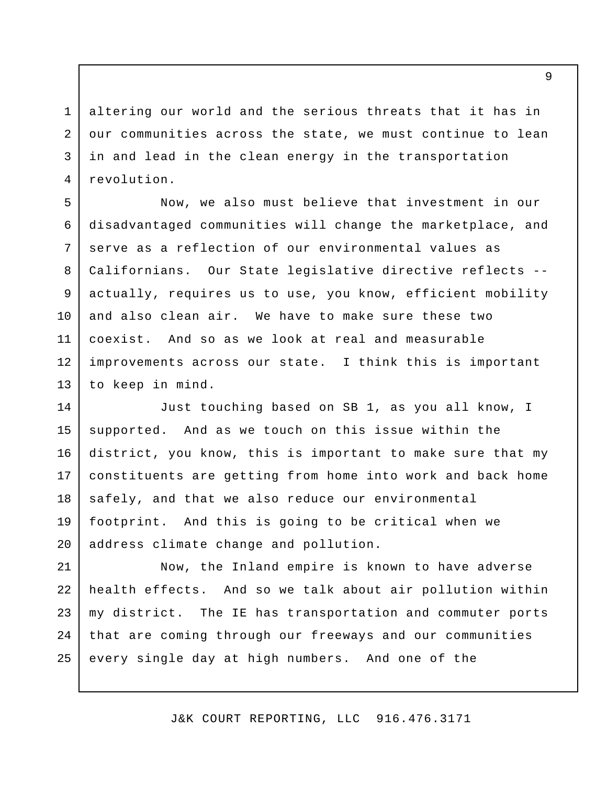altering our world and the serious threats that it has in our communities across the state, we must continue to lean in and lead in the clean energy in the transportation revolution. 3 4

1

2

Now, we also must believe that investment in our disadvantaged communities will change the marketplace, and serve as a reflection of our environmental values as Californians. Our State legislative directive reflects - actually, requires us to use, you know, efficient mobility and also clean air. We have to make sure these two coexist. And so as we look at real and measurable improvements across our state. I think this is important to keep in mind. 5 6 7 8 9 10 11 12 13

Just touching based on SB 1, as you all know, I supported. And as we touch on this issue within the district, you know, this is important to make sure that my constituents are getting from home into work and back home safely, and that we also reduce our environmental footprint. And this is going to be critical when we address climate change and pollution. 14 15 16 17 18 19 20

Now, the Inland empire is known to have adverse health effects. And so we talk about air pollution within my district. The IE has transportation and commuter ports that are coming through our freeways and our communities every single day at high numbers. And one of the 21 22 23 24 25

J&K COURT REPORTING, LLC 916.476.3171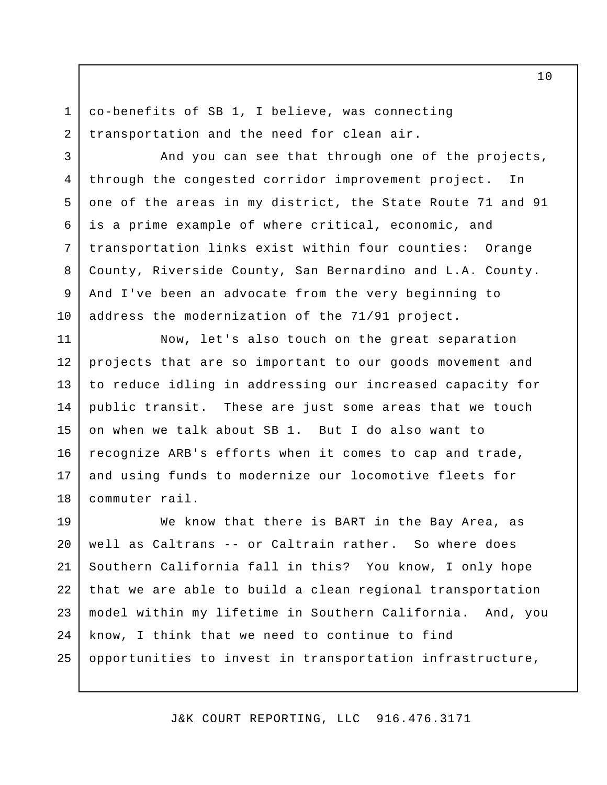co-benefits of SB 1, I believe, was connecting transportation and the need for clean air.

1

2

3

5

6

7

8

9

10

And you can see that through one of the projects, through the congested corridor improvement project. In one of the areas in my district, the State Route 71 and 91 is a prime example of where critical, economic, and transportation links exist within four counties: Orange County, Riverside County, San Bernardino and L.A. County. And I've been an advocate from the very beginning to address the modernization of the 71/91 project. 4

Now, let's also touch on the great separation projects that are so important to our goods movement and to reduce idling in addressing our increased capacity for public transit. These are just some areas that we touch on when we talk about SB 1. But I do also want to recognize ARB's efforts when it comes to cap and trade, and using funds to modernize our locomotive fleets for commuter rail. 11 12 13 14 15 16 17 18

We know that there is BART in the Bay Area, as well as Caltrans -- or Caltrain rather. So where does Southern California fall in this? You know, I only hope that we are able to build a clean regional transportation model within my lifetime in Southern California. And, you know, I think that we need to continue to find opportunities to invest in transportation infrastructure, 19 20 21 22 23 24 25

J&K COURT REPORTING, LLC 916.476.3171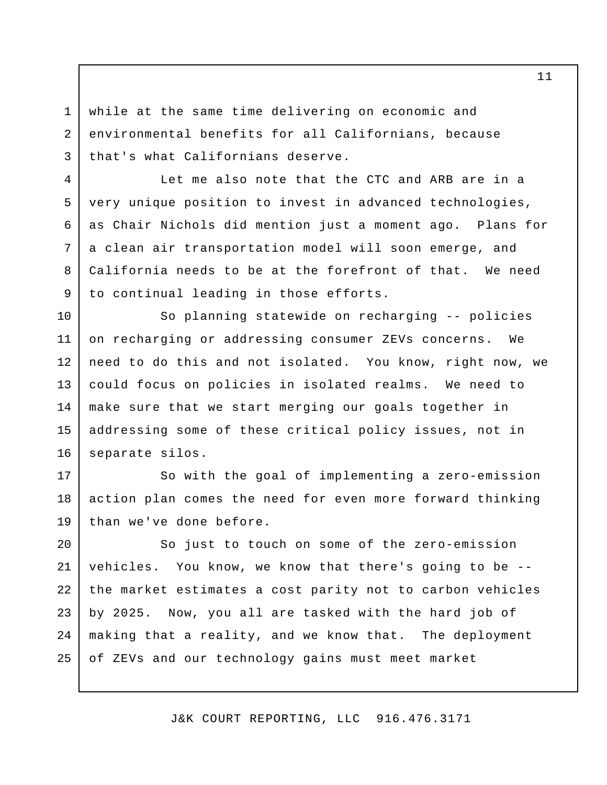while at the same time delivering on economic and environmental benefits for all Californians, because that's what Californians deserve.

1

2

3

4

5

6

7

8

9

Let me also note that the CTC and ARB are in a very unique position to invest in advanced technologies, as Chair Nichols did mention just a moment ago. Plans for a clean air transportation model will soon emerge, and California needs to be at the forefront of that. We need to continual leading in those efforts.

So planning statewide on recharging -- policies on recharging or addressing consumer ZEVs concerns. We need to do this and not isolated. You know, right now, we could focus on policies in isolated realms. We need to make sure that we start merging our goals together in addressing some of these critical policy issues, not in separate silos. 10 11 12 13 14 15 16

So with the goal of implementing a zero-emission action plan comes the need for even more forward thinking than we've done before. 17 18 19

So just to touch on some of the zero-emission vehicles. You know, we know that there's going to be - the market estimates a cost parity not to carbon vehicles by 2025. Now, you all are tasked with the hard job of making that a reality, and we know that. The deployment of ZEVs and our technology gains must meet market 20 21 22 23 24 25

J&K COURT REPORTING, LLC 916.476.3171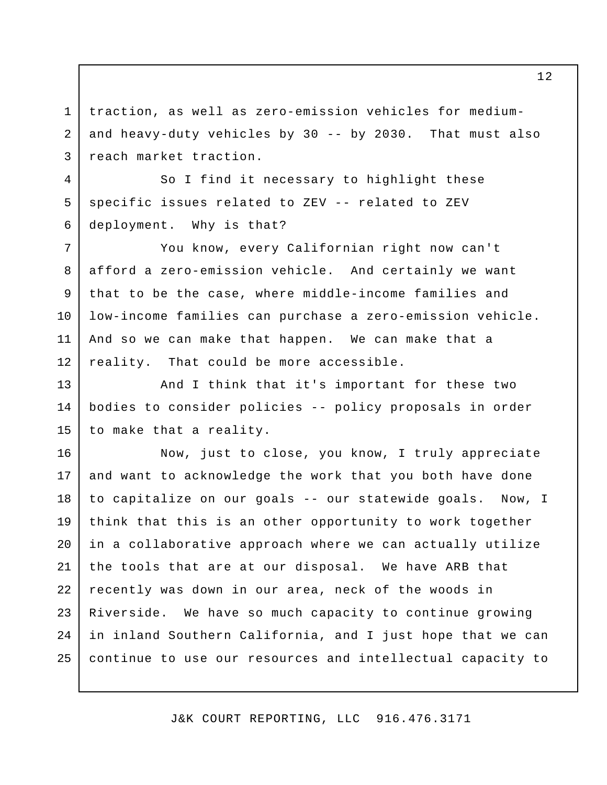traction, as well as zero-emission vehicles for mediumand heavy-duty vehicles by 30 -- by 2030. That must also reach market traction. 2 3

So I find it necessary to highlight these specific issues related to ZEV -- related to ZEV deployment. Why is that?

1

4

5

6

You know, every Californian right now can't afford a zero-emission vehicle. And certainly we want that to be the case, where middle-income families and low-income families can purchase a zero-emission vehicle. And so we can make that happen. We can make that a reality. That could be more accessible. 7 8 9 10 11 12

And I think that it's important for these two bodies to consider policies -- policy proposals in order to make that a reality. 13 14 15

Now, just to close, you know, I truly appreciate and want to acknowledge the work that you both have done to capitalize on our goals -- our statewide goals. Now, I think that this is an other opportunity to work together in a collaborative approach where we can actually utilize the tools that are at our disposal. We have ARB that recently was down in our area, neck of the woods in Riverside. We have so much capacity to continue growing in inland Southern California, and I just hope that we can continue to use our resources and intellectual capacity to 16 17 18 19 20 21 22 23 24 25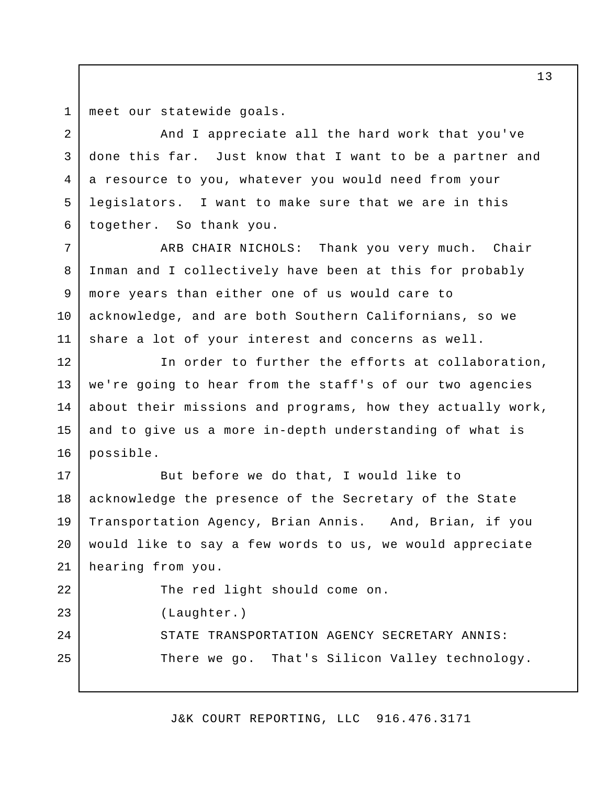meet our statewide goals. 1

2

3

5

6

And I appreciate all the hard work that you've done this far. Just know that I want to be a partner and a resource to you, whatever you would need from your legislators. I want to make sure that we are in this together. So thank you. 4

ARB CHAIR NICHOLS: Thank you very much. Chair Inman and I collectively have been at this for probably more years than either one of us would care to acknowledge, and are both Southern Californians, so we share a lot of your interest and concerns as well. 7 8 9 10 11

In order to further the efforts at collaboration, we're going to hear from the staff's of our two agencies about their missions and programs, how they actually work, and to give us a more in-depth understanding of what is possible. 12 13 14 15 16

But before we do that, I would like to acknowledge the presence of the Secretary of the State Transportation Agency, Brian Annis. And, Brian, if you would like to say a few words to us, we would appreciate hearing from you. 17 18 19 20 21

The red light should come on. (Laughter.) STATE TRANSPORTATION AGENCY SECRETARY ANNIS: There we go. That's Silicon Valley technology. 22 23 24 25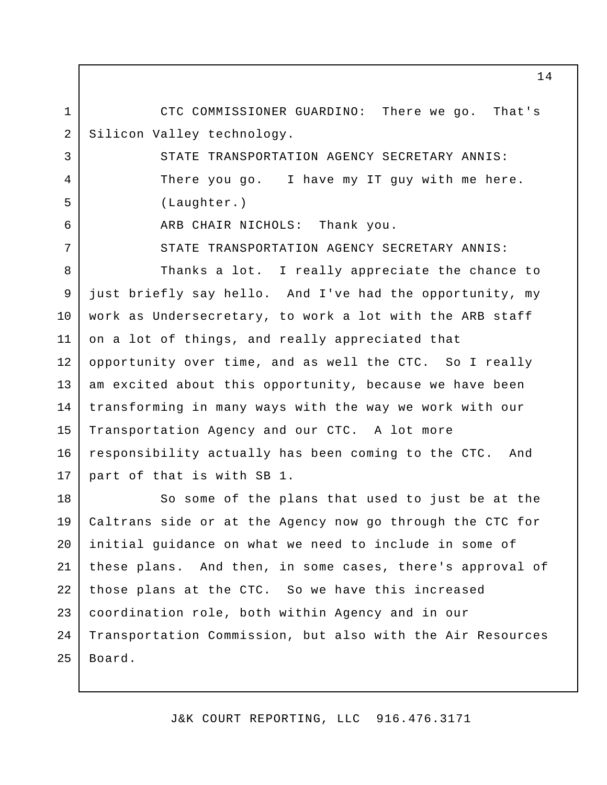CTC COMMISSIONER GUARDINO: There we go. That's Silicon Valley technology. 1 2

> STATE TRANSPORTATION AGENCY SECRETARY ANNIS: There you go. I have my IT guy with me here. (Laughter.)

ARB CHAIR NICHOLS: Thank you.

3

4

5

6

7

STATE TRANSPORTATION AGENCY SECRETARY ANNIS:

Thanks a lot. I really appreciate the chance to just briefly say hello. And I've had the opportunity, my work as Undersecretary, to work a lot with the ARB staff on a lot of things, and really appreciated that opportunity over time, and as well the CTC. So I really am excited about this opportunity, because we have been transforming in many ways with the way we work with our Transportation Agency and our CTC. A lot more responsibility actually has been coming to the CTC. And part of that is with SB 1. 8 9 10 11 12 13 14 15 16 17

So some of the plans that used to just be at the Caltrans side or at the Agency now go through the CTC for initial guidance on what we need to include in some of these plans. And then, in some cases, there's approval of those plans at the CTC. So we have this increased coordination role, both within Agency and in our Transportation Commission, but also with the Air Resources Board. 18 19 20 21 22 23 24 25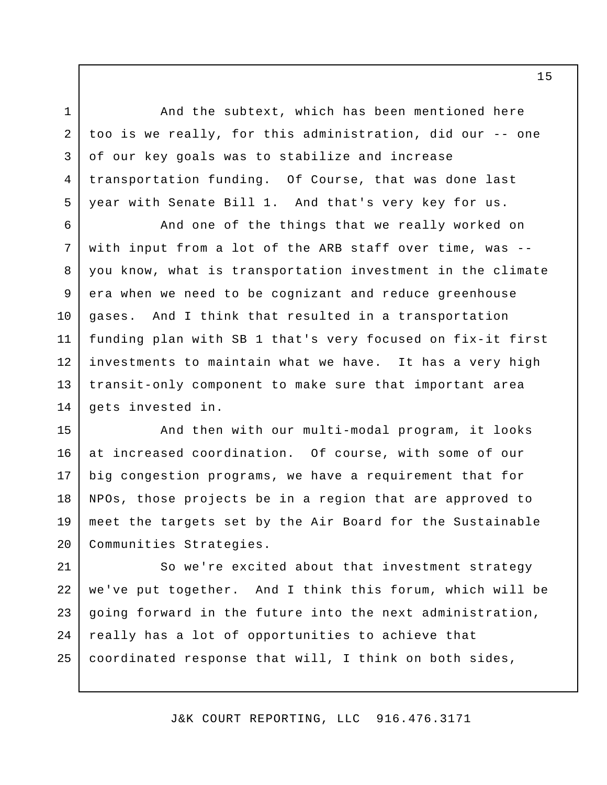And the subtext, which has been mentioned here too is we really, for this administration, did our -- one of our key goals was to stabilize and increase transportation funding. Of Course, that was done last year with Senate Bill 1. And that's very key for us.

1

2

3

4

5

And one of the things that we really worked on with input from a lot of the ARB staff over time, was - you know, what is transportation investment in the climate era when we need to be cognizant and reduce greenhouse gases. And I think that resulted in a transportation funding plan with SB 1 that's very focused on fix-it first investments to maintain what we have. It has a very high transit-only component to make sure that important area gets invested in. 6 7 8 9 10 11 12 13 14

And then with our multi-modal program, it looks at increased coordination. Of course, with some of our big congestion programs, we have a requirement that for NPOs, those projects be in a region that are approved to meet the targets set by the Air Board for the Sustainable Communities Strategies. 15 16 17 18 19 20

So we're excited about that investment strategy we've put together. And I think this forum, which will be going forward in the future into the next administration, really has a lot of opportunities to achieve that coordinated response that will, I think on both sides, 21 22 23 24 25

J&K COURT REPORTING, LLC 916.476.3171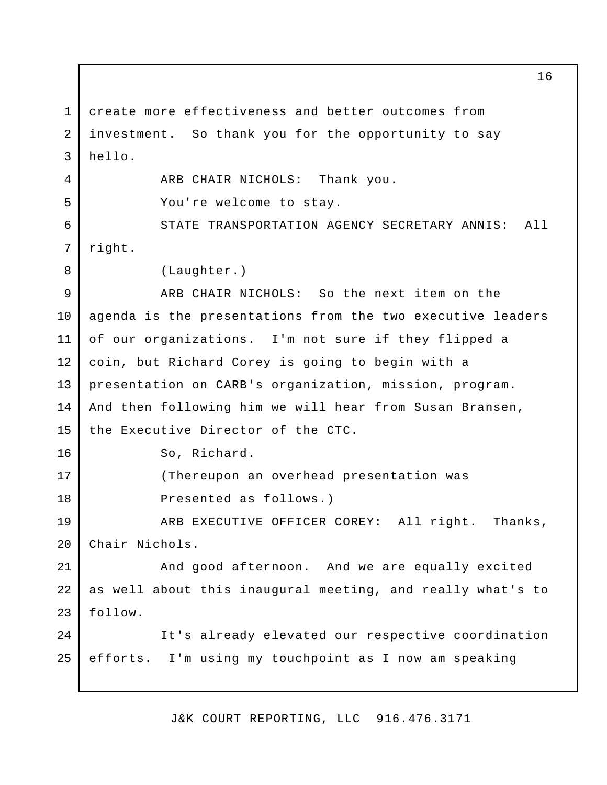create more effectiveness and better outcomes from investment. So thank you for the opportunity to say hello. ARB CHAIR NICHOLS: Thank you. You're welcome to stay. STATE TRANSPORTATION AGENCY SECRETARY ANNIS: All right. (Laughter.) ARB CHAIR NICHOLS: So the next item on the agenda is the presentations from the two executive leaders of our organizations. I'm not sure if they flipped a coin, but Richard Corey is going to begin with a presentation on CARB's organization, mission, program. And then following him we will hear from Susan Bransen, the Executive Director of the CTC. So, Richard. (Thereupon an overhead presentation was Presented as follows.) ARB EXECUTIVE OFFICER COREY: All right. Thanks, Chair Nichols. And good afternoon. And we are equally excited as well about this inaugural meeting, and really what's to follow. It's already elevated our respective coordination efforts. I'm using my touchpoint as I now am speaking 1 2 3 4 5 6 7 8 9 10 11 12 13 14 15 16 17 18 19 20 21 22 23  $2.4$ 25

J&K COURT REPORTING, LLC 916.476.3171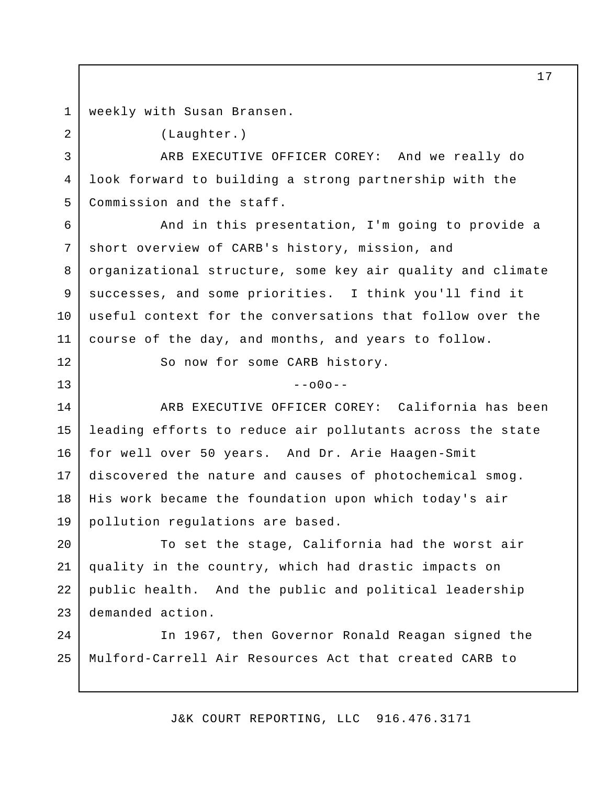weekly with Susan Bransen. 1

2

12

13

(Laughter.)

ARB EXECUTIVE OFFICER COREY: And we really do look forward to building a strong partnership with the Commission and the staff. 3 4 5

And in this presentation, I'm going to provide a short overview of CARB's history, mission, and organizational structure, some key air quality and climate successes, and some priorities. I think you'll find it useful context for the conversations that follow over the course of the day, and months, and years to follow. 6 7 8 9 10 11

So now for some CARB history.

 $-000-$ 

ARB EXECUTIVE OFFICER COREY: California has been leading efforts to reduce air pollutants across the state for well over 50 years. And Dr. Arie Haagen-Smit discovered the nature and causes of photochemical smog. His work became the foundation upon which today's air pollution regulations are based. 14 15 16 17 18 19

To set the stage, California had the worst air quality in the country, which had drastic impacts on public health. And the public and political leadership demanded action. 20 21 22 23

In 1967, then Governor Ronald Reagan signed the Mulford-Carrell Air Resources Act that created CARB to  $2.4$ 25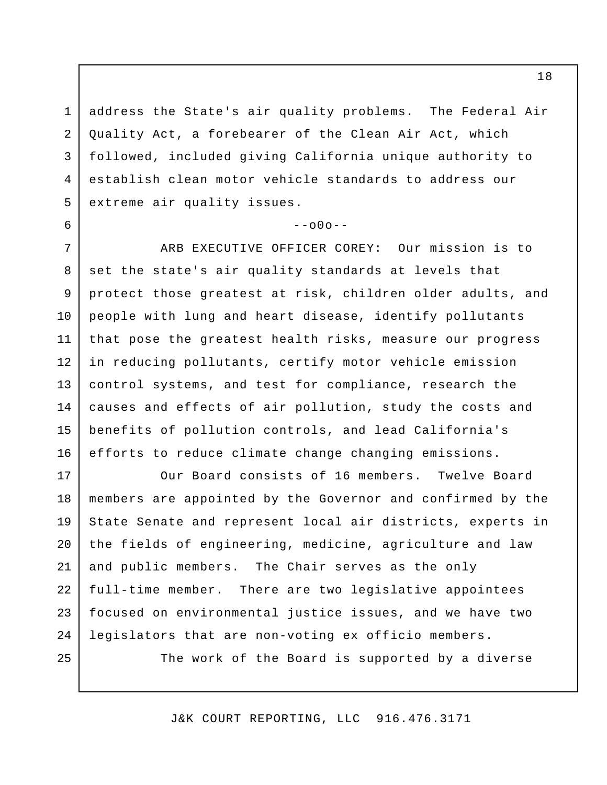address the State's air quality problems. The Federal Air Quality Act, a forebearer of the Clean Air Act, which followed, included giving California unique authority to establish clean motor vehicle standards to address our extreme air quality issues. 2 3 4 5

 $--000--$ 

ARB EXECUTIVE OFFICER COREY: Our mission is to set the state's air quality standards at levels that protect those greatest at risk, children older adults, and people with lung and heart disease, identify pollutants that pose the greatest health risks, measure our progress in reducing pollutants, certify motor vehicle emission control systems, and test for compliance, research the causes and effects of air pollution, study the costs and benefits of pollution controls, and lead California's efforts to reduce climate change changing emissions. 7 8 9 10 11 12 13 14 15 16

Our Board consists of 16 members. Twelve Board members are appointed by the Governor and confirmed by the State Senate and represent local air districts, experts in the fields of engineering, medicine, agriculture and law and public members. The Chair serves as the only full-time member. There are two legislative appointees focused on environmental justice issues, and we have two legislators that are non-voting ex officio members. 17 18 19 20 21 22 23 24

25

1

6

The work of the Board is supported by a diverse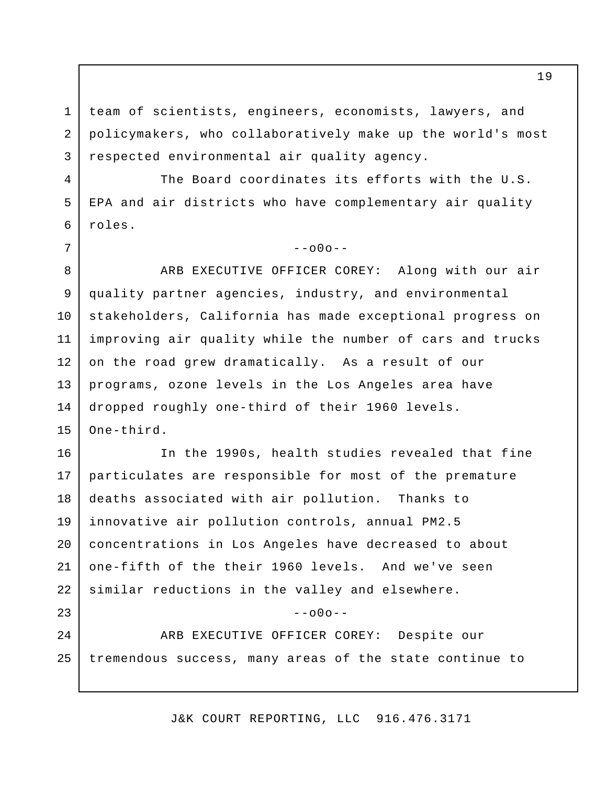team of scientists, engineers, economists, lawyers, and policymakers, who collaboratively make up the world's most respected environmental air quality agency.

1

2

3

4

5

6

7

 $2.4$ 

25

The Board coordinates its efforts with the U.S. EPA and air districts who have complementary air quality roles.

### $--000--$

ARB EXECUTIVE OFFICER COREY: Along with our air quality partner agencies, industry, and environmental stakeholders, California has made exceptional progress on improving air quality while the number of cars and trucks on the road grew dramatically. As a result of our programs, ozone levels in the Los Angeles area have dropped roughly one-third of their 1960 levels. One-third. 8 9 10 11 12 13 14 15

In the 1990s, health studies revealed that fine particulates are responsible for most of the premature deaths associated with air pollution. Thanks to innovative air pollution controls, annual PM2.5 concentrations in Los Angeles have decreased to about one-fifth of the their 1960 levels. And we've seen similar reductions in the valley and elsewhere.  $-000-$ 16 17 18 19 20 21 22 23

ARB EXECUTIVE OFFICER COREY: Despite our tremendous success, many areas of the state continue to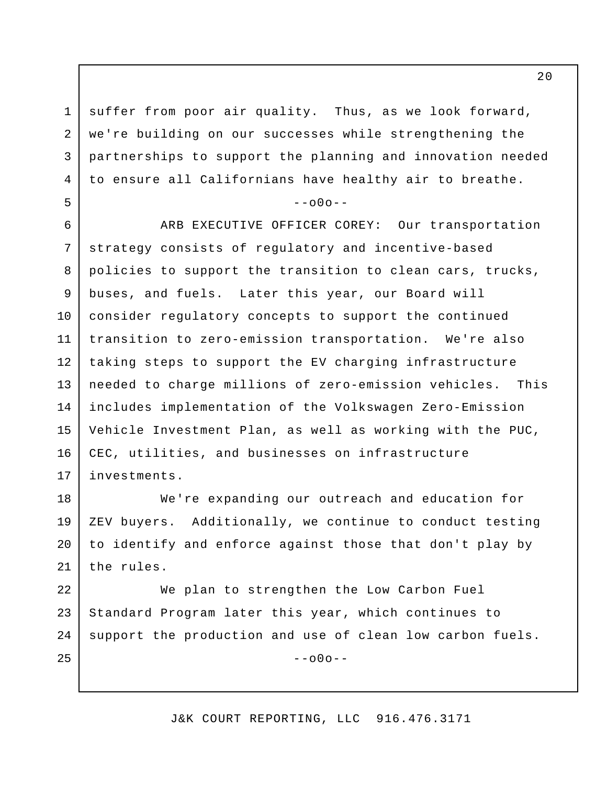suffer from poor air quality. Thus, as we look forward, we're building on our successes while strengthening the partnerships to support the planning and innovation needed to ensure all Californians have healthy air to breathe.

1

2

3

4

5

#### $-000-$

ARB EXECUTIVE OFFICER COREY: Our transportation strategy consists of regulatory and incentive-based policies to support the transition to clean cars, trucks, buses, and fuels. Later this year, our Board will consider regulatory concepts to support the continued transition to zero-emission transportation. We're also taking steps to support the EV charging infrastructure needed to charge millions of zero-emission vehicles. This includes implementation of the Volkswagen Zero-Emission Vehicle Investment Plan, as well as working with the PUC, CEC, utilities, and businesses on infrastructure investments. 6 7 8 9 10 11 12 13 14 15 16 17

We're expanding our outreach and education for ZEV buyers. Additionally, we continue to conduct testing to identify and enforce against those that don't play by the rules. 18 19 20 21

We plan to strengthen the Low Carbon Fuel Standard Program later this year, which continues to support the production and use of clean low carbon fuels.  $--000--$ 22 23 24 25

J&K COURT REPORTING, LLC 916.476.3171

 $2.0$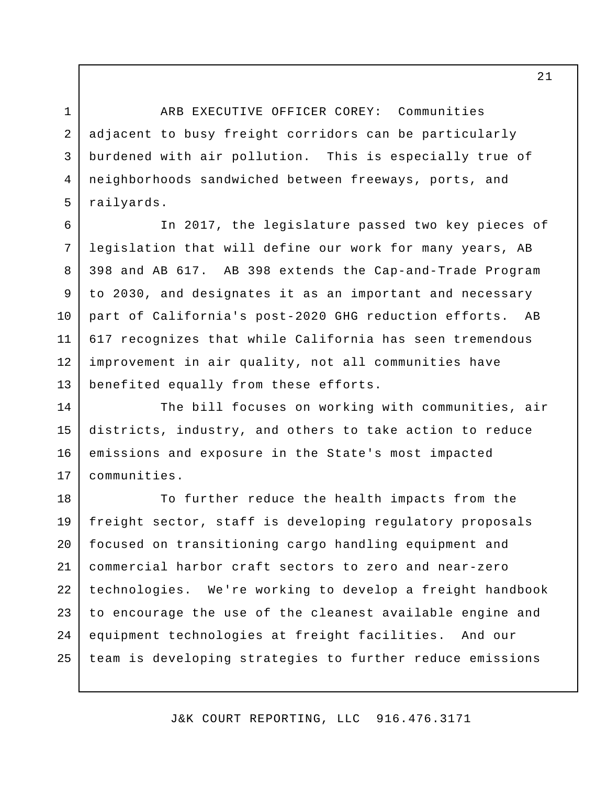ARB EXECUTIVE OFFICER COREY: Communities adjacent to busy freight corridors can be particularly burdened with air pollution. This is especially true of neighborhoods sandwiched between freeways, ports, and railyards.

In 2017, the legislature passed two key pieces of legislation that will define our work for many years, AB 398 and AB 617. AB 398 extends the Cap-and-Trade Program to 2030, and designates it as an important and necessary part of California's post-2020 GHG reduction efforts. AB 617 recognizes that while California has seen tremendous improvement in air quality, not all communities have benefited equally from these efforts. 6 7 8 9 10 11 12 13

The bill focuses on working with communities, air districts, industry, and others to take action to reduce emissions and exposure in the State's most impacted communities. 14 15 16 17

To further reduce the health impacts from the freight sector, staff is developing regulatory proposals focused on transitioning cargo handling equipment and commercial harbor craft sectors to zero and near-zero technologies. We're working to develop a freight handbook to encourage the use of the cleanest available engine and equipment technologies at freight facilities. And our team is developing strategies to further reduce emissions 18 19 20 21 22 23 24 25

J&K COURT REPORTING, LLC 916.476.3171

1

2

3

4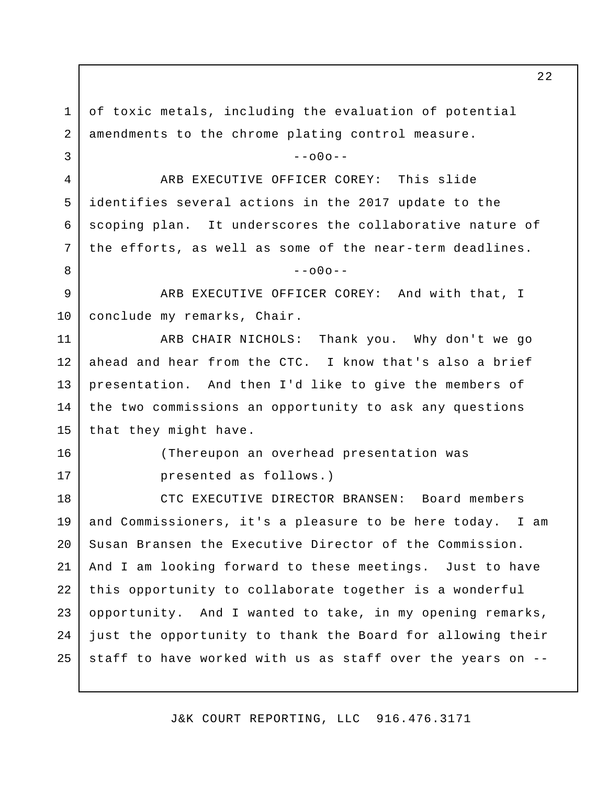of toxic metals, including the evaluation of potential amendments to the chrome plating control measure.  $--000--$ ARB EXECUTIVE OFFICER COREY: This slide identifies several actions in the 2017 update to the scoping plan. It underscores the collaborative nature of the efforts, as well as some of the near-term deadlines.  $--000--$ ARB EXECUTIVE OFFICER COREY: And with that, I conclude my remarks, Chair. ARB CHAIR NICHOLS: Thank you. Why don't we go ahead and hear from the CTC. I know that's also a brief presentation. And then I'd like to give the members of the two commissions an opportunity to ask any questions that they might have. (Thereupon an overhead presentation was presented as follows.) CTC EXECUTIVE DIRECTOR BRANSEN: Board members and Commissioners, it's a pleasure to be here today. I am Susan Bransen the Executive Director of the Commission. And I am looking forward to these meetings. Just to have this opportunity to collaborate together is a wonderful opportunity. And I wanted to take, in my opening remarks, just the opportunity to thank the Board for allowing their staff to have worked with us as staff over the years on -- 1 2 3 4 5 6 7 8 9 10 11 12 13 14 15 16 17 18 19 20 21 22 23 24 25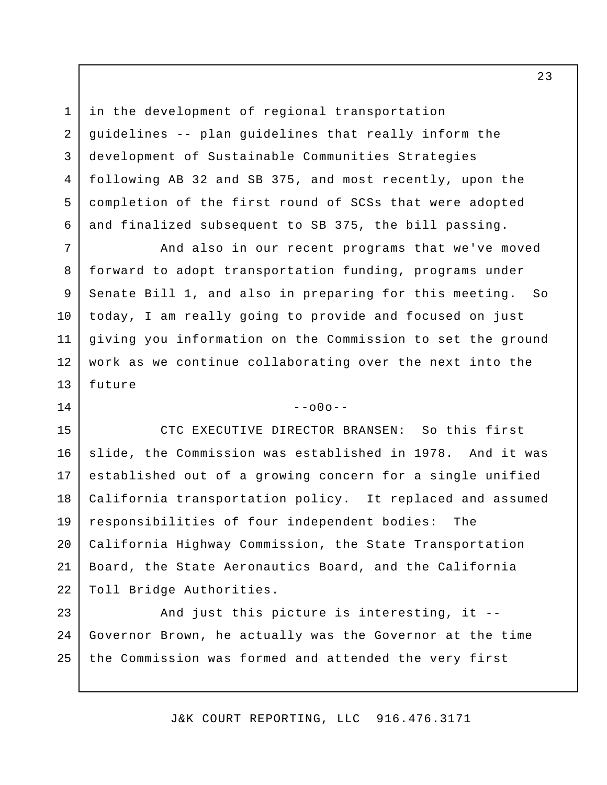in the development of regional transportation guidelines -- plan guidelines that really inform the development of Sustainable Communities Strategies following AB 32 and SB 375, and most recently, upon the completion of the first round of SCSs that were adopted and finalized subsequent to SB 375, the bill passing.

1

2

3

4

5

6

7

8

9

10

11

12

13

14

And also in our recent programs that we've moved forward to adopt transportation funding, programs under Senate Bill 1, and also in preparing for this meeting. So today, I am really going to provide and focused on just giving you information on the Commission to set the ground work as we continue collaborating over the next into the future

 $--000--$ 

CTC EXECUTIVE DIRECTOR BRANSEN: So this first slide, the Commission was established in 1978. And it was established out of a growing concern for a single unified California transportation policy. It replaced and assumed responsibilities of four independent bodies: The California Highway Commission, the State Transportation Board, the State Aeronautics Board, and the California Toll Bridge Authorities. 15 16 17 18 19 20 21 22

And just this picture is interesting, it -- Governor Brown, he actually was the Governor at the time the Commission was formed and attended the very first 23 24 25

J&K COURT REPORTING, LLC 916.476.3171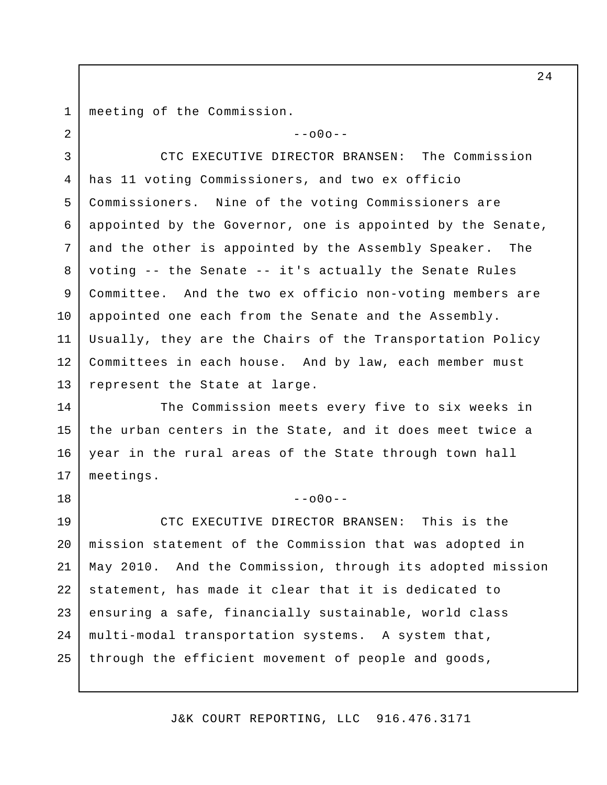meeting of the Commission. 1

2

18

 $--000--$ 

CTC EXECUTIVE DIRECTOR BRANSEN: The Commission has 11 voting Commissioners, and two ex officio Commissioners. Nine of the voting Commissioners are appointed by the Governor, one is appointed by the Senate, and the other is appointed by the Assembly Speaker. The voting -- the Senate -- it's actually the Senate Rules Committee. And the two ex officio non-voting members are appointed one each from the Senate and the Assembly. Usually, they are the Chairs of the Transportation Policy Committees in each house. And by law, each member must represent the State at large. 3 4 5 6 7 8 9 10 11 12 13

The Commission meets every five to six weeks in the urban centers in the State, and it does meet twice a year in the rural areas of the State through town hall meetings. 14 15 16 17

 $--000--$ 

CTC EXECUTIVE DIRECTOR BRANSEN: This is the mission statement of the Commission that was adopted in May 2010. And the Commission, through its adopted mission statement, has made it clear that it is dedicated to ensuring a safe, financially sustainable, world class multi-modal transportation systems. A system that, through the efficient movement of people and goods, 19 20 21 22 23 24 25

J&K COURT REPORTING, LLC 916.476.3171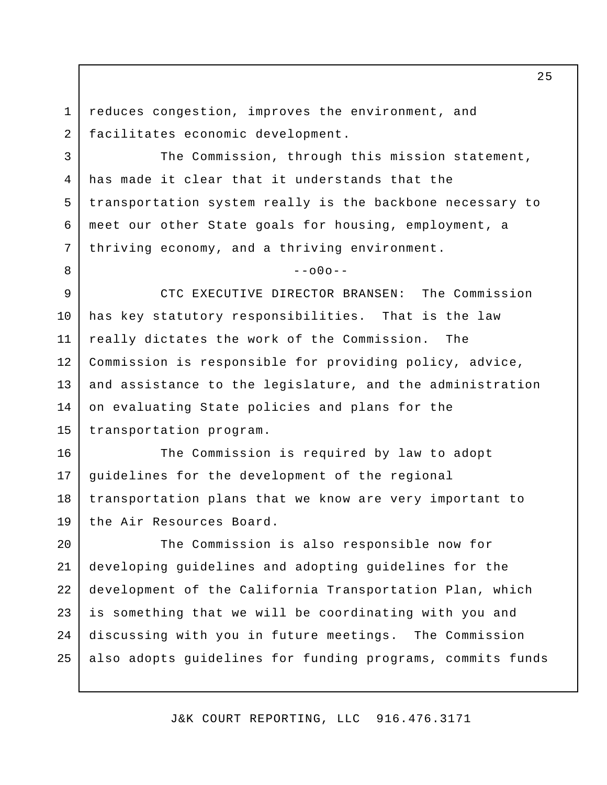reduces congestion, improves the environment, and facilitates economic development. 1 2

3

6

7

8

The Commission, through this mission statement, has made it clear that it understands that the transportation system really is the backbone necessary to meet our other State goals for housing, employment, a thriving economy, and a thriving environment. 4 5

 $-000-$ 

CTC EXECUTIVE DIRECTOR BRANSEN: The Commission has key statutory responsibilities. That is the law really dictates the work of the Commission. The Commission is responsible for providing policy, advice, and assistance to the legislature, and the administration on evaluating State policies and plans for the transportation program. 9 10 11 12 13 14 15

The Commission is required by law to adopt guidelines for the development of the regional transportation plans that we know are very important to the Air Resources Board. 16 17 18 19

The Commission is also responsible now for developing guidelines and adopting guidelines for the development of the California Transportation Plan, which is something that we will be coordinating with you and discussing with you in future meetings. The Commission also adopts guidelines for funding programs, commits funds 20 21 22 23  $2.4$ 25

J&K COURT REPORTING, LLC 916.476.3171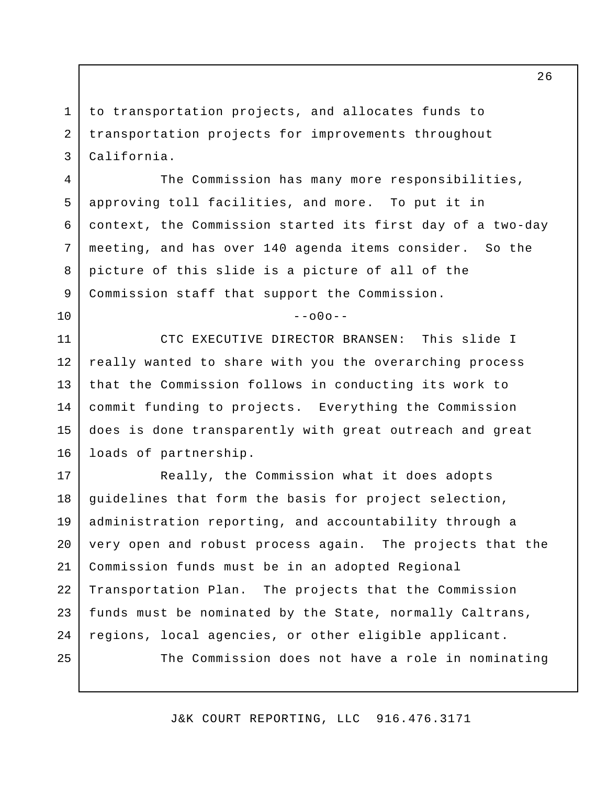to transportation projects, and allocates funds to transportation projects for improvements throughout California.

1

2

3

4

5

6

7

8

9

10

The Commission has many more responsibilities, approving toll facilities, and more. To put it in context, the Commission started its first day of a two-day meeting, and has over 140 agenda items consider. So the picture of this slide is a picture of all of the Commission staff that support the Commission.

 $--000--$ 

CTC EXECUTIVE DIRECTOR BRANSEN: This slide I really wanted to share with you the overarching process that the Commission follows in conducting its work to commit funding to projects. Everything the Commission does is done transparently with great outreach and great loads of partnership. 11 12 13 14 15 16

Really, the Commission what it does adopts guidelines that form the basis for project selection, administration reporting, and accountability through a very open and robust process again. The projects that the Commission funds must be in an adopted Regional Transportation Plan. The projects that the Commission funds must be nominated by the State, normally Caltrans, regions, local agencies, or other eligible applicant. The Commission does not have a role in nominating 17 18 19 20 21 22 23 24 25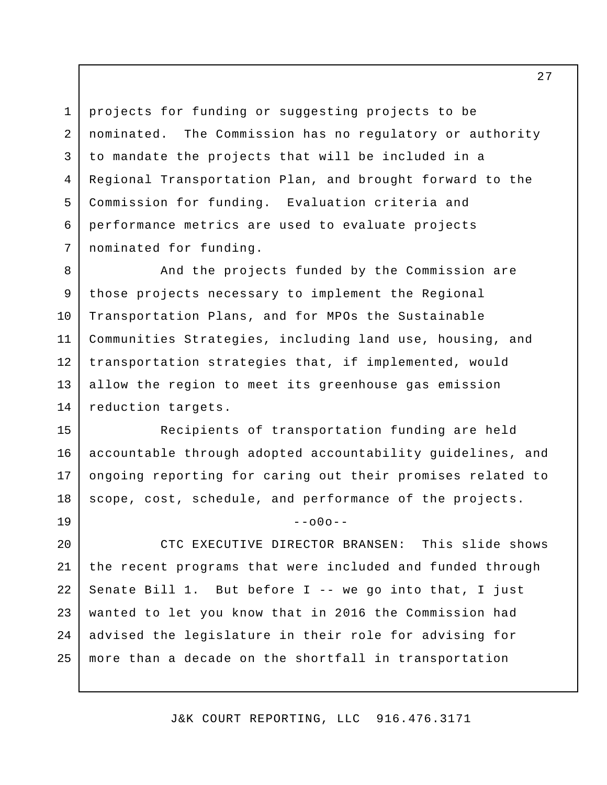projects for funding or suggesting projects to be nominated. The Commission has no regulatory or authority to mandate the projects that will be included in a Regional Transportation Plan, and brought forward to the Commission for funding. Evaluation criteria and performance metrics are used to evaluate projects nominated for funding. 1 2 3 4 5 6 7

And the projects funded by the Commission are those projects necessary to implement the Regional Transportation Plans, and for MPOs the Sustainable Communities Strategies, including land use, housing, and transportation strategies that, if implemented, would allow the region to meet its greenhouse gas emission reduction targets. 8 9 10 11 12 13 14

Recipients of transportation funding are held accountable through adopted accountability guidelines, and ongoing reporting for caring out their promises related to scope, cost, schedule, and performance of the projects. 15 16 17 18

 $-000 -$ 

CTC EXECUTIVE DIRECTOR BRANSEN: This slide shows the recent programs that were included and funded through Senate Bill  $1.$  But before I -- we go into that, I just wanted to let you know that in 2016 the Commission had advised the legislature in their role for advising for more than a decade on the shortfall in transportation 20 21 22 23 24 25

19

J&K COURT REPORTING, LLC 916.476.3171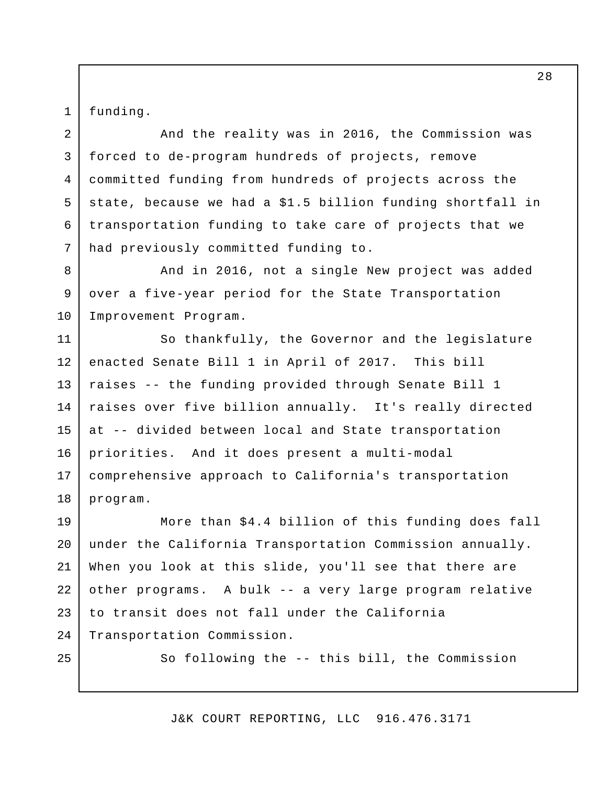funding.

1

2

3

5

6

7

And the reality was in 2016, the Commission was forced to de-program hundreds of projects, remove committed funding from hundreds of projects across the state, because we had a \$1.5 billion funding shortfall in transportation funding to take care of projects that we had previously committed funding to. 4

And in 2016, not a single New project was added over a five-year period for the State Transportation Improvement Program. 8 9 10

So thankfully, the Governor and the legislature enacted Senate Bill 1 in April of 2017. This bill raises -- the funding provided through Senate Bill 1 raises over five billion annually. It's really directed at -- divided between local and State transportation priorities. And it does present a multi-modal comprehensive approach to California's transportation program. 11 12 13 14 15 16 17 18

More than \$4.4 billion of this funding does fall under the California Transportation Commission annually. When you look at this slide, you'll see that there are other programs. A bulk -- a very large program relative to transit does not fall under the California Transportation Commission. 19 20 21 22 23 24

25

So following the -- this bill, the Commission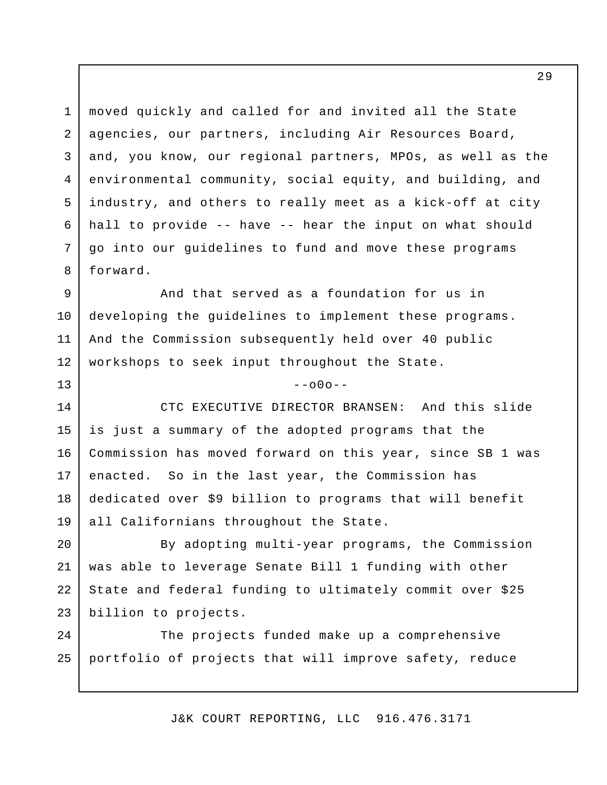moved quickly and called for and invited all the State agencies, our partners, including Air Resources Board, and, you know, our regional partners, MPOs, as well as the environmental community, social equity, and building, and industry, and others to really meet as a kick-off at city hall to provide -- have -- hear the input on what should go into our guidelines to fund and move these programs forward. 1 2 3 4 5 6 7 8

And that served as a foundation for us in developing the guidelines to implement these programs. And the Commission subsequently held over 40 public workshops to seek input throughout the State. 9 10 11 12

13

CTC EXECUTIVE DIRECTOR BRANSEN: And this slide is just a summary of the adopted programs that the Commission has moved forward on this year, since SB 1 was enacted. So in the last year, the Commission has dedicated over \$9 billion to programs that will benefit all Californians throughout the State. 14 15 16 17 18 19

 $-000 -$ 

By adopting multi-year programs, the Commission was able to leverage Senate Bill 1 funding with other State and federal funding to ultimately commit over \$25 billion to projects. 20 21 22 23

The projects funded make up a comprehensive portfolio of projects that will improve safety, reduce 24 25

J&K COURT REPORTING, LLC 916.476.3171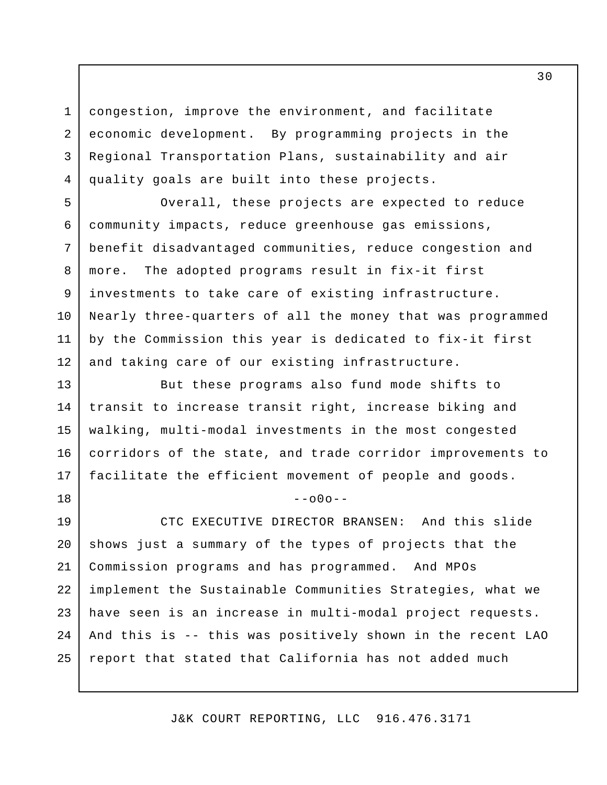congestion, improve the environment, and facilitate economic development. By programming projects in the Regional Transportation Plans, sustainability and air quality goals are built into these projects.

1

2

3

4

7

8

9

10

18

Overall, these projects are expected to reduce community impacts, reduce greenhouse gas emissions, benefit disadvantaged communities, reduce congestion and more. The adopted programs result in fix-it first investments to take care of existing infrastructure. Nearly three-quarters of all the money that was programmed by the Commission this year is dedicated to fix-it first and taking care of our existing infrastructure. 5 6 11 12

But these programs also fund mode shifts to transit to increase transit right, increase biking and walking, multi-modal investments in the most congested corridors of the state, and trade corridor improvements to facilitate the efficient movement of people and goods. 13 14 15 16 17

 $--000--$ 

CTC EXECUTIVE DIRECTOR BRANSEN: And this slide shows just a summary of the types of projects that the Commission programs and has programmed. And MPOs implement the Sustainable Communities Strategies, what we have seen is an increase in multi-modal project requests. And this is -- this was positively shown in the recent LAO report that stated that California has not added much 19 20 21 22 23 24 25

J&K COURT REPORTING, LLC 916.476.3171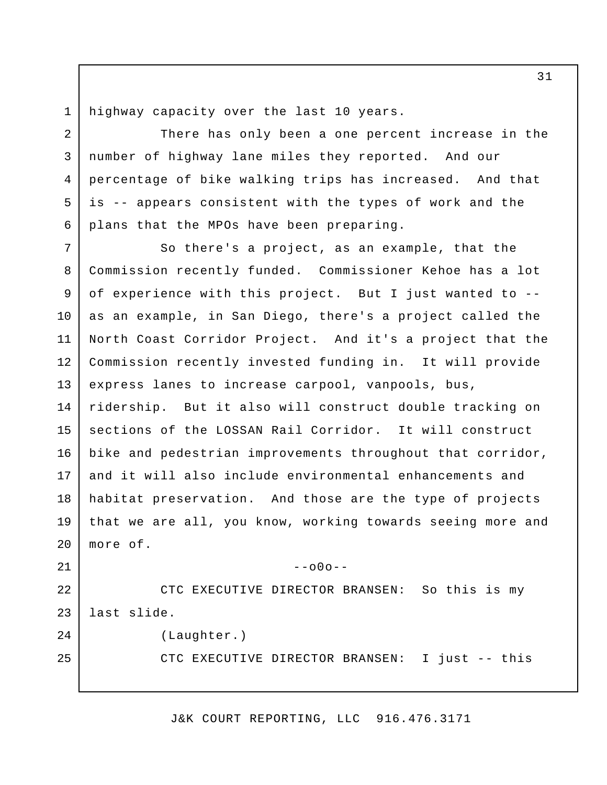highway capacity over the last 10 years. 1

2

3

5

6

21

25

There has only been a one percent increase in the number of highway lane miles they reported. And our percentage of bike walking trips has increased. And that is -- appears consistent with the types of work and the plans that the MPOs have been preparing. 4

So there's a project, as an example, that the Commission recently funded. Commissioner Kehoe has a lot of experience with this project. But I just wanted to - as an example, in San Diego, there's a project called the North Coast Corridor Project. And it's a project that the Commission recently invested funding in. It will provide express lanes to increase carpool, vanpools, bus, ridership. But it also will construct double tracking on sections of the LOSSAN Rail Corridor. It will construct bike and pedestrian improvements throughout that corridor, and it will also include environmental enhancements and habitat preservation. And those are the type of projects that we are all, you know, working towards seeing more and more of. 7 8 9 10 11 12 13 14 15 16 17 18 19 20

CTC EXECUTIVE DIRECTOR BRANSEN: So this is my last slide. (Laughter.) 22 23 24

CTC EXECUTIVE DIRECTOR BRANSEN: I just -- this

 $--000--$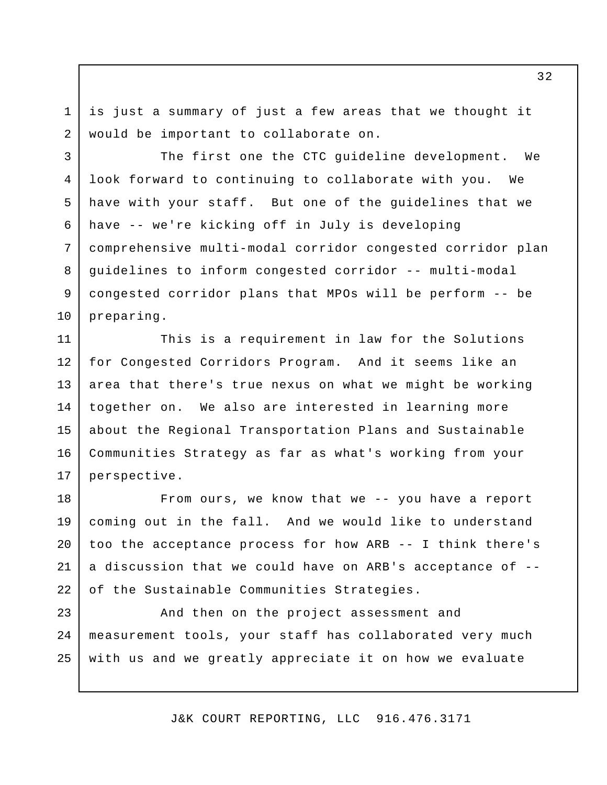is just a summary of just a few areas that we thought it would be important to collaborate on.

1

2

The first one the CTC guideline development. We look forward to continuing to collaborate with you. We have with your staff. But one of the guidelines that we have -- we're kicking off in July is developing comprehensive multi-modal corridor congested corridor plan guidelines to inform congested corridor -- multi-modal congested corridor plans that MPOs will be perform -- be preparing. 3 4 5 6 7 8 9 10

This is a requirement in law for the Solutions for Congested Corridors Program. And it seems like an area that there's true nexus on what we might be working together on. We also are interested in learning more about the Regional Transportation Plans and Sustainable Communities Strategy as far as what's working from your perspective. 11 12 13 14 15 16 17

From ours, we know that we -- you have a report coming out in the fall. And we would like to understand too the acceptance process for how ARB -- I think there's a discussion that we could have on ARB's acceptance of - of the Sustainable Communities Strategies. 18 19 20 21 22

And then on the project assessment and measurement tools, your staff has collaborated very much with us and we greatly appreciate it on how we evaluate 23 24 25

J&K COURT REPORTING, LLC 916.476.3171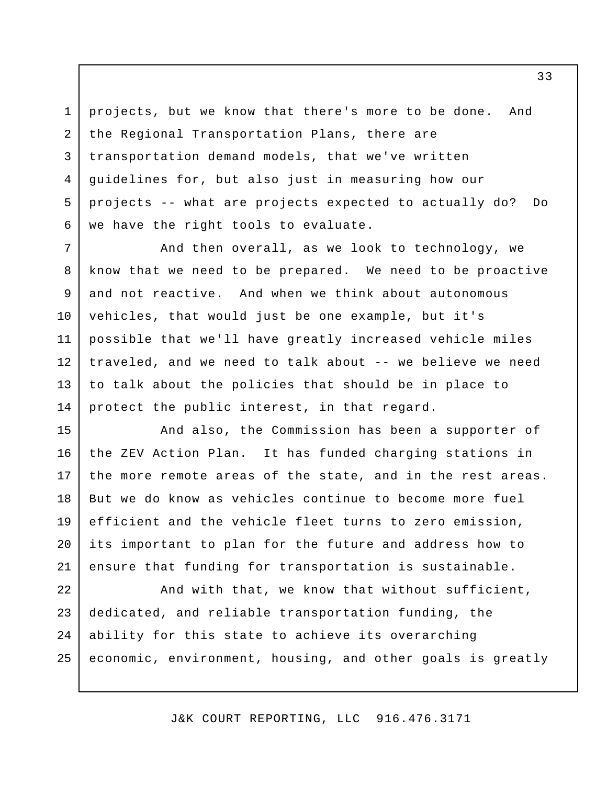projects, but we know that there's more to be done. And the Regional Transportation Plans, there are transportation demand models, that we've written guidelines for, but also just in measuring how our projects -- what are projects expected to actually do? Do we have the right tools to evaluate. 1 2 3 4 5 6

And then overall, as we look to technology, we know that we need to be prepared. We need to be proactive and not reactive. And when we think about autonomous vehicles, that would just be one example, but it's possible that we'll have greatly increased vehicle miles traveled, and we need to talk about -- we believe we need to talk about the policies that should be in place to protect the public interest, in that regard. 7 8 9 10 11 12 13 14

And also, the Commission has been a supporter of the ZEV Action Plan. It has funded charging stations in the more remote areas of the state, and in the rest areas. But we do know as vehicles continue to become more fuel efficient and the vehicle fleet turns to zero emission, its important to plan for the future and address how to ensure that funding for transportation is sustainable. 15 16 17 18 19 20 21

And with that, we know that without sufficient, dedicated, and reliable transportation funding, the ability for this state to achieve its overarching economic, environment, housing, and other goals is greatly 22 23 24 25

J&K COURT REPORTING, LLC 916.476.3171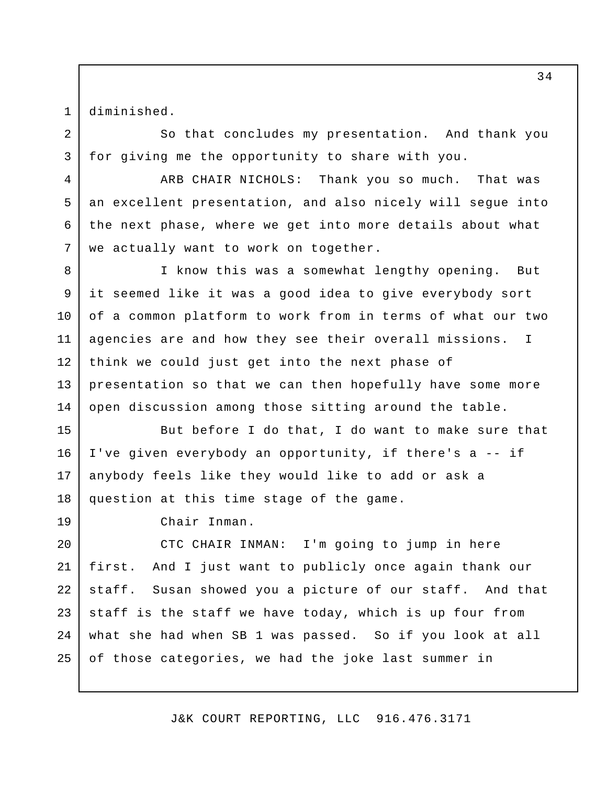diminished.

1

2

3

4

5

6

7

So that concludes my presentation. And thank you for giving me the opportunity to share with you.

ARB CHAIR NICHOLS: Thank you so much. That was an excellent presentation, and also nicely will segue into the next phase, where we get into more details about what we actually want to work on together.

I know this was a somewhat lengthy opening. But it seemed like it was a good idea to give everybody sort of a common platform to work from in terms of what our two agencies are and how they see their overall missions. I think we could just get into the next phase of presentation so that we can then hopefully have some more open discussion among those sitting around the table. 8 9 10 11 12 13 14

But before I do that, I do want to make sure that I've given everybody an opportunity, if there's a -- if anybody feels like they would like to add or ask a question at this time stage of the game. 15 16 17 18

19

Chair Inman.

CTC CHAIR INMAN: I'm going to jump in here first. And I just want to publicly once again thank our staff. Susan showed you a picture of our staff. And that staff is the staff we have today, which is up four from what she had when SB 1 was passed. So if you look at all of those categories, we had the joke last summer in 20 21 22 23 24 25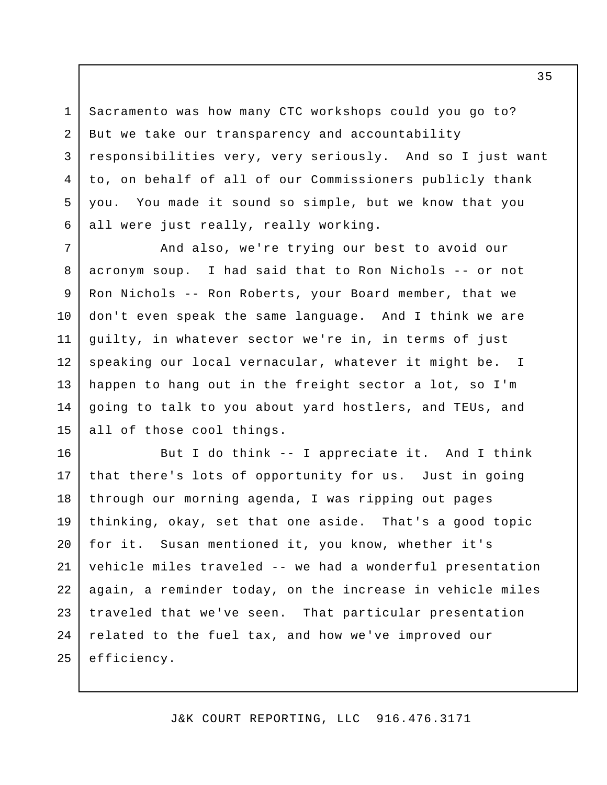Sacramento was how many CTC workshops could you go to? But we take our transparency and accountability responsibilities very, very seriously. And so I just want to, on behalf of all of our Commissioners publicly thank you. You made it sound so simple, but we know that you all were just really, really working. 1 2 3 4 5 6

And also, we're trying our best to avoid our acronym soup. I had said that to Ron Nichols -- or not Ron Nichols -- Ron Roberts, your Board member, that we don't even speak the same language. And I think we are guilty, in whatever sector we're in, in terms of just speaking our local vernacular, whatever it might be. I happen to hang out in the freight sector a lot, so I'm going to talk to you about yard hostlers, and TEUs, and all of those cool things. 7 8 9 10 11 12 13 14 15

But I do think -- I appreciate it. And I think that there's lots of opportunity for us. Just in going through our morning agenda, I was ripping out pages thinking, okay, set that one aside. That's a good topic for it. Susan mentioned it, you know, whether it's vehicle miles traveled -- we had a wonderful presentation again, a reminder today, on the increase in vehicle miles traveled that we've seen. That particular presentation related to the fuel tax, and how we've improved our efficiency. 16 17 18 19 20 21 22 23 24 25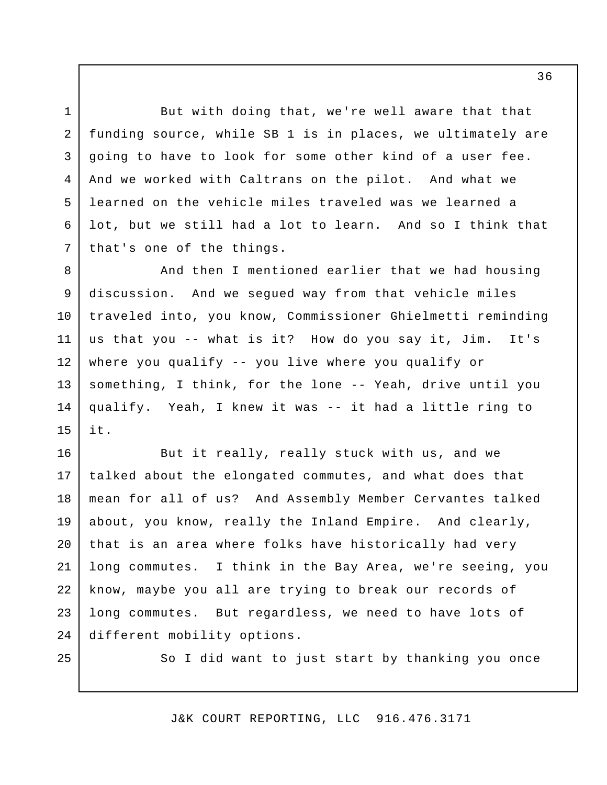But with doing that, we're well aware that that funding source, while SB 1 is in places, we ultimately are going to have to look for some other kind of a user fee. And we worked with Caltrans on the pilot. And what we learned on the vehicle miles traveled was we learned a lot, but we still had a lot to learn. And so I think that that's one of the things. 2 3 4 5 6 7

And then I mentioned earlier that we had housing discussion. And we segued way from that vehicle miles traveled into, you know, Commissioner Ghielmetti reminding us that you -- what is it? How do you say it, Jim. It's where you qualify -- you live where you qualify or something, I think, for the lone -- Yeah, drive until you qualify. Yeah, I knew it was -- it had a little ring to it. 8 9 10 11 12 13 14 15

But it really, really stuck with us, and we talked about the elongated commutes, and what does that mean for all of us? And Assembly Member Cervantes talked about, you know, really the Inland Empire. And clearly, that is an area where folks have historically had very long commutes. I think in the Bay Area, we're seeing, you know, maybe you all are trying to break our records of long commutes. But regardless, we need to have lots of different mobility options. 16 17 18 19 20 21 22 23 24

25

1

So I did want to just start by thanking you once

J&K COURT REPORTING, LLC 916.476.3171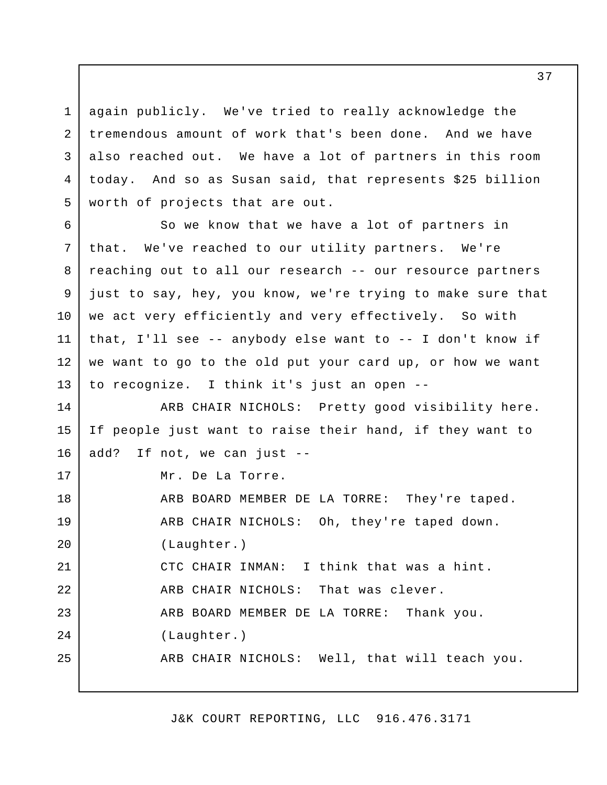again publicly. We've tried to really acknowledge the tremendous amount of work that's been done. And we have also reached out. We have a lot of partners in this room today. And so as Susan said, that represents \$25 billion worth of projects that are out. 1 2 3 4 5

So we know that we have a lot of partners in that. We've reached to our utility partners. We're reaching out to all our research -- our resource partners just to say, hey, you know, we're trying to make sure that we act very efficiently and very effectively. So with that, I'll see -- anybody else want to -- I don't know if we want to go to the old put your card up, or how we want to recognize. I think it's just an open -- 6 7 8 9 10 11 12 13

ARB CHAIR NICHOLS: Pretty good visibility here. If people just want to raise their hand, if they want to add? If not, we can just -- Mr. De La Torre. 14 15 16 17

ARB BOARD MEMBER DE LA TORRE: They're taped. ARB CHAIR NICHOLS: Oh, they're taped down. (Laughter.) CTC CHAIR INMAN: I think that was a hint. ARB CHAIR NICHOLS: That was clever. ARB BOARD MEMBER DE LA TORRE: Thank you. (Laughter.) ARB CHAIR NICHOLS: Well, that will teach you. 18 19 20 21 22 23 24 25

J&K COURT REPORTING, LLC 916.476.3171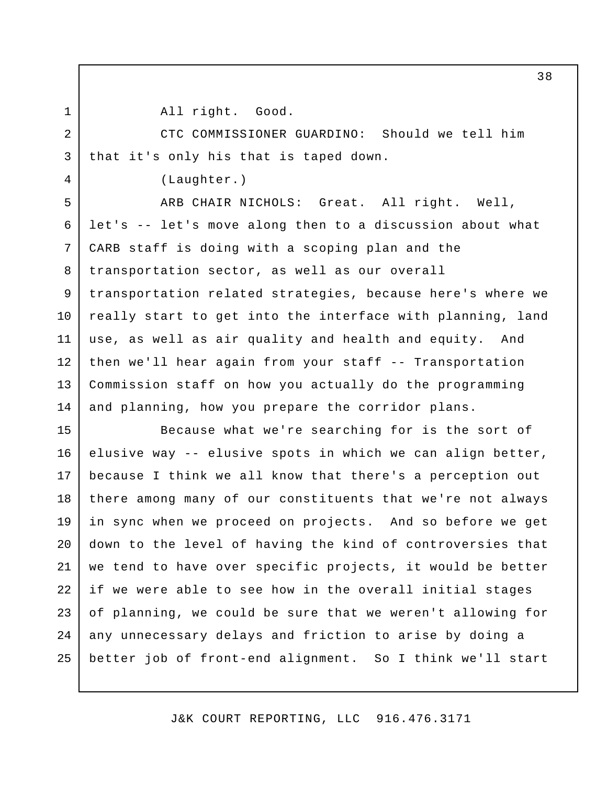1 2

3

4

All right. Good.

CTC COMMISSIONER GUARDINO: Should we tell him that it's only his that is taped down.

(Laughter.)

ARB CHAIR NICHOLS: Great. All right. Well, let's -- let's move along then to a discussion about what CARB staff is doing with a scoping plan and the transportation sector, as well as our overall transportation related strategies, because here's where we really start to get into the interface with planning, land use, as well as air quality and health and equity. And then we'll hear again from your staff -- Transportation Commission staff on how you actually do the programming and planning, how you prepare the corridor plans. 5 6 7 8 9 10 11 12 13 14

Because what we're searching for is the sort of elusive way -- elusive spots in which we can align better, because I think we all know that there's a perception out there among many of our constituents that we're not always in sync when we proceed on projects. And so before we get down to the level of having the kind of controversies that we tend to have over specific projects, it would be better if we were able to see how in the overall initial stages of planning, we could be sure that we weren't allowing for any unnecessary delays and friction to arise by doing a better job of front-end alignment. So I think we'll start 15 16 17 18 19 20 21 22 23 24 25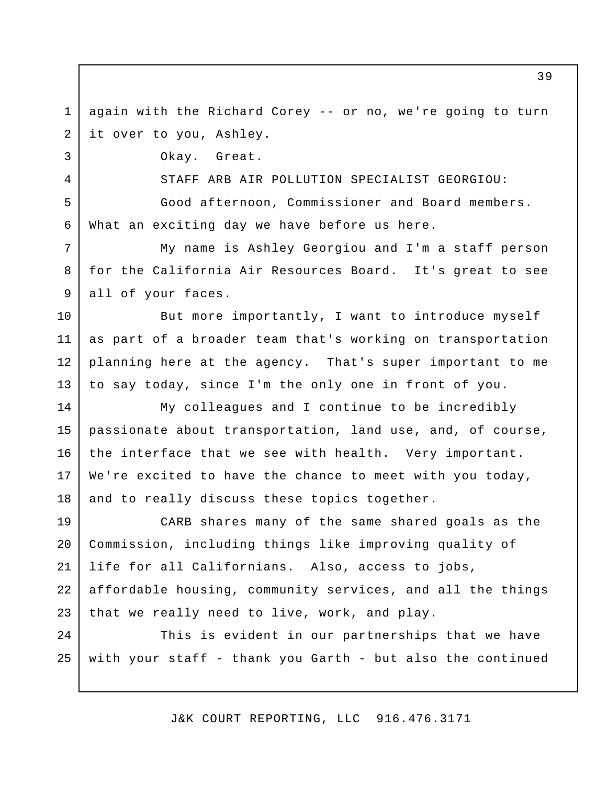again with the Richard Corey -- or no, we're going to turn it over to you, Ashley. 1 2

Okay. Great.

3

4

STAFF ARB AIR POLLUTION SPECIALIST GEORGIOU:

Good afternoon, Commissioner and Board members. What an exciting day we have before us here. 5 6

My name is Ashley Georgiou and I'm a staff person for the California Air Resources Board. It's great to see all of your faces. 7 8 9

But more importantly, I want to introduce myself as part of a broader team that's working on transportation planning here at the agency. That's super important to me to say today, since I'm the only one in front of you. 10 11 12 13

My colleagues and I continue to be incredibly passionate about transportation, land use, and, of course, the interface that we see with health. Very important. We're excited to have the chance to meet with you today, and to really discuss these topics together. 14 15 16 17 18

CARB shares many of the same shared goals as the Commission, including things like improving quality of life for all Californians. Also, access to jobs, affordable housing, community services, and all the things that we really need to live, work, and play. 19 20 21 22 23

This is evident in our partnerships that we have with your staff - thank you Garth - but also the continued  $2.4$ 25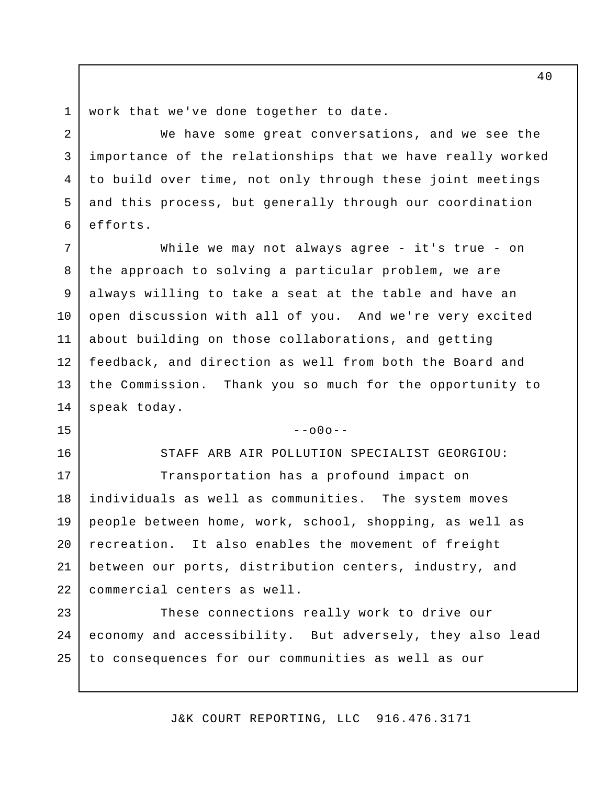work that we've done together to date. 1

2

3

4

5

6

15

16

We have some great conversations, and we see the importance of the relationships that we have really worked to build over time, not only through these joint meetings and this process, but generally through our coordination efforts.

While we may not always agree - it's true - on the approach to solving a particular problem, we are always willing to take a seat at the table and have an open discussion with all of you. And we're very excited about building on those collaborations, and getting feedback, and direction as well from both the Board and the Commission. Thank you so much for the opportunity to speak today. 7 8 9 10 11 12 13 14

## $--000--$

STAFF ARB AIR POLLUTION SPECIALIST GEORGIOU:

Transportation has a profound impact on individuals as well as communities. The system moves people between home, work, school, shopping, as well as recreation. It also enables the movement of freight between our ports, distribution centers, industry, and commercial centers as well. 17 18 19 20 21 22

These connections really work to drive our economy and accessibility. But adversely, they also lead to consequences for our communities as well as our 23 24 25

J&K COURT REPORTING, LLC 916.476.3171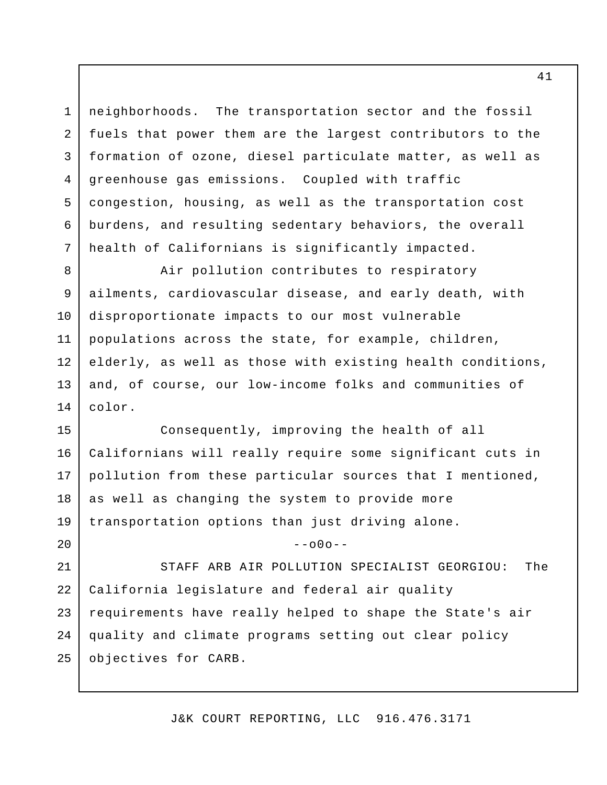neighborhoods. The transportation sector and the fossil fuels that power them are the largest contributors to the formation of ozone, diesel particulate matter, as well as greenhouse gas emissions. Coupled with traffic congestion, housing, as well as the transportation cost burdens, and resulting sedentary behaviors, the overall health of Californians is significantly impacted. 4

1

2

3

5

6

7

8

9

10

11

12

13

20

Air pollution contributes to respiratory ailments, cardiovascular disease, and early death, with disproportionate impacts to our most vulnerable populations across the state, for example, children, elderly, as well as those with existing health conditions, and, of course, our low-income folks and communities of color. 14

Consequently, improving the health of all Californians will really require some significant cuts in pollution from these particular sources that I mentioned, as well as changing the system to provide more transportation options than just driving alone. 15 16 17 18 19

 $--000--$ 

STAFF ARB AIR POLLUTION SPECIALIST GEORGIOU: The California legislature and federal air quality requirements have really helped to shape the State's air quality and climate programs setting out clear policy objectives for CARB. 21 22 23 24 25

J&K COURT REPORTING, LLC 916.476.3171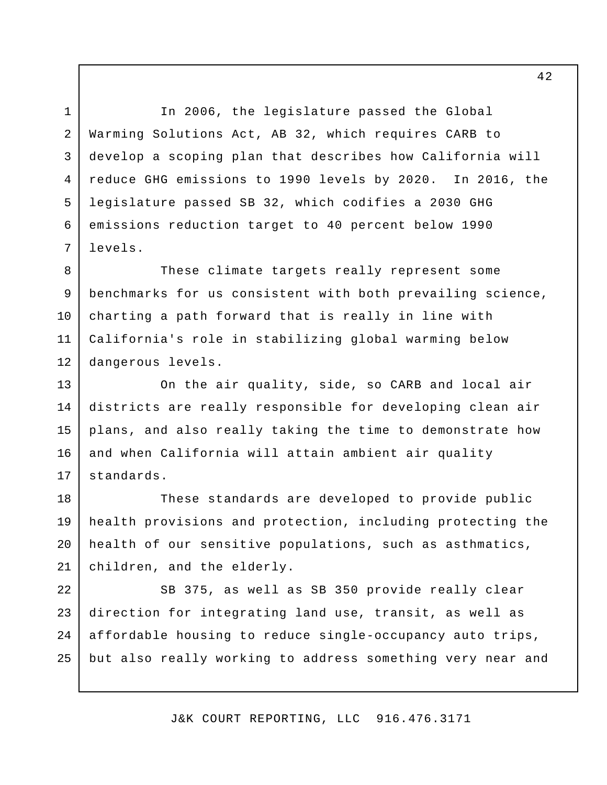In 2006, the legislature passed the Global Warming Solutions Act, AB 32, which requires CARB to develop a scoping plan that describes how California will reduce GHG emissions to 1990 levels by 2020. In 2016, the legislature passed SB 32, which codifies a 2030 GHG emissions reduction target to 40 percent below 1990 levels. 2 3 4 5 6 7

1

These climate targets really represent some benchmarks for us consistent with both prevailing science, charting a path forward that is really in line with California's role in stabilizing global warming below dangerous levels. 8 9 10 11 12

On the air quality, side, so CARB and local air districts are really responsible for developing clean air plans, and also really taking the time to demonstrate how and when California will attain ambient air quality standards. 13 14 15 16 17

These standards are developed to provide public health provisions and protection, including protecting the health of our sensitive populations, such as asthmatics, children, and the elderly. 18 19 20 21

SB 375, as well as SB 350 provide really clear direction for integrating land use, transit, as well as affordable housing to reduce single-occupancy auto trips, but also really working to address something very near and 22 23 24 25

J&K COURT REPORTING, LLC 916.476.3171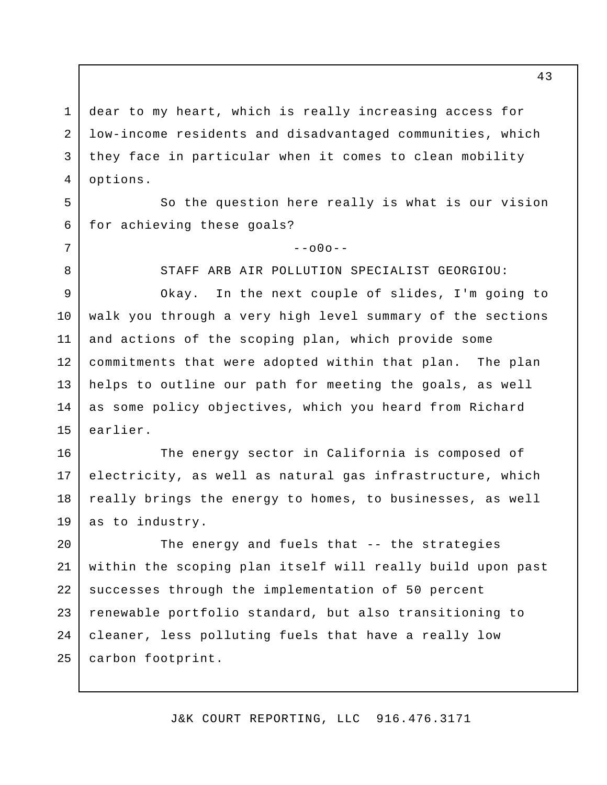dear to my heart, which is really increasing access for low-income residents and disadvantaged communities, which they face in particular when it comes to clean mobility options. 1 2 3 4

So the question here really is what is our vision for achieving these goals? 5 6

7

8

 $--000--$ 

STAFF ARB AIR POLLUTION SPECIALIST GEORGIOU:

Okay. In the next couple of slides, I'm going to walk you through a very high level summary of the sections and actions of the scoping plan, which provide some commitments that were adopted within that plan. The plan helps to outline our path for meeting the goals, as well as some policy objectives, which you heard from Richard earlier. 9 10 11 12 13 14 15

The energy sector in California is composed of electricity, as well as natural gas infrastructure, which really brings the energy to homes, to businesses, as well as to industry. 16 17 18 19

The energy and fuels that -- the strategies within the scoping plan itself will really build upon past successes through the implementation of 50 percent renewable portfolio standard, but also transitioning to cleaner, less polluting fuels that have a really low carbon footprint. 20 21 22 23 24 25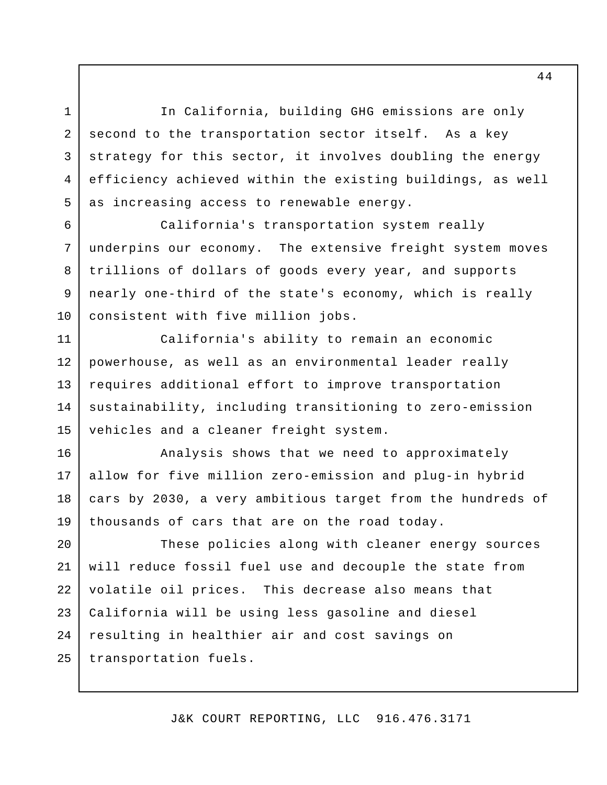In California, building GHG emissions are only second to the transportation sector itself. As a key strategy for this sector, it involves doubling the energy efficiency achieved within the existing buildings, as well as increasing access to renewable energy.

1

2

3

4

5

7

8

9

10

California's transportation system really underpins our economy. The extensive freight system moves trillions of dollars of goods every year, and supports nearly one-third of the state's economy, which is really consistent with five million jobs. 6

California's ability to remain an economic powerhouse, as well as an environmental leader really requires additional effort to improve transportation sustainability, including transitioning to zero-emission vehicles and a cleaner freight system. 11 12 13 14 15

Analysis shows that we need to approximately allow for five million zero-emission and plug-in hybrid cars by 2030, a very ambitious target from the hundreds of thousands of cars that are on the road today. 16 17 18 19

These policies along with cleaner energy sources will reduce fossil fuel use and decouple the state from volatile oil prices. This decrease also means that California will be using less gasoline and diesel resulting in healthier air and cost savings on transportation fuels. 20 21 22 23 24 25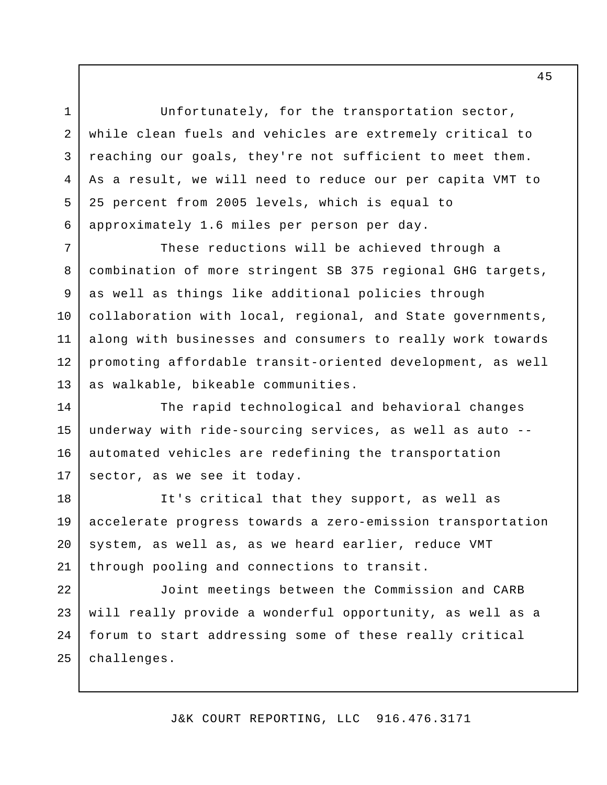Unfortunately, for the transportation sector, while clean fuels and vehicles are extremely critical to reaching our goals, they're not sufficient to meet them. As a result, we will need to reduce our per capita VMT to 25 percent from 2005 levels, which is equal to approximately 1.6 miles per person per day.

1

2

3

4

5

6

These reductions will be achieved through a combination of more stringent SB 375 regional GHG targets, as well as things like additional policies through collaboration with local, regional, and State governments, along with businesses and consumers to really work towards promoting affordable transit-oriented development, as well as walkable, bikeable communities. 7 8 9 10 11 12 13

The rapid technological and behavioral changes underway with ride-sourcing services, as well as auto - automated vehicles are redefining the transportation sector, as we see it today. 14 15 16 17

It's critical that they support, as well as accelerate progress towards a zero-emission transportation system, as well as, as we heard earlier, reduce VMT through pooling and connections to transit. 18 19 20 21

Joint meetings between the Commission and CARB will really provide a wonderful opportunity, as well as a forum to start addressing some of these really critical challenges. 22 23  $2.4$ 25

J&K COURT REPORTING, LLC 916.476.3171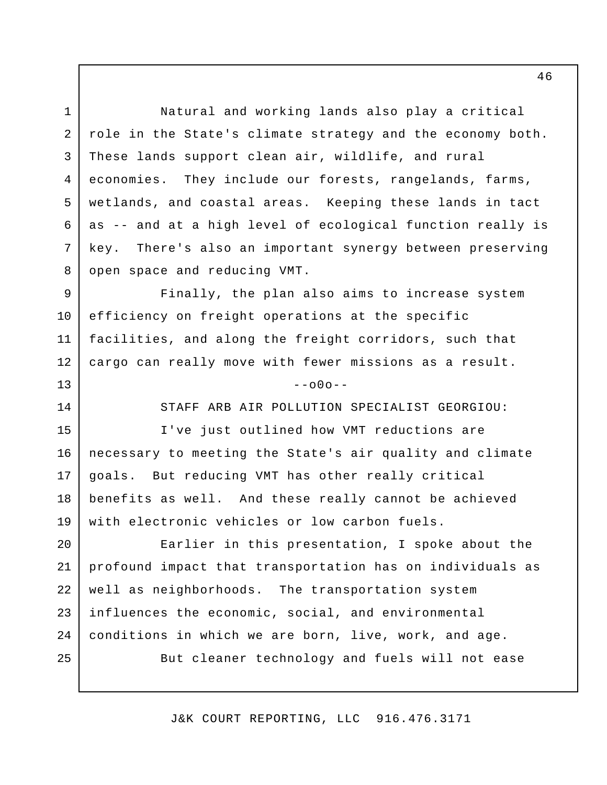Natural and working lands also play a critical role in the State's climate strategy and the economy both. These lands support clean air, wildlife, and rural economies. They include our forests, rangelands, farms, wetlands, and coastal areas. Keeping these lands in tact as -- and at a high level of ecological function really is key. There's also an important synergy between preserving open space and reducing VMT. 1 2 3 4 5 6 7 8

Finally, the plan also aims to increase system efficiency on freight operations at the specific facilities, and along the freight corridors, such that cargo can really move with fewer missions as a result. 9 10 11 12

13

14

25

 $-000-$ 

STAFF ARB AIR POLLUTION SPECIALIST GEORGIOU:

I've just outlined how VMT reductions are necessary to meeting the State's air quality and climate goals. But reducing VMT has other really critical benefits as well. And these really cannot be achieved with electronic vehicles or low carbon fuels. 15 16 17 18 19

Earlier in this presentation, I spoke about the profound impact that transportation has on individuals as well as neighborhoods. The transportation system influences the economic, social, and environmental conditions in which we are born, live, work, and age. 20 21 22 23 24

But cleaner technology and fuels will not ease

J&K COURT REPORTING, LLC 916.476.3171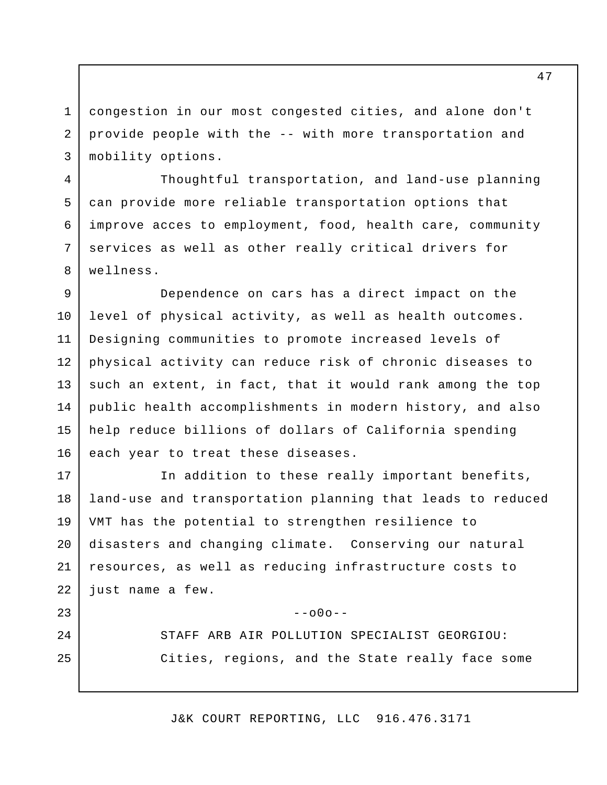congestion in our most congested cities, and alone don't provide people with the -- with more transportation and mobility options. 1 2 3

4

5

6

7

8

23

 $2.4$ 

25

Thoughtful transportation, and land-use planning can provide more reliable transportation options that improve acces to employment, food, health care, community services as well as other really critical drivers for wellness.

Dependence on cars has a direct impact on the level of physical activity, as well as health outcomes. Designing communities to promote increased levels of physical activity can reduce risk of chronic diseases to such an extent, in fact, that it would rank among the top public health accomplishments in modern history, and also help reduce billions of dollars of California spending each year to treat these diseases. 9 10 11 12 13 14 15 16

In addition to these really important benefits, land-use and transportation planning that leads to reduced VMT has the potential to strengthen resilience to disasters and changing climate. Conserving our natural resources, as well as reducing infrastructure costs to just name a few. 17 18 19 20 21 22

 $-000-$ 

STAFF ARB AIR POLLUTION SPECIALIST GEORGIOU: Cities, regions, and the State really face some

J&K COURT REPORTING, LLC 916.476.3171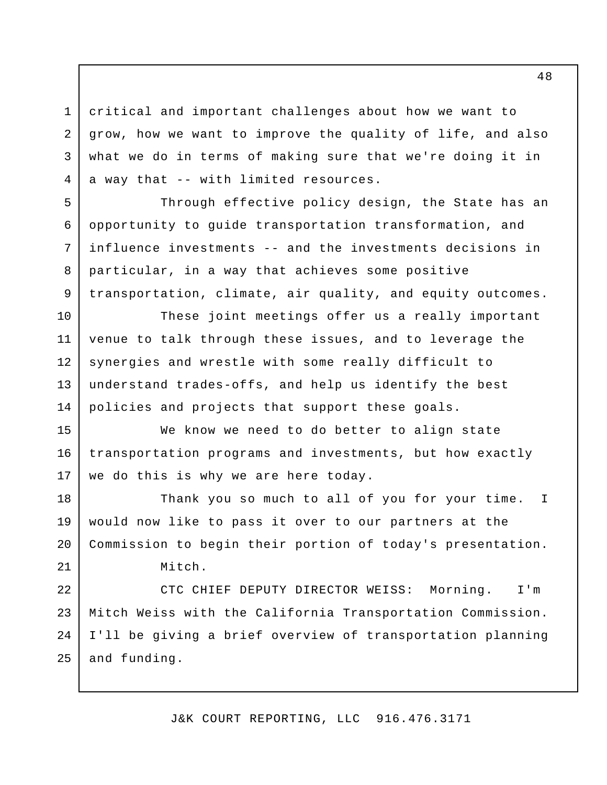critical and important challenges about how we want to grow, how we want to improve the quality of life, and also what we do in terms of making sure that we're doing it in a way that -- with limited resources.

1

2

3

4

5

6

7

8

9

Through effective policy design, the State has an opportunity to guide transportation transformation, and influence investments -- and the investments decisions in particular, in a way that achieves some positive transportation, climate, air quality, and equity outcomes.

These joint meetings offer us a really important venue to talk through these issues, and to leverage the synergies and wrestle with some really difficult to understand trades-offs, and help us identify the best policies and projects that support these goals. 10 11 12 13 14

We know we need to do better to align state transportation programs and investments, but how exactly we do this is why we are here today. 15 16 17

Thank you so much to all of you for your time. I would now like to pass it over to our partners at the Commission to begin their portion of today's presentation. Mitch. 18 19 20 21

CTC CHIEF DEPUTY DIRECTOR WEISS: Morning. I'm Mitch Weiss with the California Transportation Commission. I'll be giving a brief overview of transportation planning and funding. 22 23 24 25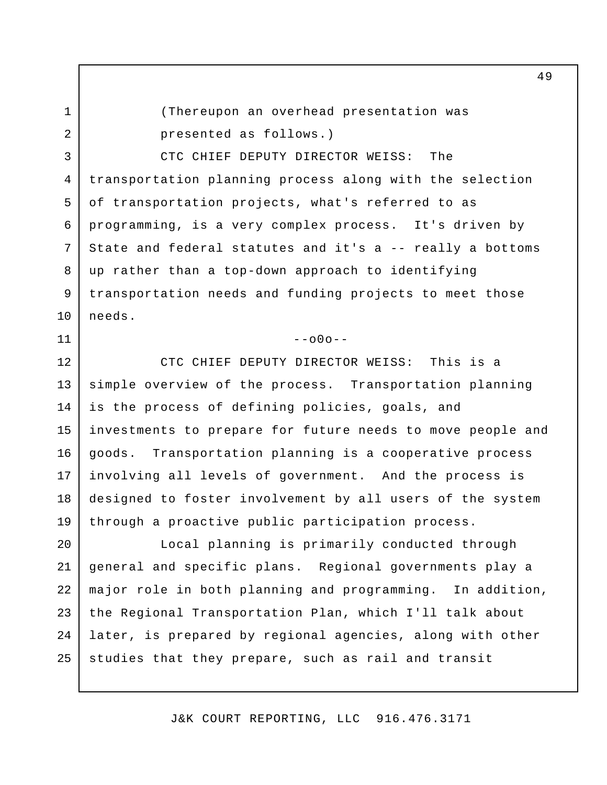1 2

11

(Thereupon an overhead presentation was presented as follows.)

CTC CHIEF DEPUTY DIRECTOR WEISS: The transportation planning process along with the selection of transportation projects, what's referred to as programming, is a very complex process. It's driven by State and federal statutes and it's a -- really a bottoms up rather than a top-down approach to identifying transportation needs and funding projects to meet those needs. 3 4 5 6 7 8 9 10

 $--000--$ 

CTC CHIEF DEPUTY DIRECTOR WEISS: This is a simple overview of the process. Transportation planning is the process of defining policies, goals, and investments to prepare for future needs to move people and goods. Transportation planning is a cooperative process involving all levels of government. And the process is designed to foster involvement by all users of the system through a proactive public participation process. 12 13 14 15 16 17 18 19

Local planning is primarily conducted through general and specific plans. Regional governments play a major role in both planning and programming. In addition, the Regional Transportation Plan, which I'll talk about later, is prepared by regional agencies, along with other studies that they prepare, such as rail and transit 20 21 22 23 24 25

J&K COURT REPORTING, LLC 916.476.3171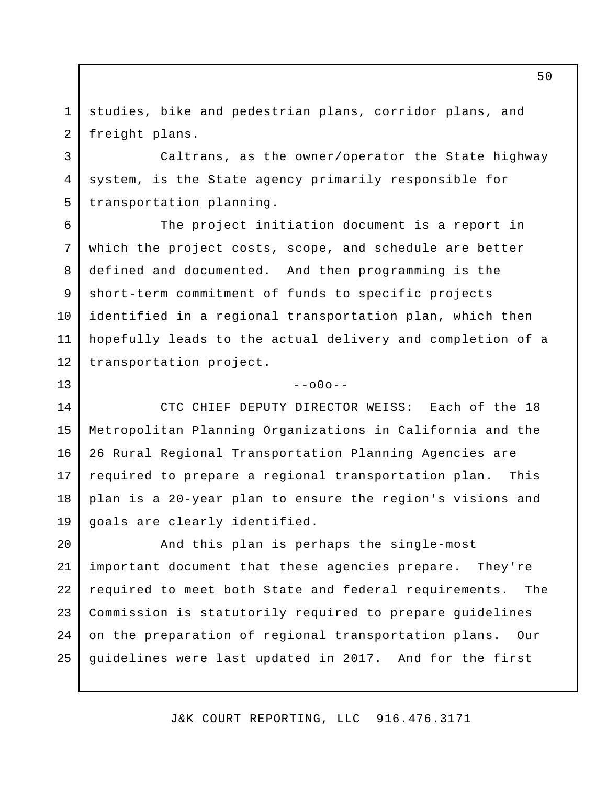studies, bike and pedestrian plans, corridor plans, and freight plans. 1 2

3

5

7

9

10

13

Caltrans, as the owner/operator the State highway system, is the State agency primarily responsible for transportation planning. 4

The project initiation document is a report in which the project costs, scope, and schedule are better defined and documented. And then programming is the short-term commitment of funds to specific projects identified in a regional transportation plan, which then hopefully leads to the actual delivery and completion of a transportation project. 6 8 11 12

## $--000--$

CTC CHIEF DEPUTY DIRECTOR WEISS: Each of the 18 Metropolitan Planning Organizations in California and the 26 Rural Regional Transportation Planning Agencies are required to prepare a regional transportation plan. This plan is a 20-year plan to ensure the region's visions and goals are clearly identified. 14 15 16 17 18 19

And this plan is perhaps the single-most important document that these agencies prepare. They're required to meet both State and federal requirements. The Commission is statutorily required to prepare guidelines on the preparation of regional transportation plans. Our guidelines were last updated in 2017. And for the first 20 21 22 23 24 25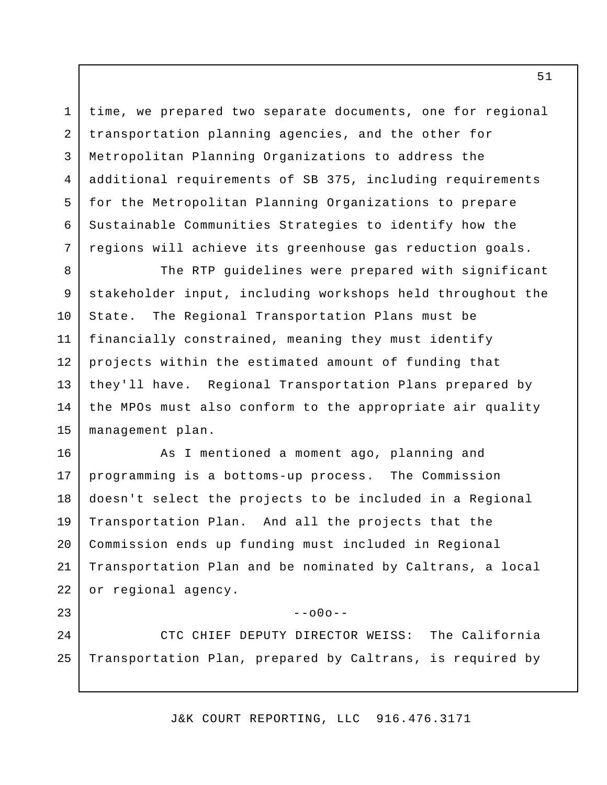time, we prepared two separate documents, one for regional transportation planning agencies, and the other for Metropolitan Planning Organizations to address the additional requirements of SB 375, including requirements for the Metropolitan Planning Organizations to prepare Sustainable Communities Strategies to identify how the regions will achieve its greenhouse gas reduction goals.

1

2

3

4

5

6

7

23

The RTP guidelines were prepared with significant stakeholder input, including workshops held throughout the State. The Regional Transportation Plans must be financially constrained, meaning they must identify projects within the estimated amount of funding that they'll have. Regional Transportation Plans prepared by the MPOs must also conform to the appropriate air quality management plan. 8 9 10 11 12 13 14 15

As I mentioned a moment ago, planning and programming is a bottoms-up process. The Commission doesn't select the projects to be included in a Regional Transportation Plan. And all the projects that the Commission ends up funding must included in Regional Transportation Plan and be nominated by Caltrans, a local or regional agency. 16 17 18 19 20 21 22

 $-000-$ 

CTC CHIEF DEPUTY DIRECTOR WEISS: The California Transportation Plan, prepared by Caltrans, is required by  $2.4$ 25

J&K COURT REPORTING, LLC 916.476.3171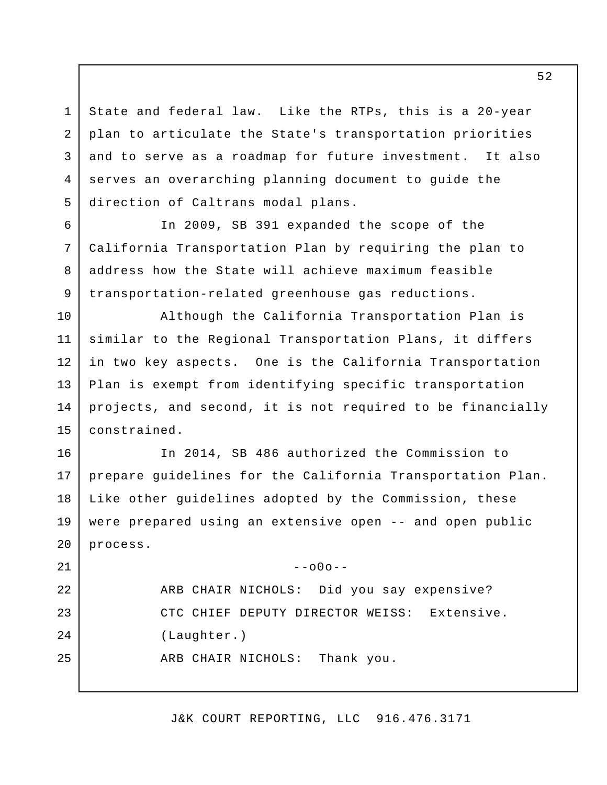State and federal law. Like the RTPs, this is a 20-year plan to articulate the State's transportation priorities and to serve as a roadmap for future investment. It also serves an overarching planning document to guide the direction of Caltrans modal plans. 1 2 3 4 5

In 2009, SB 391 expanded the scope of the California Transportation Plan by requiring the plan to address how the State will achieve maximum feasible transportation-related greenhouse gas reductions.

6

7

8

9

10

15

Although the California Transportation Plan is similar to the Regional Transportation Plans, it differs in two key aspects. One is the California Transportation Plan is exempt from identifying specific transportation projects, and second, it is not required to be financially constrained. 11 12 13 14

In 2014, SB 486 authorized the Commission to prepare guidelines for the California Transportation Plan. Like other guidelines adopted by the Commission, these were prepared using an extensive open -- and open public process. 16 17 18 19 20

 $--000--$ ARB CHAIR NICHOLS: Did you say expensive? CTC CHIEF DEPUTY DIRECTOR WEISS: Extensive. (Laughter.) ARB CHAIR NICHOLS: Thank you. 21 22 23 24 25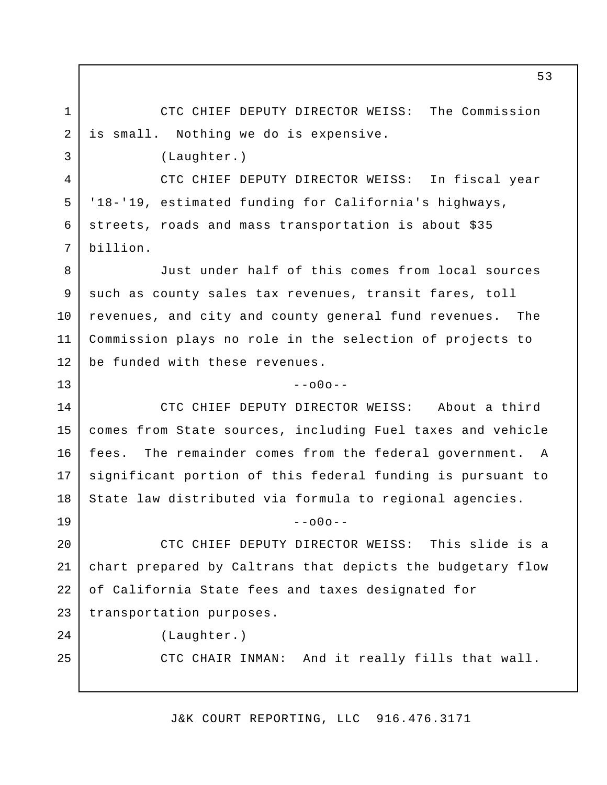CTC CHIEF DEPUTY DIRECTOR WEISS: The Commission is small. Nothing we do is expensive.

(Laughter.)

CTC CHIEF DEPUTY DIRECTOR WEISS: In fiscal year '18-'19, estimated funding for California's highways, streets, roads and mass transportation is about \$35 billion.

Just under half of this comes from local sources such as county sales tax revenues, transit fares, toll revenues, and city and county general fund revenues. The Commission plays no role in the selection of projects to be funded with these revenues. 8 9 10 11 12

 $-000-$ 

CTC CHIEF DEPUTY DIRECTOR WEISS: About a third comes from State sources, including Fuel taxes and vehicle fees. The remainder comes from the federal government. A significant portion of this federal funding is pursuant to State law distributed via formula to regional agencies. 14 15 16 17 18

 $--000--$ 

CTC CHIEF DEPUTY DIRECTOR WEISS: This slide is a chart prepared by Caltrans that depicts the budgetary flow of California State fees and taxes designated for transportation purposes. 20 21 22 23

1

2

3

4

5

6

7

13

19

 $2.4$ 

25

(Laughter.)

CTC CHAIR INMAN: And it really fills that wall.

J&K COURT REPORTING, LLC 916.476.3171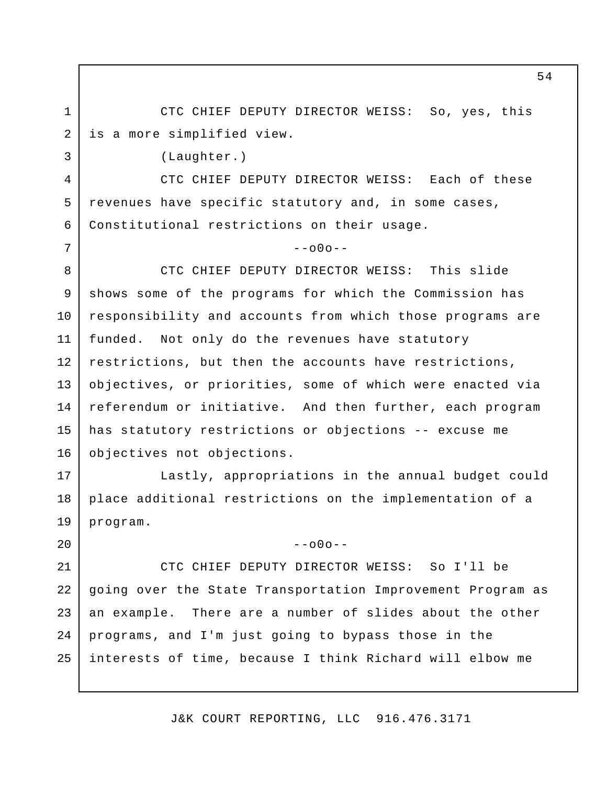CTC CHIEF DEPUTY DIRECTOR WEISS: So, yes, this is a more simplified view. 1 2

(Laughter.)

3

4

5

6

7

18

19

20

CTC CHIEF DEPUTY DIRECTOR WEISS: Each of these revenues have specific statutory and, in some cases, Constitutional restrictions on their usage.

## $--000--$

CTC CHIEF DEPUTY DIRECTOR WEISS: This slide shows some of the programs for which the Commission has responsibility and accounts from which those programs are funded. Not only do the revenues have statutory restrictions, but then the accounts have restrictions, objectives, or priorities, some of which were enacted via referendum or initiative. And then further, each program has statutory restrictions or objections -- excuse me objectives not objections. 8 9 10 11 12 13 14 15 16

Lastly, appropriations in the annual budget could place additional restrictions on the implementation of a program. 17

 $-000-$ 

CTC CHIEF DEPUTY DIRECTOR WEISS: So I'll be going over the State Transportation Improvement Program as an example. There are a number of slides about the other programs, and I'm just going to bypass those in the interests of time, because I think Richard will elbow me 21 22 23 24 25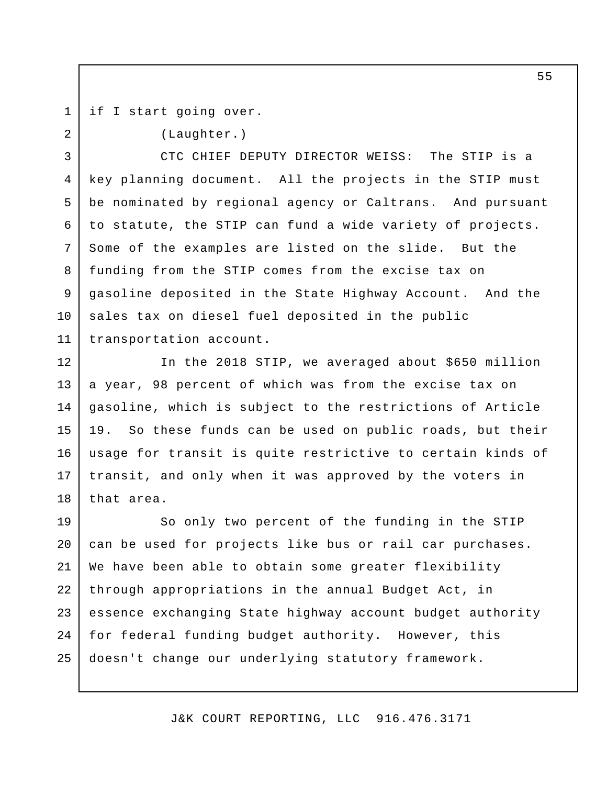if I start going over.

1

(Laughter.) CTC CHIEF DEPUTY DIRECTOR WEISS: The STIP is a key planning document. All the projects in the STIP must be nominated by regional agency or Caltrans. And pursuant to statute, the STIP can fund a wide variety of projects. Some of the examples are listed on the slide. But the funding from the STIP comes from the excise tax on gasoline deposited in the State Highway Account. And the sales tax on diesel fuel deposited in the public transportation account. 2 3 4 5 6 7 8 9 10 11

In the 2018 STIP, we averaged about \$650 million a year, 98 percent of which was from the excise tax on gasoline, which is subject to the restrictions of Article 19. So these funds can be used on public roads, but their usage for transit is quite restrictive to certain kinds of transit, and only when it was approved by the voters in that area. 12 13 14 15 16 17 18

So only two percent of the funding in the STIP can be used for projects like bus or rail car purchases. We have been able to obtain some greater flexibility through appropriations in the annual Budget Act, in essence exchanging State highway account budget authority for federal funding budget authority. However, this doesn't change our underlying statutory framework. 19 20 21 22 23 24 25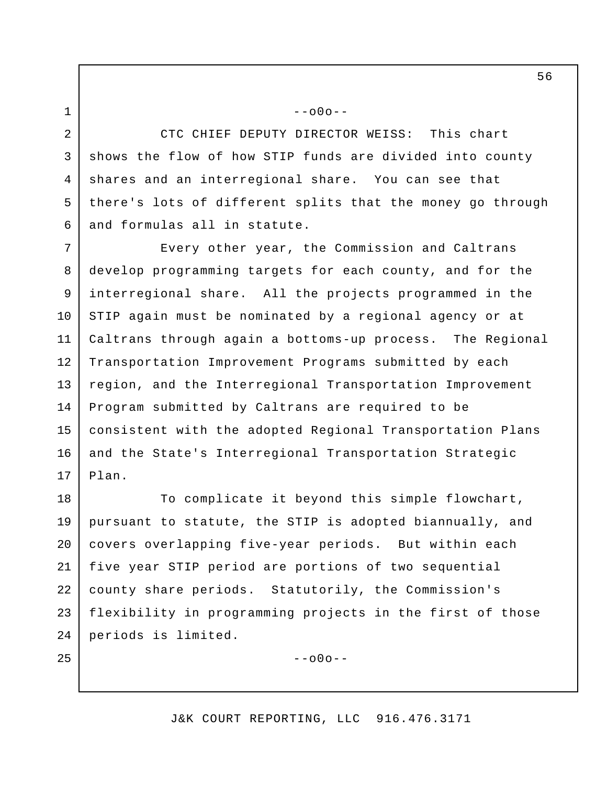1 2

6

25

CTC CHIEF DEPUTY DIRECTOR WEISS: This chart shows the flow of how STIP funds are divided into county shares and an interregional share. You can see that there's lots of different splits that the money go through and formulas all in statute. 3 4 5

 $--000--$ 

Every other year, the Commission and Caltrans develop programming targets for each county, and for the interregional share. All the projects programmed in the STIP again must be nominated by a regional agency or at Caltrans through again a bottoms-up process. The Regional Transportation Improvement Programs submitted by each region, and the Interregional Transportation Improvement Program submitted by Caltrans are required to be consistent with the adopted Regional Transportation Plans and the State's Interregional Transportation Strategic Plan. 7 8 9 10 11 12 13 14 15 16 17

To complicate it beyond this simple flowchart, pursuant to statute, the STIP is adopted biannually, and covers overlapping five-year periods. But within each five year STIP period are portions of two sequential county share periods. Statutorily, the Commission's flexibility in programming projects in the first of those periods is limited. 18 19 20 21 22 23 24

--o0o--

## J&K COURT REPORTING, LLC 916.476.3171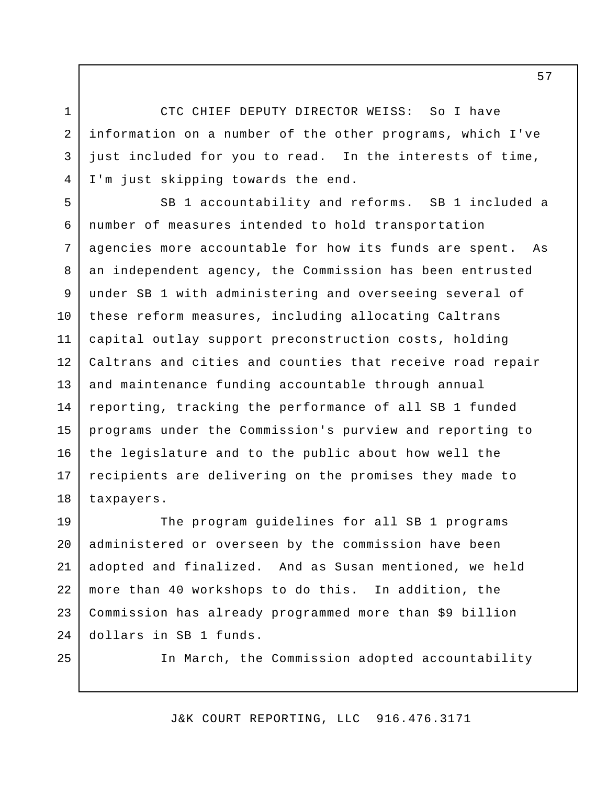CTC CHIEF DEPUTY DIRECTOR WEISS: So I have information on a number of the other programs, which I've just included for you to read. In the interests of time, I'm just skipping towards the end.

1

2

3

4

25

SB 1 accountability and reforms. SB 1 included a number of measures intended to hold transportation agencies more accountable for how its funds are spent. As an independent agency, the Commission has been entrusted under SB 1 with administering and overseeing several of these reform measures, including allocating Caltrans capital outlay support preconstruction costs, holding Caltrans and cities and counties that receive road repair and maintenance funding accountable through annual reporting, tracking the performance of all SB 1 funded programs under the Commission's purview and reporting to the legislature and to the public about how well the recipients are delivering on the promises they made to taxpayers. 5 6 7 8 9 10 11 12 13 14 15 16 17 18

The program guidelines for all SB 1 programs administered or overseen by the commission have been adopted and finalized. And as Susan mentioned, we held more than 40 workshops to do this. In addition, the Commission has already programmed more than \$9 billion dollars in SB 1 funds. 19 20 21 22 23 24

In March, the Commission adopted accountability

J&K COURT REPORTING, LLC 916.476.3171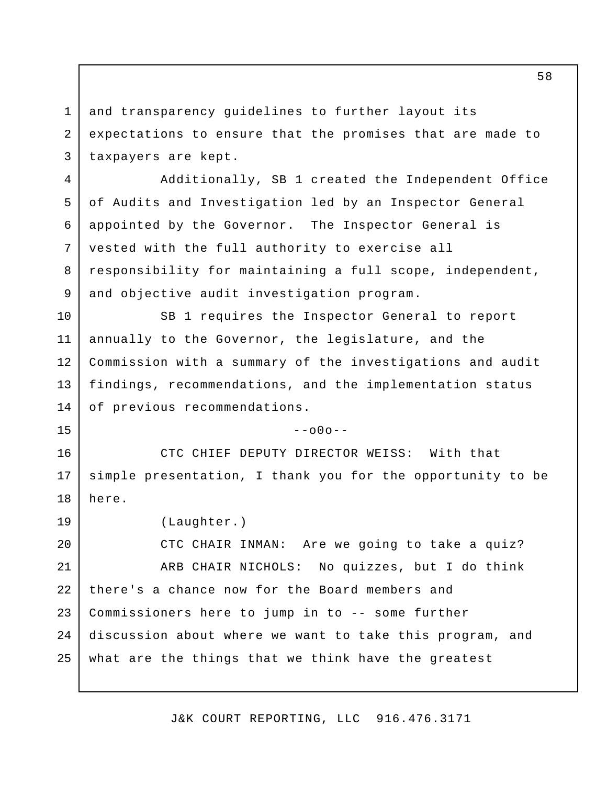and transparency guidelines to further layout its expectations to ensure that the promises that are made to taxpayers are kept. 1 2 3

Additionally, SB 1 created the Independent Office of Audits and Investigation led by an Inspector General appointed by the Governor. The Inspector General is vested with the full authority to exercise all responsibility for maintaining a full scope, independent, and objective audit investigation program. 4 5 6 7 8 9

SB 1 requires the Inspector General to report annually to the Governor, the legislature, and the Commission with a summary of the investigations and audit findings, recommendations, and the implementation status of previous recommendations. 10 11 12 13 14

 $-000-$ 

CTC CHIEF DEPUTY DIRECTOR WEISS: With that simple presentation, I thank you for the opportunity to be here. 16 17 18

(Laughter.) 19

15

CTC CHAIR INMAN: Are we going to take a quiz? ARB CHAIR NICHOLS: No quizzes, but I do think there's a chance now for the Board members and Commissioners here to jump in to -- some further discussion about where we want to take this program, and what are the things that we think have the greatest 20 21 22 23  $2.4$ 25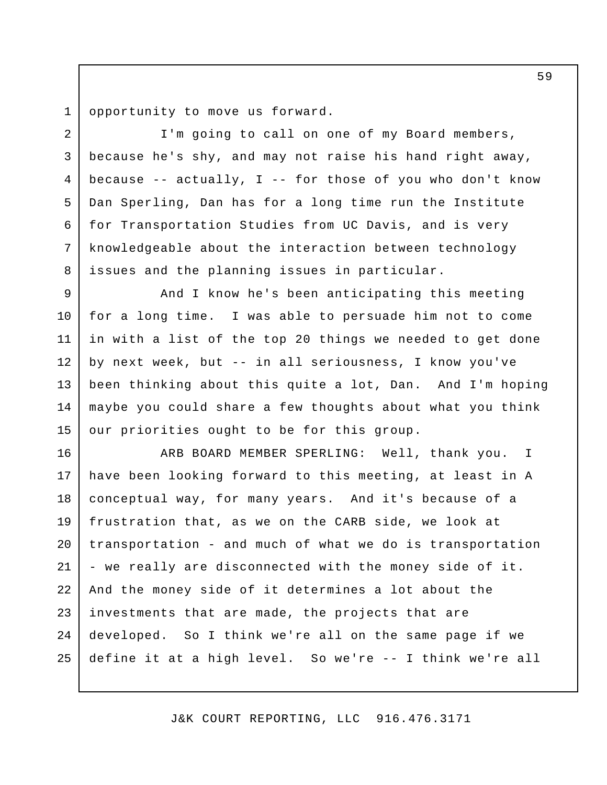opportunity to move us forward. 1

2

3

4

5

6

7

8

I'm going to call on one of my Board members, because he's shy, and may not raise his hand right away, because  $--$  actually, I  $--$  for those of you who don't know Dan Sperling, Dan has for a long time run the Institute for Transportation Studies from UC Davis, and is very knowledgeable about the interaction between technology issues and the planning issues in particular.

And I know he's been anticipating this meeting for a long time. I was able to persuade him not to come in with a list of the top 20 things we needed to get done by next week, but -- in all seriousness, I know you've been thinking about this quite a lot, Dan. And I'm hoping maybe you could share a few thoughts about what you think our priorities ought to be for this group. 9 10 11 12 13 14 15

ARB BOARD MEMBER SPERLING: Well, thank you. I have been looking forward to this meeting, at least in A conceptual way, for many years. And it's because of a frustration that, as we on the CARB side, we look at transportation - and much of what we do is transportation - we really are disconnected with the money side of it. And the money side of it determines a lot about the investments that are made, the projects that are developed. So I think we're all on the same page if we define it at a high level. So we're -- I think we're all 16 17 18 19 20 21 22 23 24 25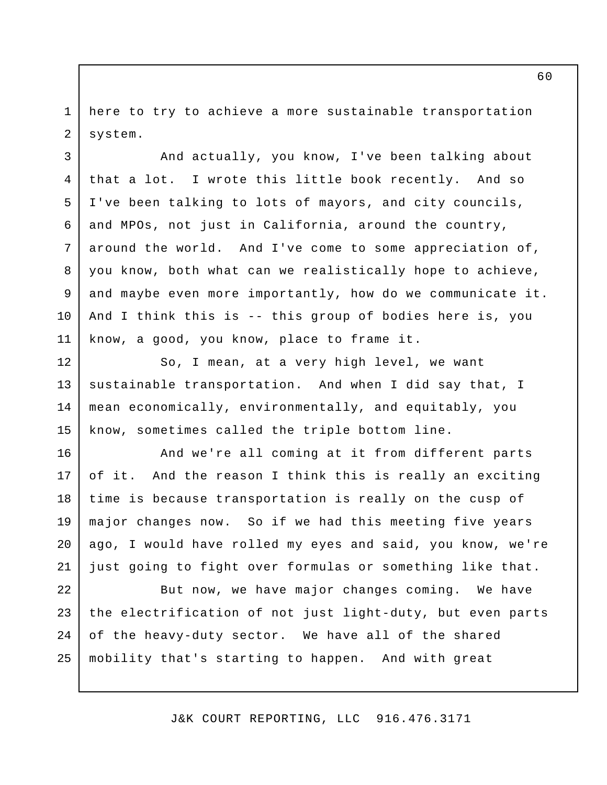here to try to achieve a more sustainable transportation system. 1 2

3

4

5

6

7

8

9

10

11

And actually, you know, I've been talking about that a lot. I wrote this little book recently. And so I've been talking to lots of mayors, and city councils, and MPOs, not just in California, around the country, around the world. And I've come to some appreciation of, you know, both what can we realistically hope to achieve, and maybe even more importantly, how do we communicate it. And I think this is -- this group of bodies here is, you know, a good, you know, place to frame it.

So, I mean, at a very high level, we want sustainable transportation. And when I did say that, I mean economically, environmentally, and equitably, you know, sometimes called the triple bottom line. 12 13 14 15

And we're all coming at it from different parts of it. And the reason I think this is really an exciting time is because transportation is really on the cusp of major changes now. So if we had this meeting five years ago, I would have rolled my eyes and said, you know, we're just going to fight over formulas or something like that. 16 17 18 19 20 21

But now, we have major changes coming. We have the electrification of not just light-duty, but even parts of the heavy-duty sector. We have all of the shared mobility that's starting to happen. And with great 22 23 24 25

J&K COURT REPORTING, LLC 916.476.3171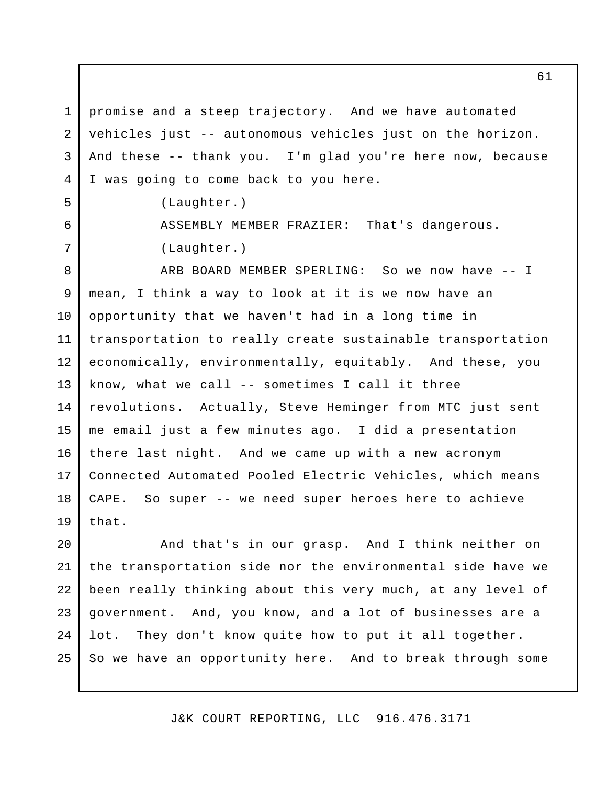promise and a steep trajectory. And we have automated vehicles just -- autonomous vehicles just on the horizon. And these -- thank you. I'm glad you're here now, because I was going to come back to you here. 1 2 3 4

(Laughter.)

5

6

7

ASSEMBLY MEMBER FRAZIER: That's dangerous. (Laughter.)

ARB BOARD MEMBER SPERLING: So we now have -- I mean, I think a way to look at it is we now have an opportunity that we haven't had in a long time in transportation to really create sustainable transportation economically, environmentally, equitably. And these, you know, what we call -- sometimes I call it three revolutions. Actually, Steve Heminger from MTC just sent me email just a few minutes ago. I did a presentation there last night. And we came up with a new acronym Connected Automated Pooled Electric Vehicles, which means CAPE. So super -- we need super heroes here to achieve that. 8 9 10 11 12 13 14 15 16 17 18 19

And that's in our grasp. And I think neither on the transportation side nor the environmental side have we been really thinking about this very much, at any level of government. And, you know, and a lot of businesses are a lot. They don't know quite how to put it all together. So we have an opportunity here. And to break through some 20 21 22 23 24 25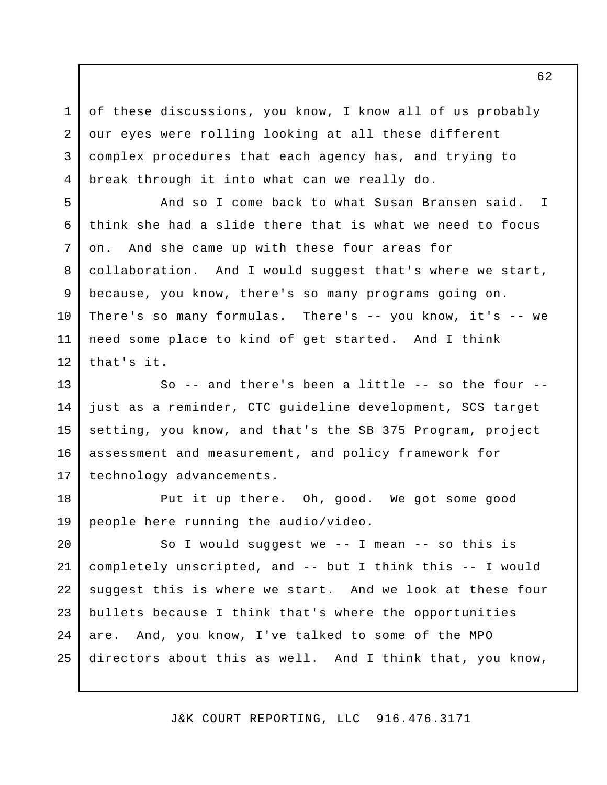of these discussions, you know, I know all of us probably our eyes were rolling looking at all these different complex procedures that each agency has, and trying to break through it into what can we really do.

1

2

3

4

5

6

7

8

9

10

11

12

And so I come back to what Susan Bransen said. I think she had a slide there that is what we need to focus on. And she came up with these four areas for collaboration. And I would suggest that's where we start, because, you know, there's so many programs going on. There's so many formulas. There's -- you know, it's -- we need some place to kind of get started. And I think that's it.

So  $-$  and there's been a little  $-$  so the four  $$ just as a reminder, CTC guideline development, SCS target setting, you know, and that's the SB 375 Program, project assessment and measurement, and policy framework for technology advancements. 13 14 15 16 17

Put it up there. Oh, good. We got some good people here running the audio/video. 18 19

So I would suggest we -- I mean -- so this is completely unscripted, and -- but I think this -- I would suggest this is where we start. And we look at these four bullets because I think that's where the opportunities are. And, you know, I've talked to some of the MPO directors about this as well. And I think that, you know, 20 21 22 23 24 25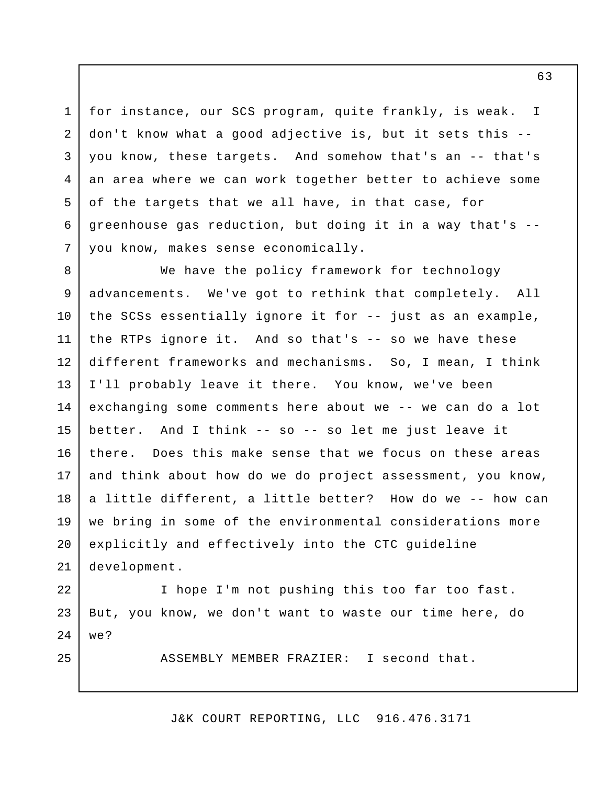for instance, our SCS program, quite frankly, is weak. I don't know what a good adjective is, but it sets this - you know, these targets. And somehow that's an -- that's an area where we can work together better to achieve some of the targets that we all have, in that case, for greenhouse gas reduction, but doing it in a way that's - you know, makes sense economically. 4 5

1

2

3

6

7

25

We have the policy framework for technology advancements. We've got to rethink that completely. All the SCSs essentially ignore it for -- just as an example, the RTPs ignore it. And so that's -- so we have these different frameworks and mechanisms. So, I mean, I think I'll probably leave it there. You know, we've been exchanging some comments here about we -- we can do a lot better. And I think -- so -- so let me just leave it there. Does this make sense that we focus on these areas and think about how do we do project assessment, you know, a little different, a little better? How do we -- how can we bring in some of the environmental considerations more explicitly and effectively into the CTC guideline development. 8 9 10 11 12 13 14 15 16 17 18 19 20 21

I hope I'm not pushing this too far too fast. But, you know, we don't want to waste our time here, do we? 22 23  $2.4$ 

ASSEMBLY MEMBER FRAZIER: I second that.

J&K COURT REPORTING, LLC 916.476.3171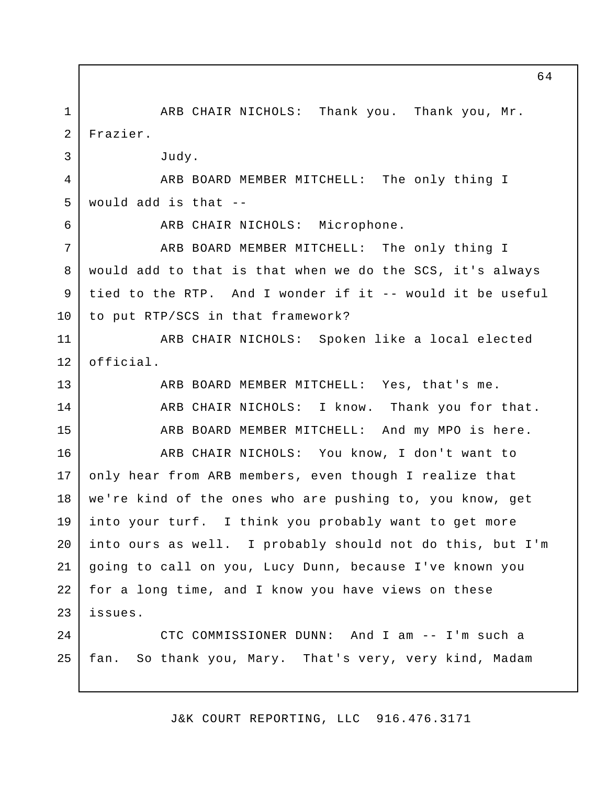ARB CHAIR NICHOLS: Thank you. Thank you, Mr. Frazier. Judy. ARB BOARD MEMBER MITCHELL: The only thing I would add is that -- ARB CHAIR NICHOLS: Microphone. ARB BOARD MEMBER MITCHELL: The only thing I would add to that is that when we do the SCS, it's always tied to the RTP. And I wonder if it -- would it be useful to put RTP/SCS in that framework? ARB CHAIR NICHOLS: Spoken like a local elected official. ARB BOARD MEMBER MITCHELL: Yes, that's me. ARB CHAIR NICHOLS: I know. Thank you for that. ARB BOARD MEMBER MITCHELL: And my MPO is here. ARB CHAIR NICHOLS: You know, I don't want to only hear from ARB members, even though I realize that we're kind of the ones who are pushing to, you know, get into your turf. I think you probably want to get more into ours as well. I probably should not do this, but I'm going to call on you, Lucy Dunn, because I've known you for a long time, and I know you have views on these issues. CTC COMMISSIONER DUNN: And I am -- I'm such a fan. So thank you, Mary. That's very, very kind, Madam 1 2 3 4 5 6 7 8 9 10 11 12 13 14 15 16 17 18 19 20 21 22 23  $2.4$ 25

J&K COURT REPORTING, LLC 916.476.3171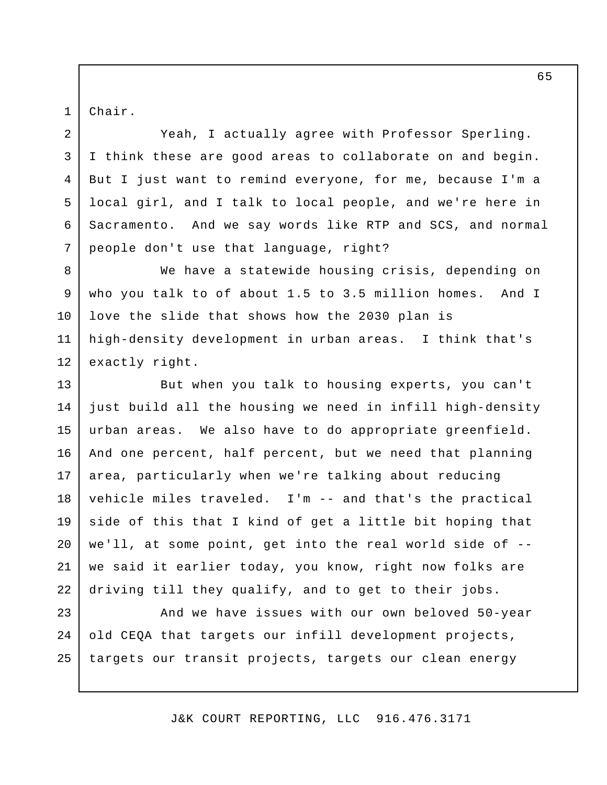Chair.

1

2

3

4

5

6

7

Yeah, I actually agree with Professor Sperling. I think these are good areas to collaborate on and begin. But I just want to remind everyone, for me, because I'm a local girl, and I talk to local people, and we're here in Sacramento. And we say words like RTP and SCS, and normal people don't use that language, right?

We have a statewide housing crisis, depending on who you talk to of about 1.5 to 3.5 million homes. And I love the slide that shows how the 2030 plan is high-density development in urban areas. I think that's exactly right. 8 9 10 11 12

But when you talk to housing experts, you can't just build all the housing we need in infill high-density urban areas. We also have to do appropriate greenfield. And one percent, half percent, but we need that planning area, particularly when we're talking about reducing vehicle miles traveled. I'm -- and that's the practical side of this that I kind of get a little bit hoping that we'll, at some point, get into the real world side of - we said it earlier today, you know, right now folks are driving till they qualify, and to get to their jobs. 13 14 15 16 17 18 19 20 21 22

And we have issues with our own beloved 50-year old CEQA that targets our infill development projects, targets our transit projects, targets our clean energy 23 24 25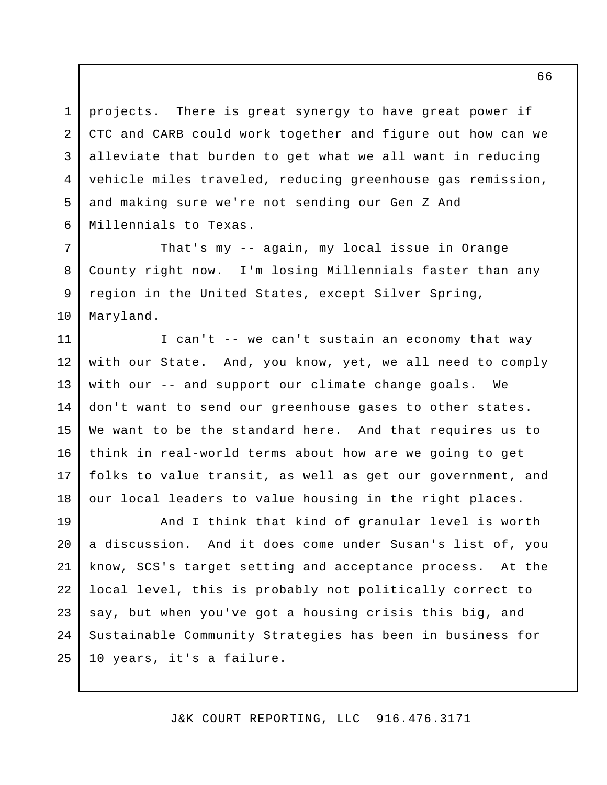projects. There is great synergy to have great power if CTC and CARB could work together and figure out how can we alleviate that burden to get what we all want in reducing vehicle miles traveled, reducing greenhouse gas remission, and making sure we're not sending our Gen Z And Millennials to Texas. 1 2 3 4 5 6

That's my -- again, my local issue in Orange County right now. I'm losing Millennials faster than any region in the United States, except Silver Spring, Maryland. 7 8 9 10

I can't -- we can't sustain an economy that way with our State. And, you know, yet, we all need to comply with our -- and support our climate change goals. We don't want to send our greenhouse gases to other states. We want to be the standard here. And that requires us to think in real-world terms about how are we going to get folks to value transit, as well as get our government, and our local leaders to value housing in the right places. 11 12 13 14 15 16 17 18

And I think that kind of granular level is worth a discussion. And it does come under Susan's list of, you know, SCS's target setting and acceptance process. At the local level, this is probably not politically correct to say, but when you've got a housing crisis this big, and Sustainable Community Strategies has been in business for 10 years, it's a failure. 19 20 21 22 23 24 25

J&K COURT REPORTING, LLC 916.476.3171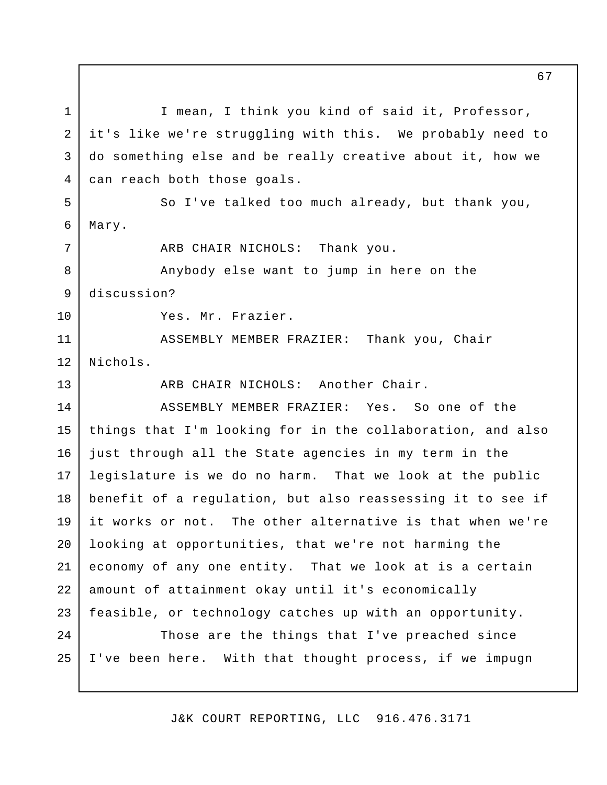I mean, I think you kind of said it, Professor, it's like we're struggling with this. We probably need to do something else and be really creative about it, how we can reach both those goals. So I've talked too much already, but thank you, Mary. ARB CHAIR NICHOLS: Thank you. Anybody else want to jump in here on the discussion? Yes. Mr. Frazier. ASSEMBLY MEMBER FRAZIER: Thank you, Chair Nichols. ARB CHAIR NICHOLS: Another Chair. ASSEMBLY MEMBER FRAZIER: Yes. So one of the things that I'm looking for in the collaboration, and also just through all the State agencies in my term in the legislature is we do no harm. That we look at the public benefit of a regulation, but also reassessing it to see if it works or not. The other alternative is that when we're looking at opportunities, that we're not harming the economy of any one entity. That we look at is a certain amount of attainment okay until it's economically feasible, or technology catches up with an opportunity. Those are the things that I've preached since I've been here. With that thought process, if we impugn 1 2 3 4 5 6 7 8 9 10 11 12 13 14 15 16 17 18 19 20 21 22 23 24 25

J&K COURT REPORTING, LLC 916.476.3171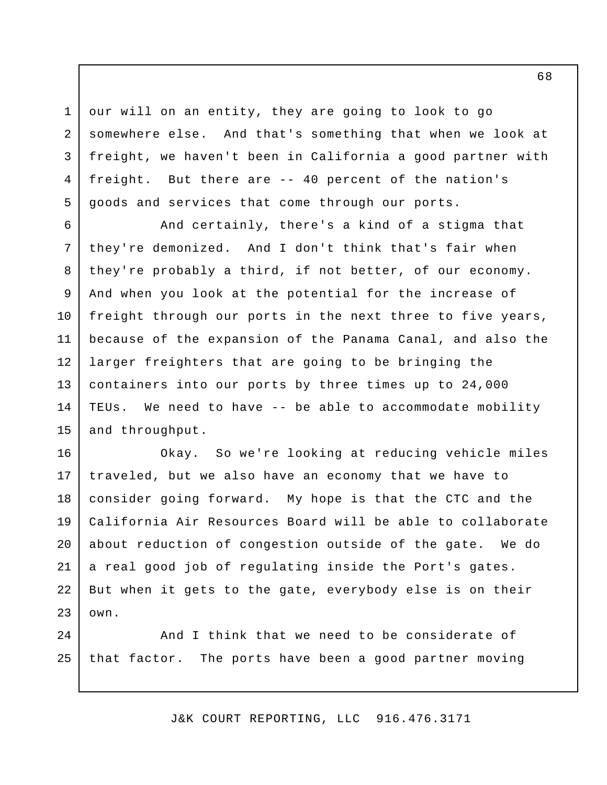our will on an entity, they are going to look to go somewhere else. And that's something that when we look at freight, we haven't been in California a good partner with freight. But there are -- 40 percent of the nation's goods and services that come through our ports.

1

2

3

4

5

And certainly, there's a kind of a stigma that they're demonized. And I don't think that's fair when they're probably a third, if not better, of our economy. And when you look at the potential for the increase of freight through our ports in the next three to five years, because of the expansion of the Panama Canal, and also the larger freighters that are going to be bringing the containers into our ports by three times up to 24,000 TEUs. We need to have -- be able to accommodate mobility and throughput. 6 7 8 9 10 11 12 13 14 15

Okay. So we're looking at reducing vehicle miles traveled, but we also have an economy that we have to consider going forward. My hope is that the CTC and the California Air Resources Board will be able to collaborate about reduction of congestion outside of the gate. We do a real good job of regulating inside the Port's gates. But when it gets to the gate, everybody else is on their own. 16 17 18 19 20 21 22 23

And I think that we need to be considerate of that factor. The ports have been a good partner moving 24 25

J&K COURT REPORTING, LLC 916.476.3171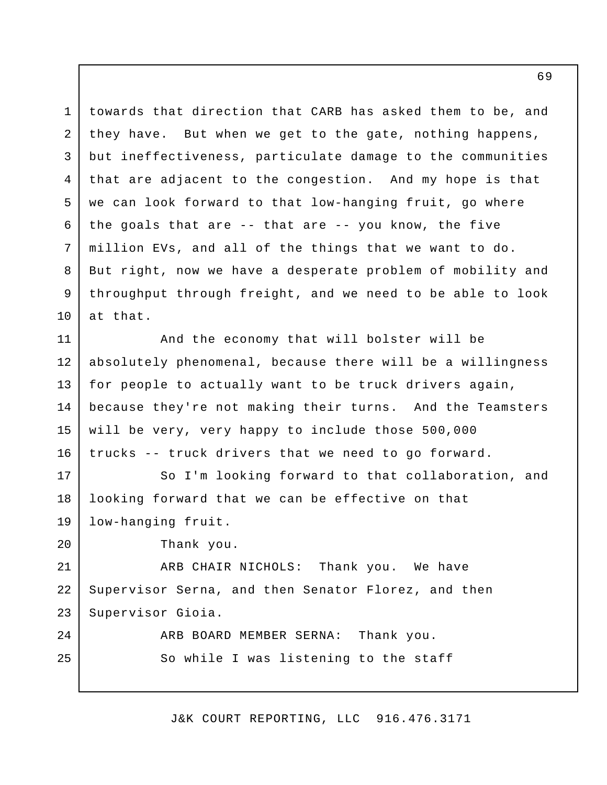towards that direction that CARB has asked them to be, and they have. But when we get to the gate, nothing happens, but ineffectiveness, particulate damage to the communities that are adjacent to the congestion. And my hope is that we can look forward to that low-hanging fruit, go where the goals that are -- that are -- you know, the five million EVs, and all of the things that we want to do. But right, now we have a desperate problem of mobility and throughput through freight, and we need to be able to look at that. 1 2 3 4 5 6 7 8 9 10

And the economy that will bolster will be absolutely phenomenal, because there will be a willingness for people to actually want to be truck drivers again, because they're not making their turns. And the Teamsters will be very, very happy to include those 500,000 trucks -- truck drivers that we need to go forward. 11 12 13 14 15 16

So I'm looking forward to that collaboration, and looking forward that we can be effective on that low-hanging fruit. 17 18 19

Thank you.

20

24

25

ARB CHAIR NICHOLS: Thank you. We have Supervisor Serna, and then Senator Florez, and then Supervisor Gioia. 21 22 23

> ARB BOARD MEMBER SERNA: Thank you. So while I was listening to the staff

> > J&K COURT REPORTING, LLC 916.476.3171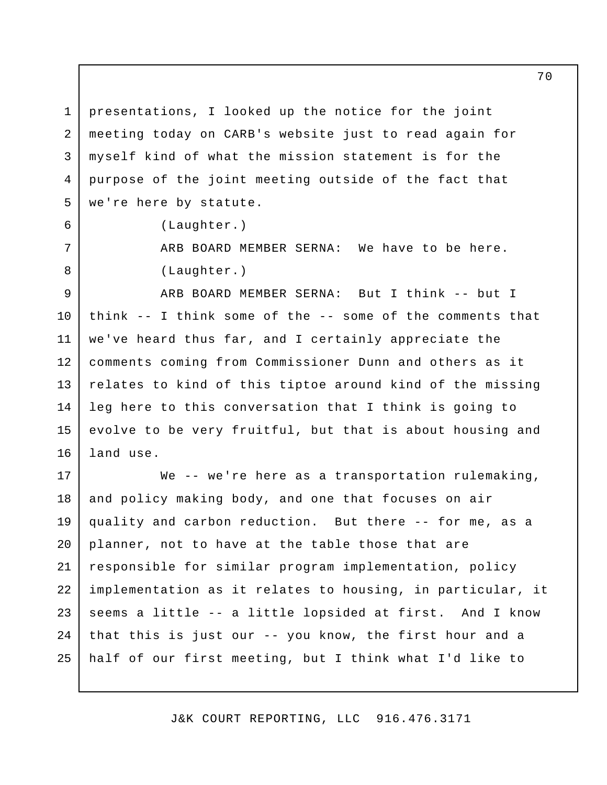presentations, I looked up the notice for the joint meeting today on CARB's website just to read again for myself kind of what the mission statement is for the purpose of the joint meeting outside of the fact that we're here by statute. 1 2 3 4 5

(Laughter.)

6

7

8

ARB BOARD MEMBER SERNA: We have to be here. (Laughter.)

ARB BOARD MEMBER SERNA: But I think -- but I think -- I think some of the -- some of the comments that we've heard thus far, and I certainly appreciate the comments coming from Commissioner Dunn and others as it relates to kind of this tiptoe around kind of the missing leg here to this conversation that I think is going to evolve to be very fruitful, but that is about housing and land use. 9 10 11 12 13 14 15 16

We -- we're here as a transportation rulemaking, and policy making body, and one that focuses on air quality and carbon reduction. But there -- for me, as a planner, not to have at the table those that are responsible for similar program implementation, policy implementation as it relates to housing, in particular, it seems a little -- a little lopsided at first. And I know that this is just our -- you know, the first hour and a half of our first meeting, but I think what I'd like to 17 18 19 20 21 22 23 24 25

J&K COURT REPORTING, LLC 916.476.3171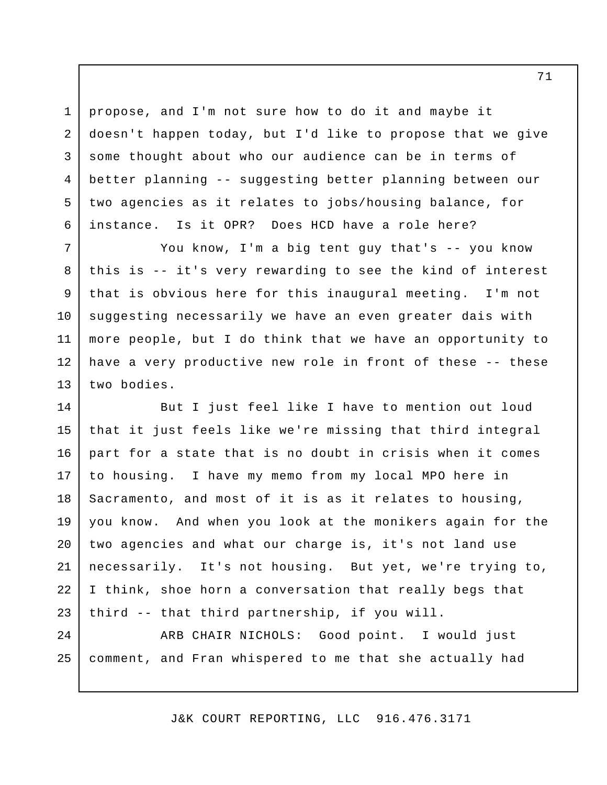propose, and I'm not sure how to do it and maybe it doesn't happen today, but I'd like to propose that we give some thought about who our audience can be in terms of better planning -- suggesting better planning between our two agencies as it relates to jobs/housing balance, for instance. Is it OPR? Does HCD have a role here? 1 2 3 4 5 6

You know, I'm a big tent guy that's -- you know this is -- it's very rewarding to see the kind of interest that is obvious here for this inaugural meeting. I'm not suggesting necessarily we have an even greater dais with more people, but I do think that we have an opportunity to have a very productive new role in front of these -- these two bodies. 7 8 9 10 11 12 13

But I just feel like I have to mention out loud that it just feels like we're missing that third integral part for a state that is no doubt in crisis when it comes to housing. I have my memo from my local MPO here in Sacramento, and most of it is as it relates to housing, you know. And when you look at the monikers again for the two agencies and what our charge is, it's not land use necessarily. It's not housing. But yet, we're trying to, I think, shoe horn a conversation that really begs that third -- that third partnership, if you will. ARB CHAIR NICHOLS: Good point. I would just 14 15 16 17 18 19 20 21 22 23 24

comment, and Fran whispered to me that she actually had 25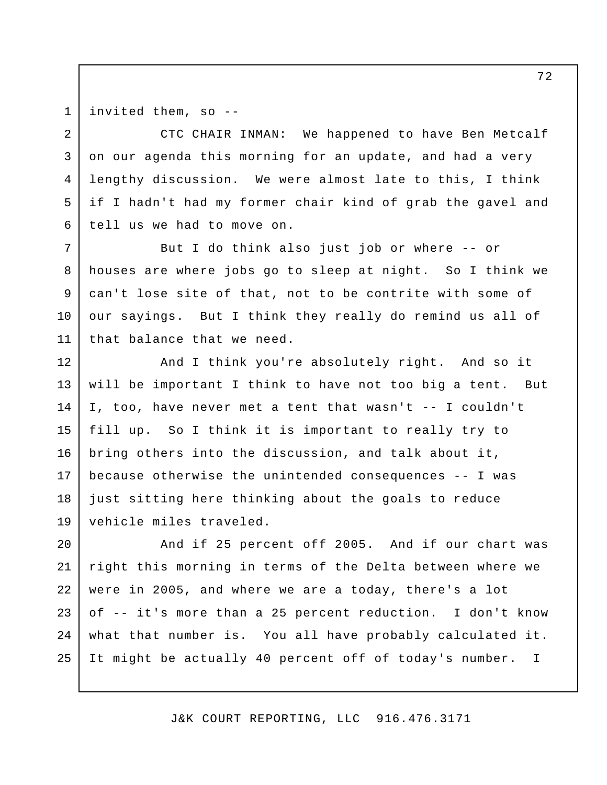1 2

3

4

5

6

7

8

9

10

11

invited them, so --

CTC CHAIR INMAN: We happened to have Ben Metcalf on our agenda this morning for an update, and had a very lengthy discussion. We were almost late to this, I think if I hadn't had my former chair kind of grab the gavel and tell us we had to move on.

But I do think also just job or where -- or houses are where jobs go to sleep at night. So I think we can't lose site of that, not to be contrite with some of our sayings. But I think they really do remind us all of that balance that we need.

And I think you're absolutely right. And so it will be important I think to have not too big a tent. But I, too, have never met a tent that wasn't -- I couldn't fill up. So I think it is important to really try to bring others into the discussion, and talk about it, because otherwise the unintended consequences -- I was just sitting here thinking about the goals to reduce vehicle miles traveled. 12 13 14 15 16 17 18 19

And if 25 percent off 2005. And if our chart was right this morning in terms of the Delta between where we were in 2005, and where we are a today, there's a lot of -- it's more than a 25 percent reduction. I don't know what that number is. You all have probably calculated it. It might be actually 40 percent off of today's number. I 20 21 22 23 24 25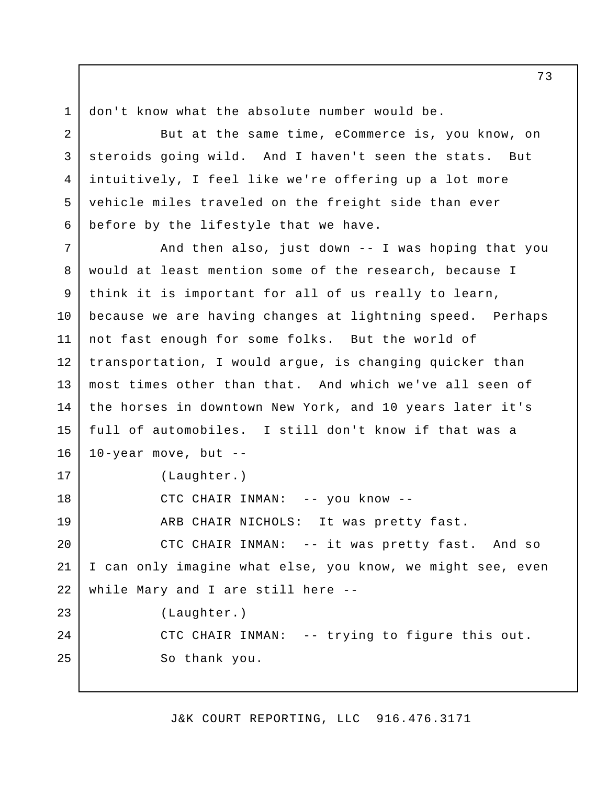1 2

5

6

don't know what the absolute number would be.

But at the same time, eCommerce is, you know, on steroids going wild. And I haven't seen the stats. But intuitively, I feel like we're offering up a lot more vehicle miles traveled on the freight side than ever before by the lifestyle that we have. 3 4

And then also, just down -- I was hoping that you would at least mention some of the research, because I think it is important for all of us really to learn, because we are having changes at lightning speed. Perhaps not fast enough for some folks. But the world of transportation, I would argue, is changing quicker than most times other than that. And which we've all seen of the horses in downtown New York, and 10 years later it's full of automobiles. I still don't know if that was a 10-year move, but -- (Laughter.) CTC CHAIR INMAN: -- you know -- ARB CHAIR NICHOLS: It was pretty fast. CTC CHAIR INMAN: -- it was pretty fast. And so I can only imagine what else, you know, we might see, even while Mary and I are still here -- (Laughter.) CTC CHAIR INMAN: -- trying to figure this out. So thank you. 7 8 9 10 11 12 13 14 15 16 17 18 19 20 21 22 23 24 25

J&K COURT REPORTING, LLC 916.476.3171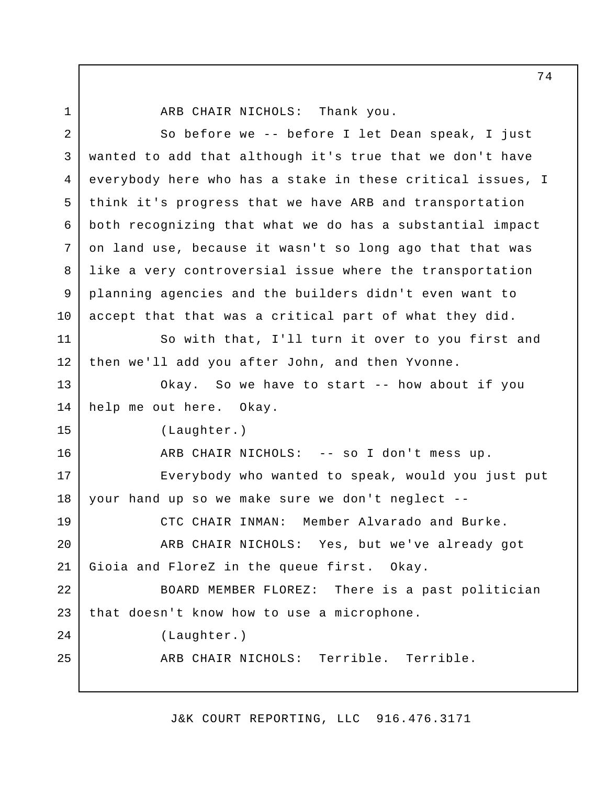ARB CHAIR NICHOLS: Thank you. So before we -- before I let Dean speak, I just wanted to add that although it's true that we don't have everybody here who has a stake in these critical issues, I think it's progress that we have ARB and transportation both recognizing that what we do has a substantial impact on land use, because it wasn't so long ago that that was like a very controversial issue where the transportation planning agencies and the builders didn't even want to accept that that was a critical part of what they did. So with that, I'll turn it over to you first and then we'll add you after John, and then Yvonne. Okay. So we have to start -- how about if you help me out here. Okay. (Laughter.) ARB CHAIR NICHOLS: -- so I don't mess up. Everybody who wanted to speak, would you just put your hand up so we make sure we don't neglect -- CTC CHAIR INMAN: Member Alvarado and Burke. ARB CHAIR NICHOLS: Yes, but we've already got Gioia and FloreZ in the queue first. Okay. BOARD MEMBER FLOREZ: There is a past politician that doesn't know how to use a microphone. (Laughter.) ARB CHAIR NICHOLS: Terrible. Terrible. 1 2 3 4 5 6 7 8 9 10 11 12 13 14 15 16 17 18 19 20 21 22 23 24 25

J&K COURT REPORTING, LLC 916.476.3171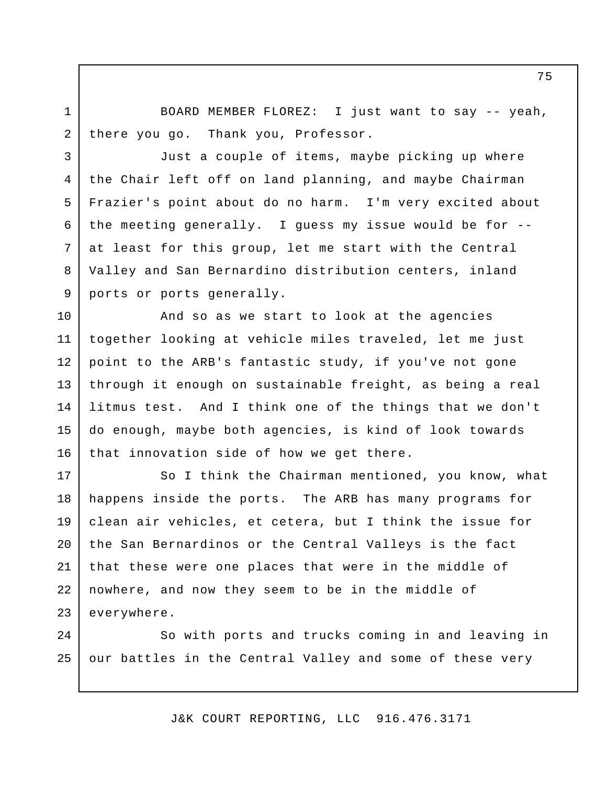BOARD MEMBER FLOREZ: I just want to say -- yeah, there you go. Thank you, Professor.

1

2

3

4

5

6

7

8

9

Just a couple of items, maybe picking up where the Chair left off on land planning, and maybe Chairman Frazier's point about do no harm. I'm very excited about the meeting generally. I guess my issue would be for - at least for this group, let me start with the Central Valley and San Bernardino distribution centers, inland ports or ports generally.

And so as we start to look at the agencies together looking at vehicle miles traveled, let me just point to the ARB's fantastic study, if you've not gone through it enough on sustainable freight, as being a real litmus test. And I think one of the things that we don't do enough, maybe both agencies, is kind of look towards that innovation side of how we get there. 10 11 12 13 14 15 16

So I think the Chairman mentioned, you know, what happens inside the ports. The ARB has many programs for clean air vehicles, et cetera, but I think the issue for the San Bernardinos or the Central Valleys is the fact that these were one places that were in the middle of nowhere, and now they seem to be in the middle of everywhere. 17 18 19 20 21 22 23

So with ports and trucks coming in and leaving in our battles in the Central Valley and some of these very 24 25

J&K COURT REPORTING, LLC 916.476.3171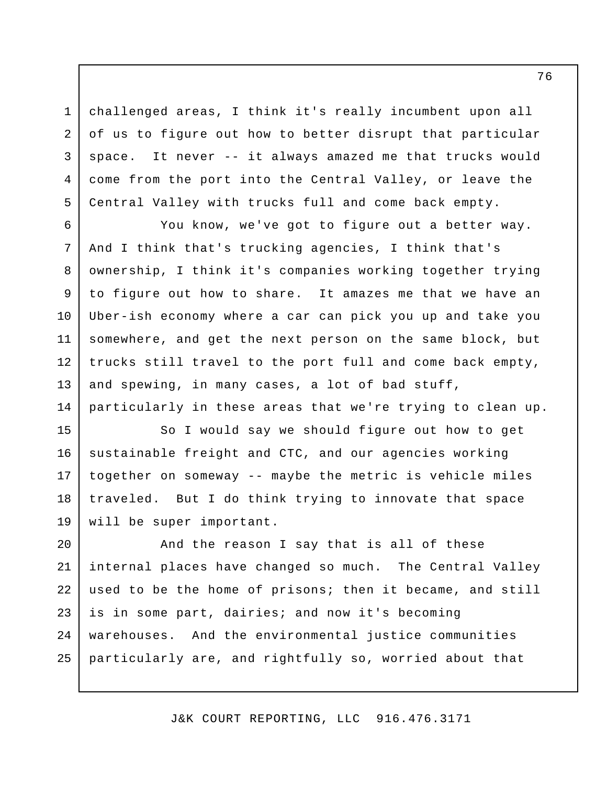challenged areas, I think it's really incumbent upon all of us to figure out how to better disrupt that particular space. It never -- it always amazed me that trucks would come from the port into the Central Valley, or leave the Central Valley with trucks full and come back empty.

1

2

3

4

5

You know, we've got to figure out a better way. And I think that's trucking agencies, I think that's ownership, I think it's companies working together trying to figure out how to share. It amazes me that we have an Uber-ish economy where a car can pick you up and take you somewhere, and get the next person on the same block, but trucks still travel to the port full and come back empty, and spewing, in many cases, a lot of bad stuff, particularly in these areas that we're trying to clean up. 6 7 8 9 10 11 12 13 14

So I would say we should figure out how to get sustainable freight and CTC, and our agencies working together on someway -- maybe the metric is vehicle miles traveled. But I do think trying to innovate that space will be super important. 15 16 17 18 19

And the reason I say that is all of these internal places have changed so much. The Central Valley used to be the home of prisons; then it became, and still is in some part, dairies; and now it's becoming warehouses. And the environmental justice communities particularly are, and rightfully so, worried about that 20 21 22 23 24 25

J&K COURT REPORTING, LLC 916.476.3171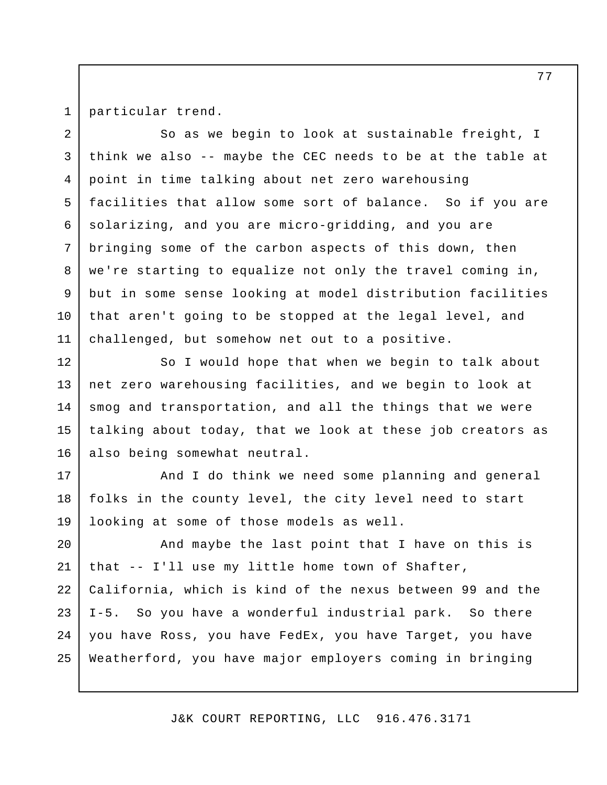1

particular trend.

So as we begin to look at sustainable freight, I think we also -- maybe the CEC needs to be at the table at point in time talking about net zero warehousing facilities that allow some sort of balance. So if you are solarizing, and you are micro-gridding, and you are bringing some of the carbon aspects of this down, then we're starting to equalize not only the travel coming in, but in some sense looking at model distribution facilities that aren't going to be stopped at the legal level, and challenged, but somehow net out to a positive. 2 3 4 5 6 7 8 9 10 11

So I would hope that when we begin to talk about net zero warehousing facilities, and we begin to look at smog and transportation, and all the things that we were talking about today, that we look at these job creators as also being somewhat neutral. 12 13 14 15 16

And I do think we need some planning and general folks in the county level, the city level need to start looking at some of those models as well. 17 18 19

And maybe the last point that I have on this is that -- I'll use my little home town of Shafter, California, which is kind of the nexus between 99 and the I-5. So you have a wonderful industrial park. So there you have Ross, you have FedEx, you have Target, you have Weatherford, you have major employers coming in bringing 20 21 22 23 24 25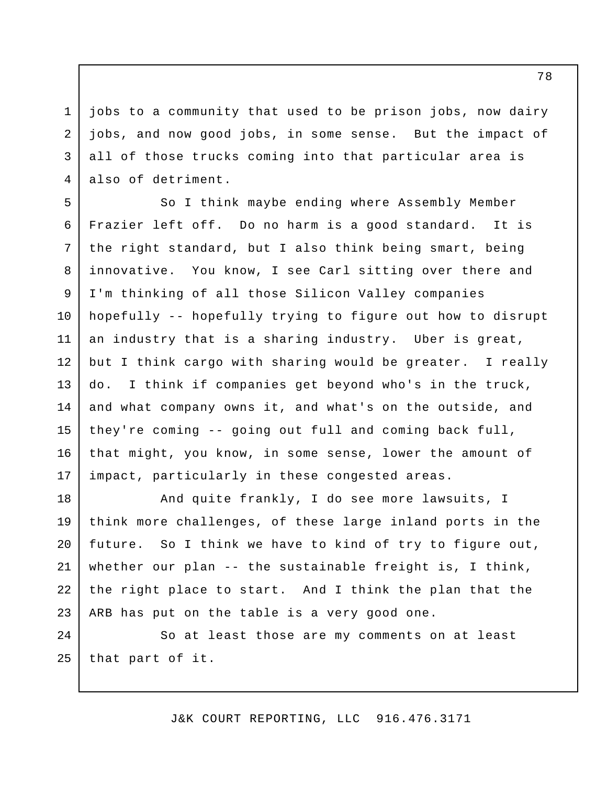jobs to a community that used to be prison jobs, now dairy jobs, and now good jobs, in some sense. But the impact of all of those trucks coming into that particular area is also of detriment.

1

2

3

4

So I think maybe ending where Assembly Member Frazier left off. Do no harm is a good standard. It is the right standard, but I also think being smart, being innovative. You know, I see Carl sitting over there and I'm thinking of all those Silicon Valley companies hopefully -- hopefully trying to figure out how to disrupt an industry that is a sharing industry. Uber is great, but I think cargo with sharing would be greater. I really do. I think if companies get beyond who's in the truck, and what company owns it, and what's on the outside, and they're coming -- going out full and coming back full, that might, you know, in some sense, lower the amount of impact, particularly in these congested areas. 5 6 7 8 9 10 11 12 13 14 15 16 17

And quite frankly, I do see more lawsuits, I think more challenges, of these large inland ports in the future. So I think we have to kind of try to figure out, whether our plan -- the sustainable freight is, I think, the right place to start. And I think the plan that the ARB has put on the table is a very good one. 18 19 20 21 22 23

So at least those are my comments on at least that part of it. 24 25

J&K COURT REPORTING, LLC 916.476.3171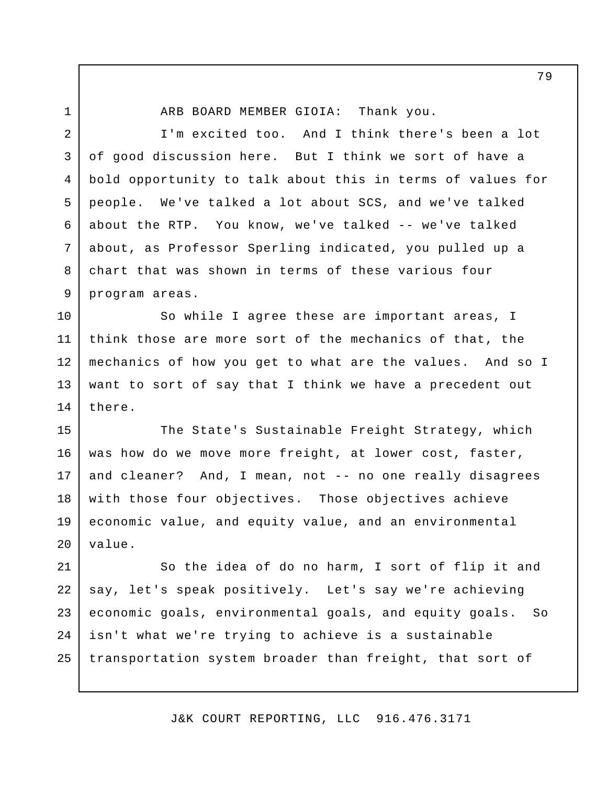1

ARB BOARD MEMBER GIOIA: Thank you.

I'm excited too. And I think there's been a lot of good discussion here. But I think we sort of have a bold opportunity to talk about this in terms of values for people. We've talked a lot about SCS, and we've talked about the RTP. You know, we've talked -- we've talked about, as Professor Sperling indicated, you pulled up a chart that was shown in terms of these various four program areas. 2 3 4 5 6 7 8 9

So while I agree these are important areas, I think those are more sort of the mechanics of that, the mechanics of how you get to what are the values. And so I want to sort of say that I think we have a precedent out there. 10 11 12 13 14

The State's Sustainable Freight Strategy, which was how do we move more freight, at lower cost, faster, and cleaner? And, I mean, not -- no one really disagrees with those four objectives. Those objectives achieve economic value, and equity value, and an environmental value. 15 16 17 18 19 20

So the idea of do no harm, I sort of flip it and say, let's speak positively. Let's say we're achieving economic goals, environmental goals, and equity goals. So isn't what we're trying to achieve is a sustainable transportation system broader than freight, that sort of 21 22 23 24 25

J&K COURT REPORTING, LLC 916.476.3171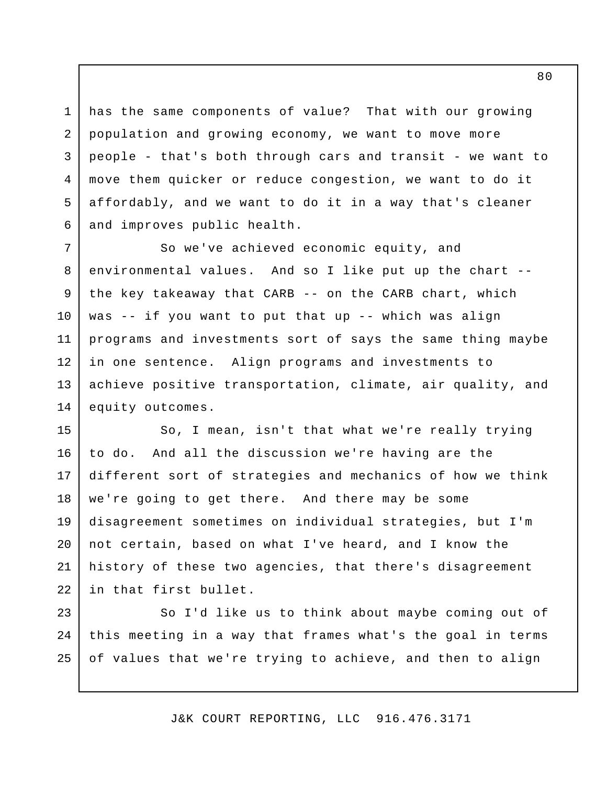has the same components of value? That with our growing population and growing economy, we want to move more people - that's both through cars and transit - we want to move them quicker or reduce congestion, we want to do it affordably, and we want to do it in a way that's cleaner and improves public health. 1 2 3 4 5 6

So we've achieved economic equity, and environmental values. And so I like put up the chart - the key takeaway that CARB -- on the CARB chart, which was -- if you want to put that up -- which was align programs and investments sort of says the same thing maybe in one sentence. Align programs and investments to achieve positive transportation, climate, air quality, and equity outcomes. 7 8 9 10 11 12 13 14

So, I mean, isn't that what we're really trying to do. And all the discussion we're having are the different sort of strategies and mechanics of how we think we're going to get there. And there may be some disagreement sometimes on individual strategies, but I'm not certain, based on what I've heard, and I know the history of these two agencies, that there's disagreement in that first bullet. 15 16 17 18 19 20 21 22

So I'd like us to think about maybe coming out of this meeting in a way that frames what's the goal in terms of values that we're trying to achieve, and then to align 23 24 25

J&K COURT REPORTING, LLC 916.476.3171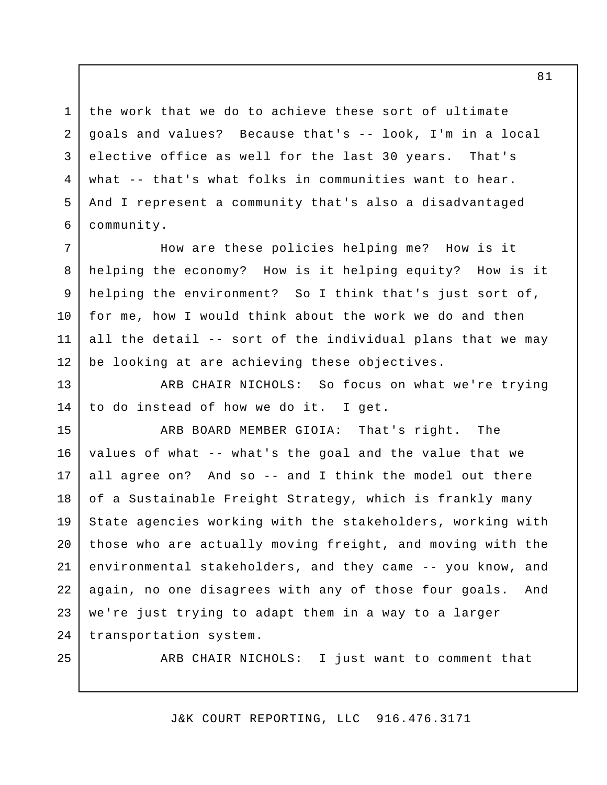the work that we do to achieve these sort of ultimate goals and values? Because that's -- look, I'm in a local elective office as well for the last 30 years. That's what -- that's what folks in communities want to hear. And I represent a community that's also a disadvantaged community. 1 2 3 4 5 6

How are these policies helping me? How is it helping the economy? How is it helping equity? How is it helping the environment? So I think that's just sort of, for me, how I would think about the work we do and then all the detail -- sort of the individual plans that we may be looking at are achieving these objectives. 7 8 9 10 11 12

ARB CHAIR NICHOLS: So focus on what we're trying to do instead of how we do it. I get. 13 14

ARB BOARD MEMBER GIOIA: That's right. The values of what -- what's the goal and the value that we all agree on? And so -- and I think the model out there of a Sustainable Freight Strategy, which is frankly many State agencies working with the stakeholders, working with those who are actually moving freight, and moving with the environmental stakeholders, and they came -- you know, and again, no one disagrees with any of those four goals. And we're just trying to adapt them in a way to a larger transportation system. 15 16 17 18 19 20 21 22 23 24

25

ARB CHAIR NICHOLS: I just want to comment that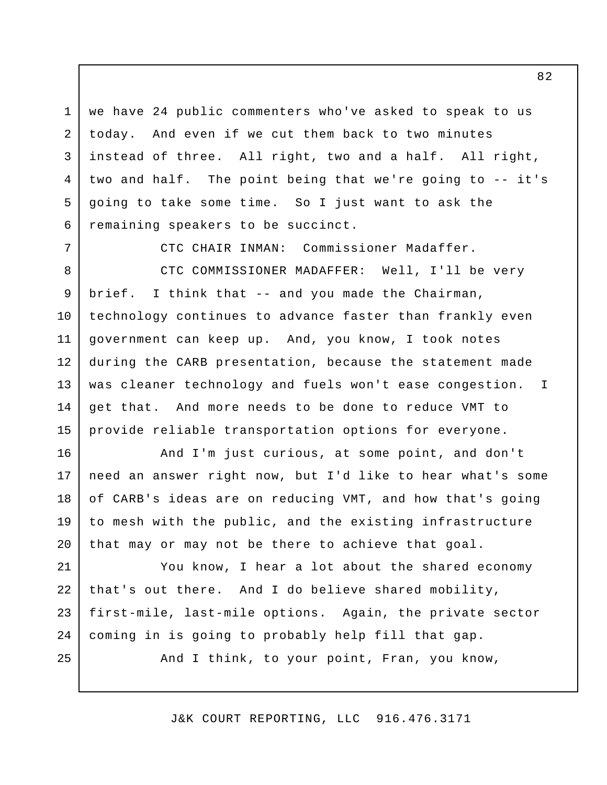we have 24 public commenters who've asked to speak to us today. And even if we cut them back to two minutes instead of three. All right, two and a half. All right, two and half. The point being that we're going to -- it's going to take some time. So I just want to ask the remaining speakers to be succinct. 1 2 3 4 5 6

CTC CHAIR INMAN: Commissioner Madaffer.

7

25

CTC COMMISSIONER MADAFFER: Well, I'll be very brief. I think that -- and you made the Chairman, technology continues to advance faster than frankly even government can keep up. And, you know, I took notes during the CARB presentation, because the statement made was cleaner technology and fuels won't ease congestion. I get that. And more needs to be done to reduce VMT to provide reliable transportation options for everyone. 8 9 10 11 12 13 14 15

And I'm just curious, at some point, and don't need an answer right now, but I'd like to hear what's some of CARB's ideas are on reducing VMT, and how that's going to mesh with the public, and the existing infrastructure that may or may not be there to achieve that goal. 16 17 18 19 20

You know, I hear a lot about the shared economy that's out there. And I do believe shared mobility, first-mile, last-mile options. Again, the private sector coming in is going to probably help fill that gap. 21 22 23 24

And I think, to your point, Fran, you know,

J&K COURT REPORTING, LLC 916.476.3171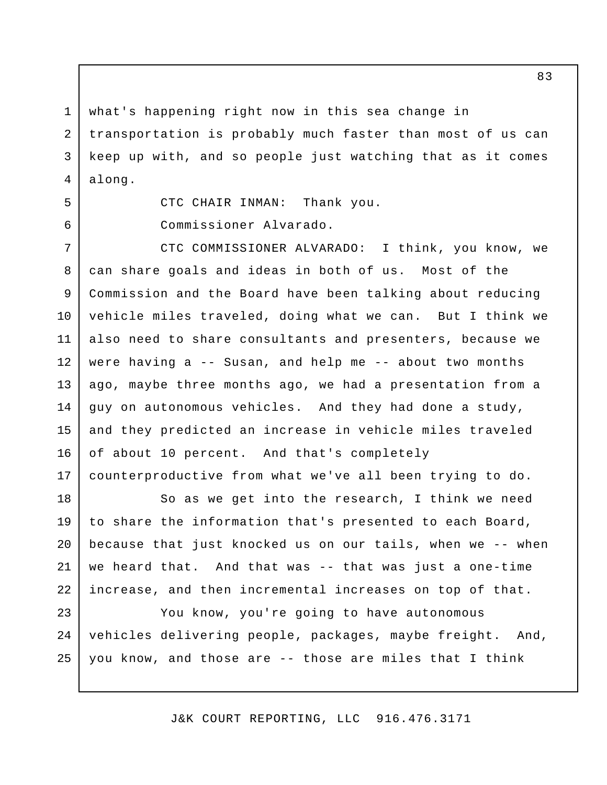what's happening right now in this sea change in transportation is probably much faster than most of us can keep up with, and so people just watching that as it comes along. 1 2 3 4

5 6

Commissioner Alvarado.

CTC CHAIR INMAN: Thank you.

CTC COMMISSIONER ALVARADO: I think, you know, we can share goals and ideas in both of us. Most of the Commission and the Board have been talking about reducing vehicle miles traveled, doing what we can. But I think we also need to share consultants and presenters, because we were having a -- Susan, and help me -- about two months ago, maybe three months ago, we had a presentation from a guy on autonomous vehicles. And they had done a study, and they predicted an increase in vehicle miles traveled of about 10 percent. And that's completely counterproductive from what we've all been trying to do. 7 8 9 10 11 12 13 14 15 16 17

So as we get into the research, I think we need to share the information that's presented to each Board, because that just knocked us on our tails, when we -- when we heard that. And that was -- that was just a one-time increase, and then incremental increases on top of that. 18 19 20 21 22

You know, you're going to have autonomous vehicles delivering people, packages, maybe freight. And, you know, and those are -- those are miles that I think 23 24 25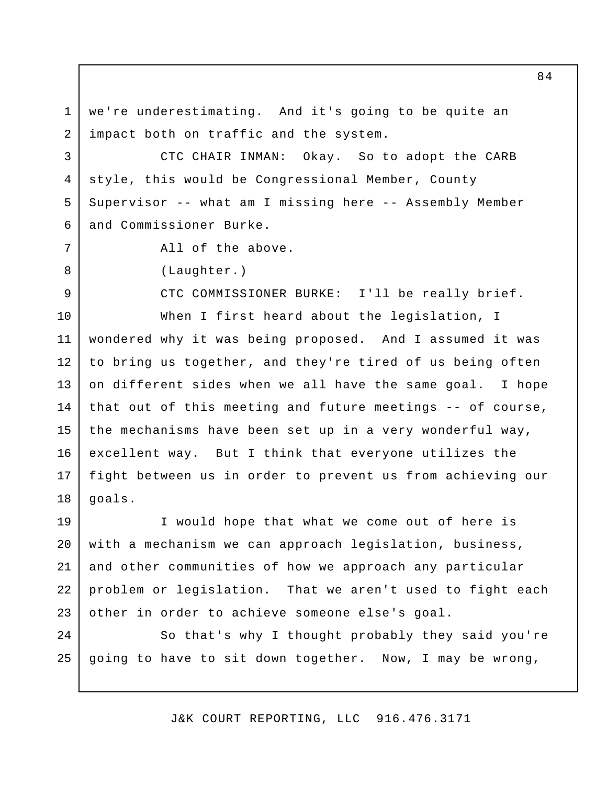we're underestimating. And it's going to be quite an impact both on traffic and the system. 1 2

CTC CHAIR INMAN: Okay. So to adopt the CARB style, this would be Congressional Member, County Supervisor -- what am I missing here -- Assembly Member and Commissioner Burke. 4 5

All of the above.

(Laughter.)

3

6

7

8

9

CTC COMMISSIONER BURKE: I'll be really brief.

When I first heard about the legislation, I wondered why it was being proposed. And I assumed it was to bring us together, and they're tired of us being often on different sides when we all have the same goal. I hope that out of this meeting and future meetings -- of course, the mechanisms have been set up in a very wonderful way, excellent way. But I think that everyone utilizes the fight between us in order to prevent us from achieving our goals. 10 11 12 13 14 15 16 17 18

I would hope that what we come out of here is with a mechanism we can approach legislation, business, and other communities of how we approach any particular problem or legislation. That we aren't used to fight each other in order to achieve someone else's goal. 19 20 21 22 23

So that's why I thought probably they said you're going to have to sit down together. Now, I may be wrong, 24 25

J&K COURT REPORTING, LLC 916.476.3171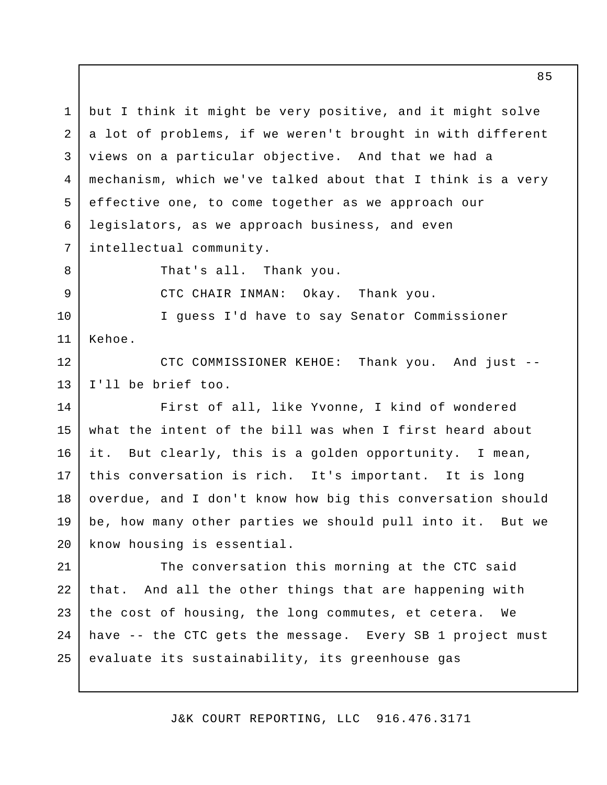but I think it might be very positive, and it might solve a lot of problems, if we weren't brought in with different views on a particular objective. And that we had a mechanism, which we've talked about that I think is a very effective one, to come together as we approach our legislators, as we approach business, and even intellectual community. That's all. Thank you. CTC CHAIR INMAN: Okay. Thank you. I guess I'd have to say Senator Commissioner Kehoe. CTC COMMISSIONER KEHOE: Thank you. And just -- I'll be brief too. First of all, like Yvonne, I kind of wondered what the intent of the bill was when I first heard about it. But clearly, this is a golden opportunity. I mean, this conversation is rich. It's important. It is long overdue, and I don't know how big this conversation should be, how many other parties we should pull into it. But we know housing is essential. The conversation this morning at the CTC said that. And all the other things that are happening with the cost of housing, the long commutes, et cetera. We have -- the CTC gets the message. Every SB 1 project must evaluate its sustainability, its greenhouse gas 1 2 3 4 5 6 7 8 9 10 11 12 13 14 15 16 17 18 19 20 21 22 23 24 25

J&K COURT REPORTING, LLC 916.476.3171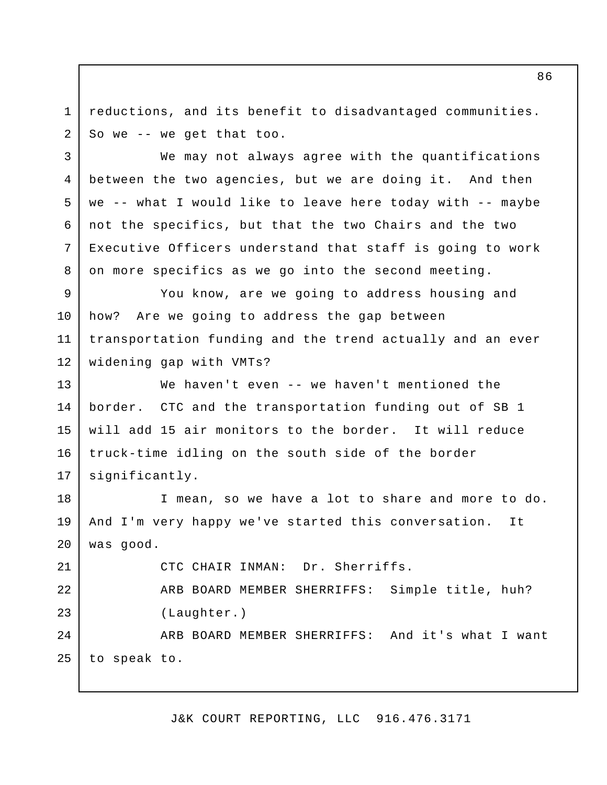reductions, and its benefit to disadvantaged communities. So we -- we get that too. 1 2

We may not always agree with the quantifications between the two agencies, but we are doing it. And then we -- what I would like to leave here today with -- maybe not the specifics, but that the two Chairs and the two Executive Officers understand that staff is going to work on more specifics as we go into the second meeting. 4

You know, are we going to address housing and how? Are we going to address the gap between transportation funding and the trend actually and an ever widening gap with VMTs? 9 10 11 12

We haven't even -- we haven't mentioned the border. CTC and the transportation funding out of SB 1 will add 15 air monitors to the border. It will reduce truck-time idling on the south side of the border significantly. 13 14 15 16 17

I mean, so we have a lot to share and more to do. And I'm very happy we've started this conversation. It was good. 18 19 20

CTC CHAIR INMAN: Dr. Sherriffs. ARB BOARD MEMBER SHERRIFFS: Simple title, huh? (Laughter.) ARB BOARD MEMBER SHERRIFFS: And it's what I want 21 22 23 24

to speak to. 25

3

5

6

7

8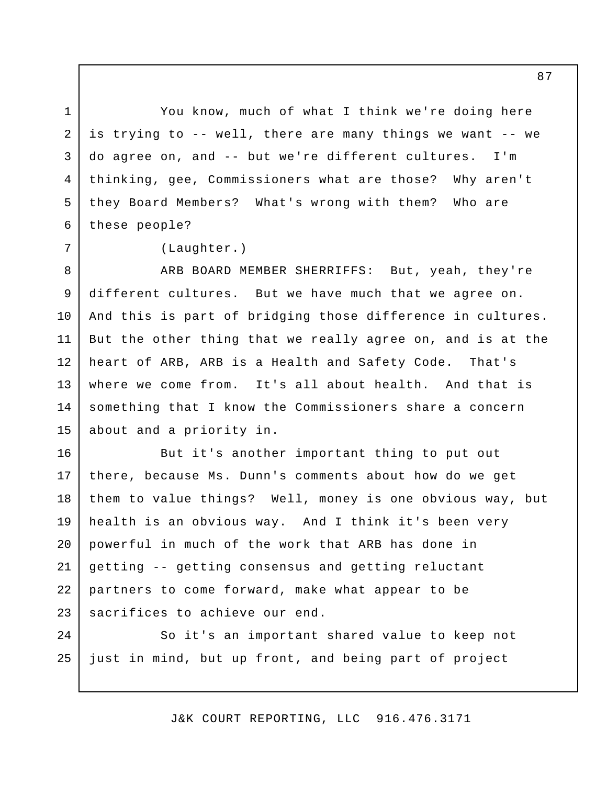You know, much of what I think we're doing here is trying to -- well, there are many things we want -- we do agree on, and -- but we're different cultures. I'm thinking, gee, Commissioners what are those? Why aren't they Board Members? What's wrong with them? Who are these people?

(Laughter.)

1

2

3

4

5

6

7

ARB BOARD MEMBER SHERRIFFS: But, yeah, they're different cultures. But we have much that we agree on. And this is part of bridging those difference in cultures. But the other thing that we really agree on, and is at the heart of ARB, ARB is a Health and Safety Code. That's where we come from. It's all about health. And that is something that I know the Commissioners share a concern about and a priority in. 8 9 10 11 12 13 14 15

But it's another important thing to put out there, because Ms. Dunn's comments about how do we get them to value things? Well, money is one obvious way, but health is an obvious way. And I think it's been very powerful in much of the work that ARB has done in getting -- getting consensus and getting reluctant partners to come forward, make what appear to be sacrifices to achieve our end. 16 17 18 19 20 21 22 23

So it's an important shared value to keep not just in mind, but up front, and being part of project 24 25

J&K COURT REPORTING, LLC 916.476.3171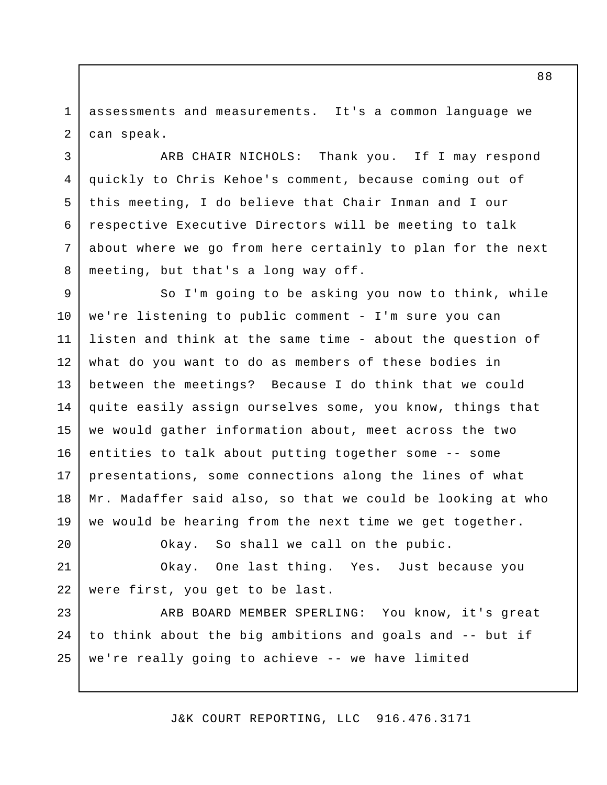assessments and measurements. It's a common language we can speak. 1 2

3

6

7

8

20

ARB CHAIR NICHOLS: Thank you. If I may respond quickly to Chris Kehoe's comment, because coming out of this meeting, I do believe that Chair Inman and I our respective Executive Directors will be meeting to talk about where we go from here certainly to plan for the next meeting, but that's a long way off. 4 5

So I'm going to be asking you now to think, while we're listening to public comment - I'm sure you can listen and think at the same time - about the question of what do you want to do as members of these bodies in between the meetings? Because I do think that we could quite easily assign ourselves some, you know, things that we would gather information about, meet across the two entities to talk about putting together some -- some presentations, some connections along the lines of what Mr. Madaffer said also, so that we could be looking at who we would be hearing from the next time we get together. 9 10 11 12 13 14 15 16 17 18 19

Okay. So shall we call on the pubic.

Okay. One last thing. Yes. Just because you were first, you get to be last. 21 22

ARB BOARD MEMBER SPERLING: You know, it's great to think about the big ambitions and goals and -- but if we're really going to achieve -- we have limited 23 24 25

J&K COURT REPORTING, LLC 916.476.3171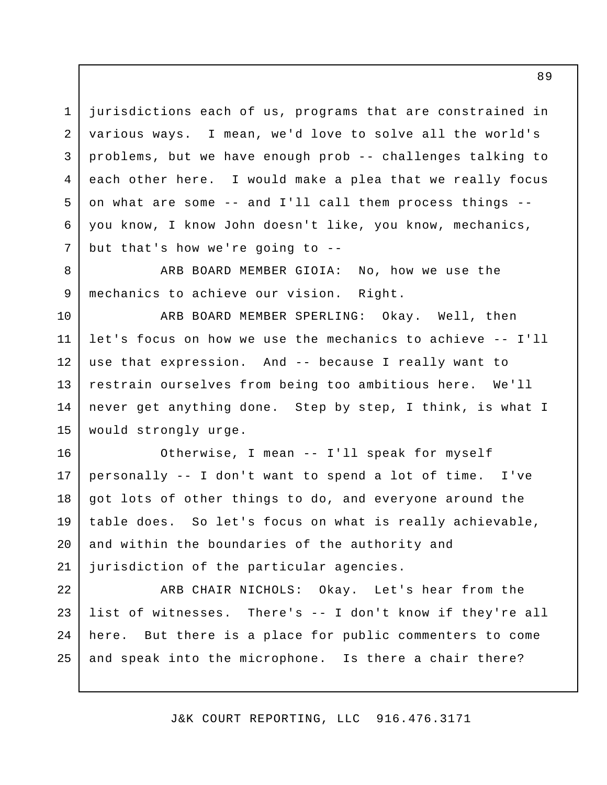jurisdictions each of us, programs that are constrained in various ways. I mean, we'd love to solve all the world's problems, but we have enough prob -- challenges talking to each other here. I would make a plea that we really focus on what are some -- and I'll call them process things - you know, I know John doesn't like, you know, mechanics, but that's how we're going to -- 1 2 3 4 5 6 7

ARB BOARD MEMBER GIOIA: No, how we use the mechanics to achieve our vision. Right. 8 9

ARB BOARD MEMBER SPERLING: Okay. Well, then let's focus on how we use the mechanics to achieve -- I'll use that expression. And -- because I really want to restrain ourselves from being too ambitious here. We'll never get anything done. Step by step, I think, is what I would strongly urge. 10 11 12 13 14 15

Otherwise, I mean -- I'll speak for myself personally -- I don't want to spend a lot of time. I've got lots of other things to do, and everyone around the table does. So let's focus on what is really achievable, and within the boundaries of the authority and jurisdiction of the particular agencies. 16 17 18 19 20 21

ARB CHAIR NICHOLS: Okay. Let's hear from the list of witnesses. There's -- I don't know if they're all here. But there is a place for public commenters to come and speak into the microphone. Is there a chair there? 22 23 24 25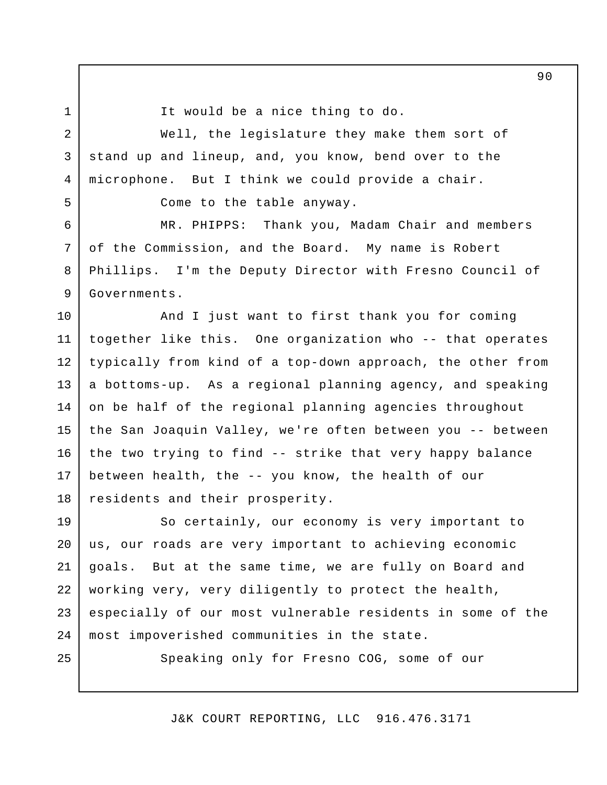2

3

4

5

6

7

8

9

1

It would be a nice thing to do.

Well, the legislature they make them sort of stand up and lineup, and, you know, bend over to the microphone. But I think we could provide a chair.

Come to the table anyway.

MR. PHIPPS: Thank you, Madam Chair and members of the Commission, and the Board. My name is Robert Phillips. I'm the Deputy Director with Fresno Council of Governments.

And I just want to first thank you for coming together like this. One organization who -- that operates typically from kind of a top-down approach, the other from a bottoms-up. As a regional planning agency, and speaking on be half of the regional planning agencies throughout the San Joaquin Valley, we're often between you -- between the two trying to find -- strike that very happy balance between health, the -- you know, the health of our residents and their prosperity. 10 11 12 13 14 15 16 17 18

So certainly, our economy is very important to us, our roads are very important to achieving economic goals. But at the same time, we are fully on Board and working very, very diligently to protect the health, especially of our most vulnerable residents in some of the most impoverished communities in the state. 19 20 21 22 23 24

25

Speaking only for Fresno COG, some of our

J&K COURT REPORTING, LLC 916.476.3171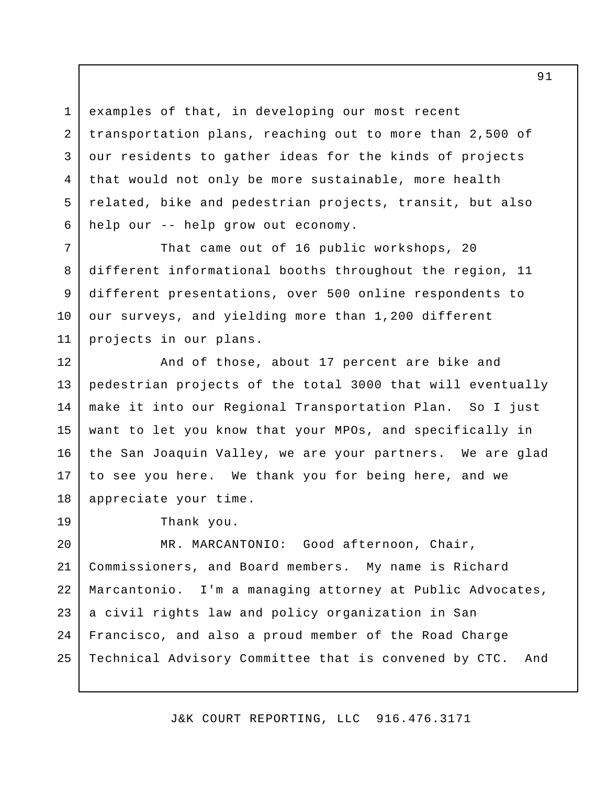examples of that, in developing our most recent transportation plans, reaching out to more than 2,500 of our residents to gather ideas for the kinds of projects that would not only be more sustainable, more health related, bike and pedestrian projects, transit, but also help our -- help grow out economy.

That came out of 16 public workshops, 20 different informational booths throughout the region, 11 different presentations, over 500 online respondents to our surveys, and yielding more than 1,200 different projects in our plans.

And of those, about 17 percent are bike and pedestrian projects of the total 3000 that will eventually make it into our Regional Transportation Plan. So I just want to let you know that your MPOs, and specifically in the San Joaquin Valley, we are your partners. We are glad to see you here. We thank you for being here, and we appreciate your time. 12 13 14 15 16 17 18

19

1

2

3

4

5

6

7

8

9

10

11

Thank you.

MR. MARCANTONIO: Good afternoon, Chair, Commissioners, and Board members. My name is Richard Marcantonio. I'm a managing attorney at Public Advocates, a civil rights law and policy organization in San Francisco, and also a proud member of the Road Charge Technical Advisory Committee that is convened by CTC. And 20 21 22 23 24 25

J&K COURT REPORTING, LLC 916.476.3171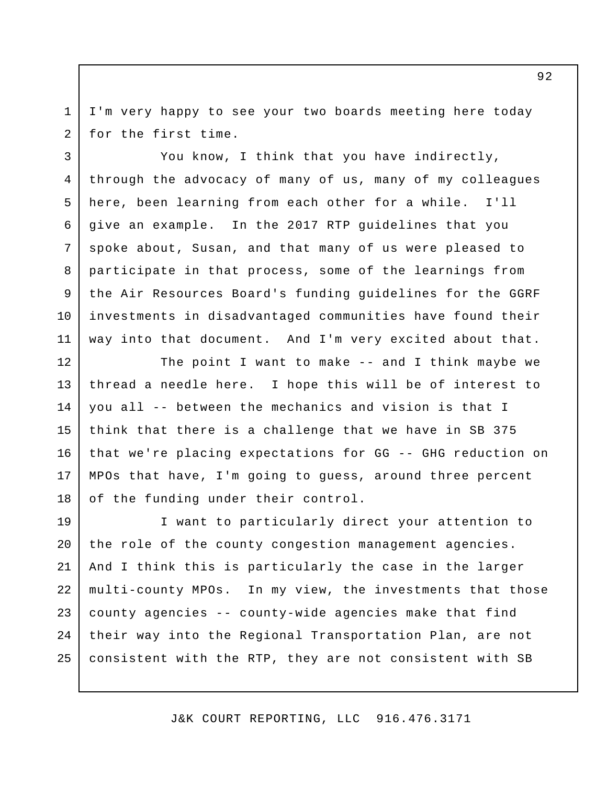I'm very happy to see your two boards meeting here today for the first time. 1 2

You know, I think that you have indirectly, through the advocacy of many of us, many of my colleagues here, been learning from each other for a while. I'll give an example. In the 2017 RTP guidelines that you spoke about, Susan, and that many of us were pleased to participate in that process, some of the learnings from the Air Resources Board's funding guidelines for the GGRF investments in disadvantaged communities have found their way into that document. And I'm very excited about that. 3 4 5 6 7 8 9 10 11

The point I want to make -- and I think maybe we thread a needle here. I hope this will be of interest to you all -- between the mechanics and vision is that I think that there is a challenge that we have in SB 375 that we're placing expectations for GG -- GHG reduction on MPOs that have, I'm going to guess, around three percent of the funding under their control. 12 13 14 15 16 17 18

I want to particularly direct your attention to the role of the county congestion management agencies. And I think this is particularly the case in the larger multi-county MPOs. In my view, the investments that those county agencies -- county-wide agencies make that find their way into the Regional Transportation Plan, are not consistent with the RTP, they are not consistent with SB 19 20 21 22 23 24 25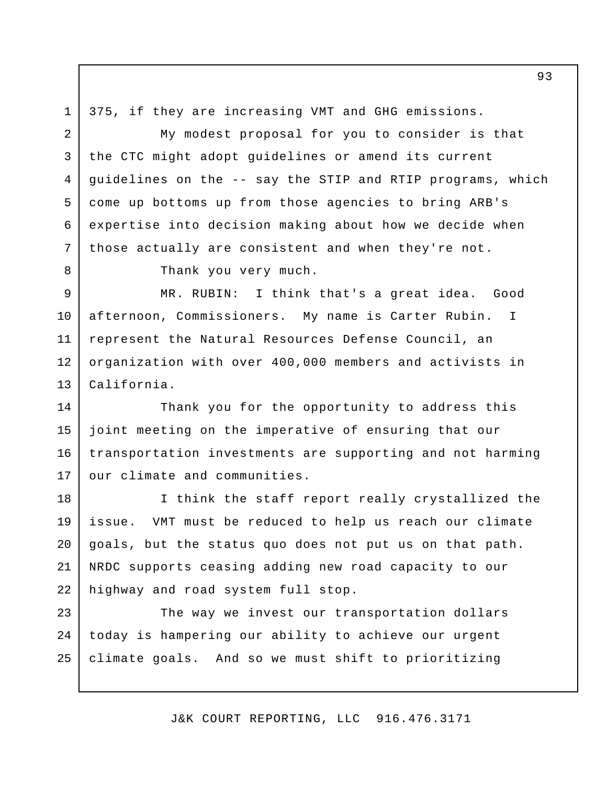1 2 375, if they are increasing VMT and GHG emissions.

My modest proposal for you to consider is that the CTC might adopt guidelines or amend its current guidelines on the -- say the STIP and RTIP programs, which come up bottoms up from those agencies to bring ARB's expertise into decision making about how we decide when those actually are consistent and when they're not. 3 4 5

8

6

7

Thank you very much.

MR. RUBIN: I think that's a great idea. Good afternoon, Commissioners. My name is Carter Rubin. I represent the Natural Resources Defense Council, an organization with over 400,000 members and activists in California. 9 10 11 12 13

Thank you for the opportunity to address this joint meeting on the imperative of ensuring that our transportation investments are supporting and not harming our climate and communities. 14 15 16 17

I think the staff report really crystallized the issue. VMT must be reduced to help us reach our climate goals, but the status quo does not put us on that path. NRDC supports ceasing adding new road capacity to our highway and road system full stop. 18 19 20 21 22

The way we invest our transportation dollars today is hampering our ability to achieve our urgent climate goals. And so we must shift to prioritizing 23 24 25

J&K COURT REPORTING, LLC 916.476.3171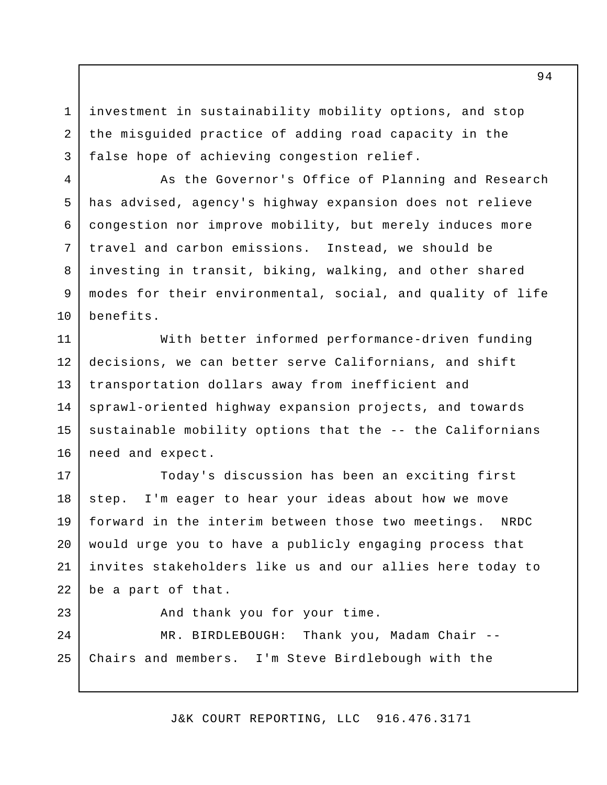investment in sustainability mobility options, and stop the misguided practice of adding road capacity in the false hope of achieving congestion relief.

1

2

3

4

5

6

7

8

9

10

As the Governor's Office of Planning and Research has advised, agency's highway expansion does not relieve congestion nor improve mobility, but merely induces more travel and carbon emissions. Instead, we should be investing in transit, biking, walking, and other shared modes for their environmental, social, and quality of life benefits.

With better informed performance-driven funding decisions, we can better serve Californians, and shift transportation dollars away from inefficient and sprawl-oriented highway expansion projects, and towards sustainable mobility options that the -- the Californians need and expect. 11 12 13 14 15 16

Today's discussion has been an exciting first step. I'm eager to hear your ideas about how we move forward in the interim between those two meetings. NRDC would urge you to have a publicly engaging process that invites stakeholders like us and our allies here today to be a part of that. 17 18 19 20 21 22

And thank you for your time. MR. BIRDLEBOUGH: Thank you, Madam Chair --Chairs and members. I'm Steve Birdlebough with the 23 24 25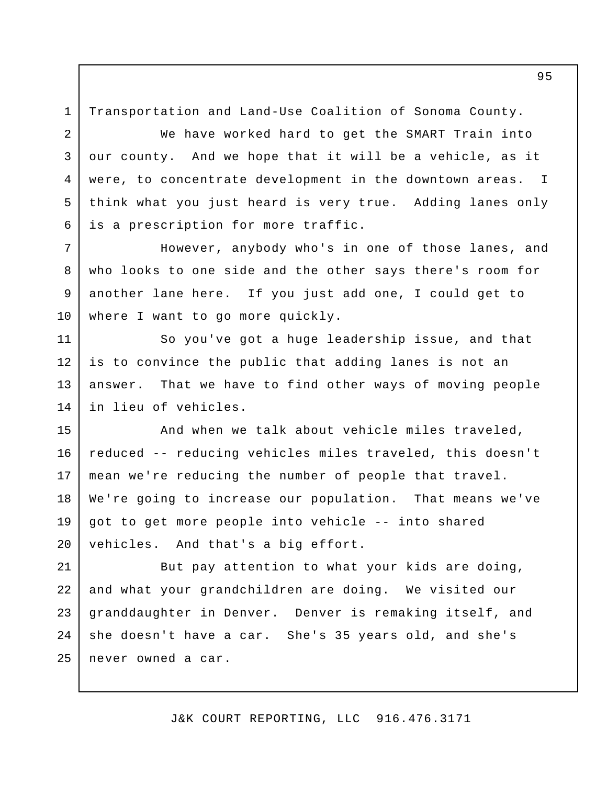Transportation and Land-Use Coalition of Sonoma County.

1

2

3

4

5

6

We have worked hard to get the SMART Train into our county. And we hope that it will be a vehicle, as it were, to concentrate development in the downtown areas. I think what you just heard is very true. Adding lanes only is a prescription for more traffic.

However, anybody who's in one of those lanes, and who looks to one side and the other says there's room for another lane here. If you just add one, I could get to where I want to go more quickly. 7 8 9 10

So you've got a huge leadership issue, and that is to convince the public that adding lanes is not an answer. That we have to find other ways of moving people in lieu of vehicles. 11 12 13 14

And when we talk about vehicle miles traveled, reduced -- reducing vehicles miles traveled, this doesn't mean we're reducing the number of people that travel. We're going to increase our population. That means we've got to get more people into vehicle -- into shared vehicles. And that's a big effort. 15 16 17 18 19 20

But pay attention to what your kids are doing, and what your grandchildren are doing. We visited our granddaughter in Denver. Denver is remaking itself, and she doesn't have a car. She's 35 years old, and she's never owned a car. 21 22 23 24 25

J&K COURT REPORTING, LLC 916.476.3171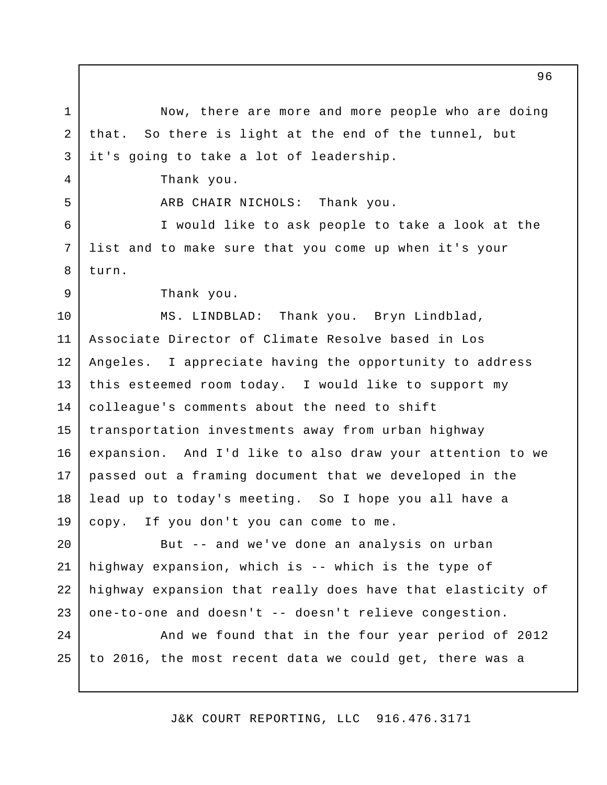Now, there are more and more people who are doing that. So there is light at the end of the tunnel, but it's going to take a lot of leadership. Thank you. ARB CHAIR NICHOLS: Thank you. I would like to ask people to take a look at the list and to make sure that you come up when it's your turn. Thank you. MS. LINDBLAD: Thank you. Bryn Lindblad, Associate Director of Climate Resolve based in Los Angeles. I appreciate having the opportunity to address this esteemed room today. I would like to support my colleague's comments about the need to shift transportation investments away from urban highway expansion. And I'd like to also draw your attention to we passed out a framing document that we developed in the lead up to today's meeting. So I hope you all have a copy. If you don't you can come to me. But -- and we've done an analysis on urban highway expansion, which is -- which is the type of highway expansion that really does have that elasticity of one-to-one and doesn't -- doesn't relieve congestion. And we found that in the four year period of 2012 to 2016, the most recent data we could get, there was a 1 2 3 4 5 6 7 8 9 10 11 12 13 14 15 16 17 18 19 20 21 22 23 24 25

J&K COURT REPORTING, LLC 916.476.3171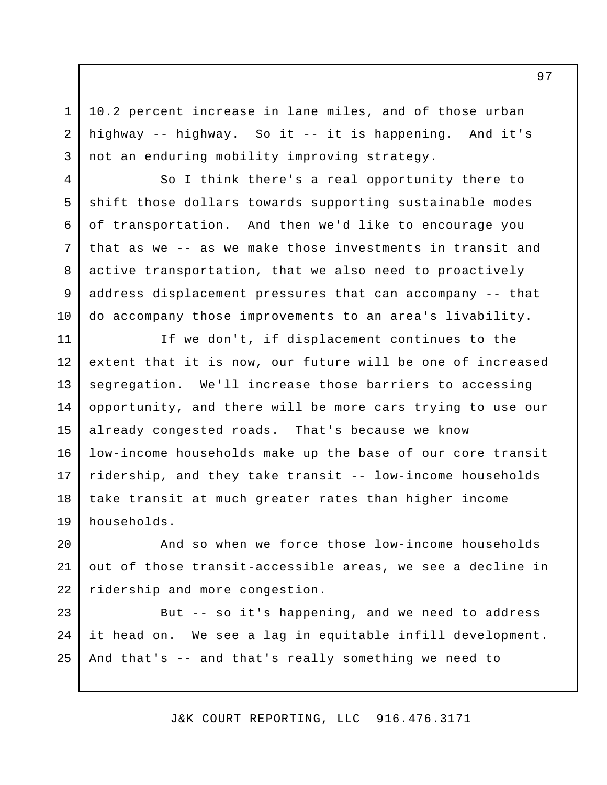10.2 percent increase in lane miles, and of those urban highway -- highway. So it -- it is happening. And it's not an enduring mobility improving strategy.

1

2

3

4

5

6

7

8

9

10

So I think there's a real opportunity there to shift those dollars towards supporting sustainable modes of transportation. And then we'd like to encourage you that as we -- as we make those investments in transit and active transportation, that we also need to proactively address displacement pressures that can accompany -- that do accompany those improvements to an area's livability.

If we don't, if displacement continues to the extent that it is now, our future will be one of increased segregation. We'll increase those barriers to accessing opportunity, and there will be more cars trying to use our already congested roads. That's because we know low-income households make up the base of our core transit ridership, and they take transit -- low-income households take transit at much greater rates than higher income households. 11 12 13 14 15 16 17 18 19

And so when we force those low-income households out of those transit-accessible areas, we see a decline in ridership and more congestion. 20 21 22

But -- so it's happening, and we need to address it head on. We see a lag in equitable infill development. And that's -- and that's really something we need to 23 24 25

J&K COURT REPORTING, LLC 916.476.3171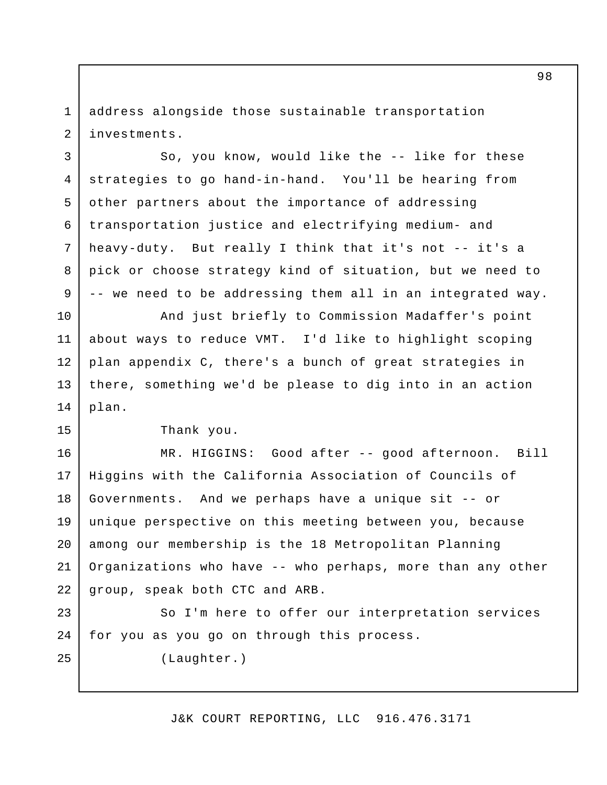address alongside those sustainable transportation investments. 1 2

So, you know, would like the -- like for these strategies to go hand-in-hand. You'll be hearing from other partners about the importance of addressing transportation justice and electrifying medium- and heavy-duty. But really I think that it's not -- it's a pick or choose strategy kind of situation, but we need to -- we need to be addressing them all in an integrated way. 4

And just briefly to Commission Madaffer's point about ways to reduce VMT. I'd like to highlight scoping plan appendix C, there's a bunch of great strategies in there, something we'd be please to dig into in an action plan. 11 12 13 14

Thank you.

3

5

6

7

8

9

10

15

25

MR. HIGGINS: Good after -- good afternoon. Bill Higgins with the California Association of Councils of Governments. And we perhaps have a unique sit -- or unique perspective on this meeting between you, because among our membership is the 18 Metropolitan Planning Organizations who have -- who perhaps, more than any other group, speak both CTC and ARB. 16 17 18 19 20 21 22

So I'm here to offer our interpretation services for you as you go on through this process. 23 24

(Laughter.)

J&K COURT REPORTING, LLC 916.476.3171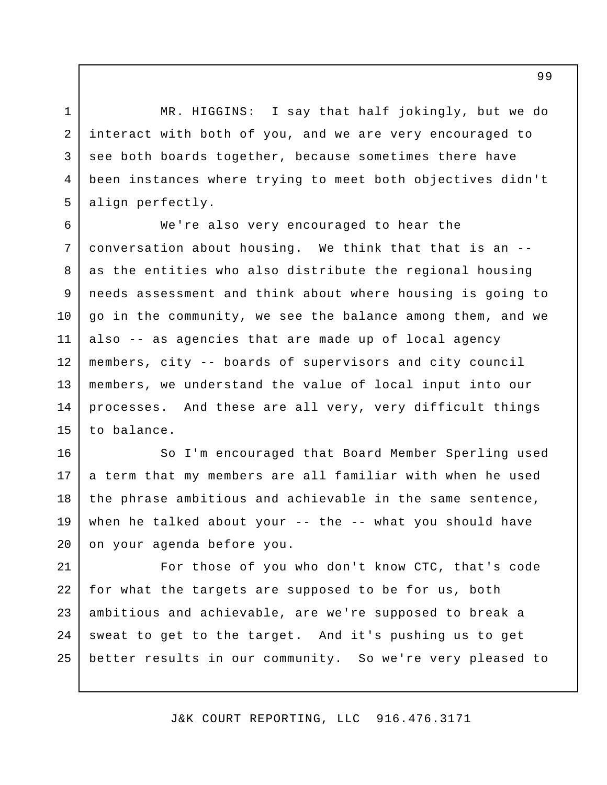MR. HIGGINS: I say that half jokingly, but we do interact with both of you, and we are very encouraged to see both boards together, because sometimes there have been instances where trying to meet both objectives didn't align perfectly. 1 2 3 4 5

We're also very encouraged to hear the conversation about housing. We think that that is an - as the entities who also distribute the regional housing needs assessment and think about where housing is going to go in the community, we see the balance among them, and we also -- as agencies that are made up of local agency members, city -- boards of supervisors and city council members, we understand the value of local input into our processes. And these are all very, very difficult things to balance. 6 7 8 9 10 11 12 13 14 15

So I'm encouraged that Board Member Sperling used a term that my members are all familiar with when he used the phrase ambitious and achievable in the same sentence, when he talked about your -- the -- what you should have on your agenda before you. 16 17 18 19 20

For those of you who don't know CTC, that's code for what the targets are supposed to be for us, both ambitious and achievable, are we're supposed to break a sweat to get to the target. And it's pushing us to get better results in our community. So we're very pleased to 21 22 23 24 25

J&K COURT REPORTING, LLC 916.476.3171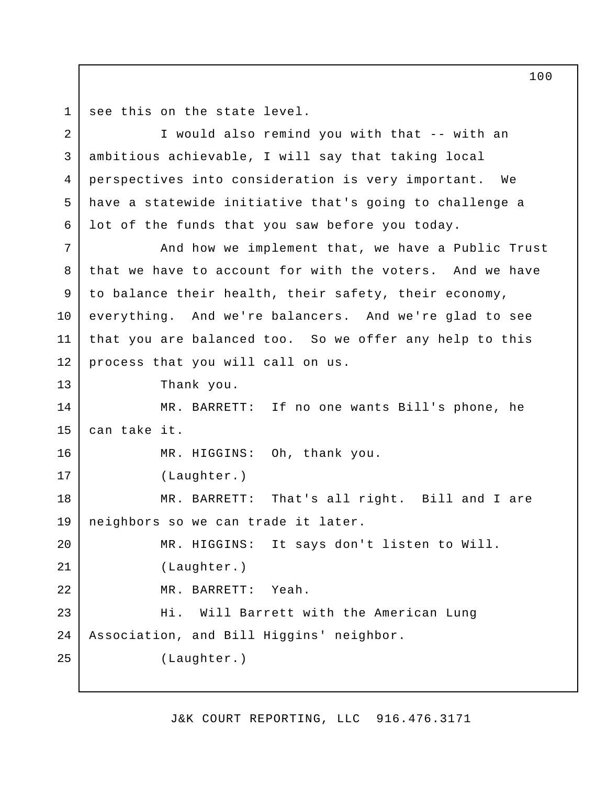see this on the state level. 1

I would also remind you with that -- with an ambitious achievable, I will say that taking local perspectives into consideration is very important. We have a statewide initiative that's going to challenge a lot of the funds that you saw before you today. And how we implement that, we have a Public Trust that we have to account for with the voters. And we have to balance their health, their safety, their economy, everything. And we're balancers. And we're glad to see that you are balanced too. So we offer any help to this process that you will call on us. Thank you. MR. BARRETT: If no one wants Bill's phone, he can take it. MR. HIGGINS: Oh, thank you. (Laughter.) MR. BARRETT: That's all right. Bill and I are neighbors so we can trade it later. MR. HIGGINS: It says don't listen to Will. (Laughter.) MR. BARRETT: Yeah. Hi. Will Barrett with the American Lung Association, and Bill Higgins' neighbor. (Laughter.) 2 3 4 5 6 7 8 9 10 11 12 13 14 15 16 17 18 19 20 21 22 23 24 25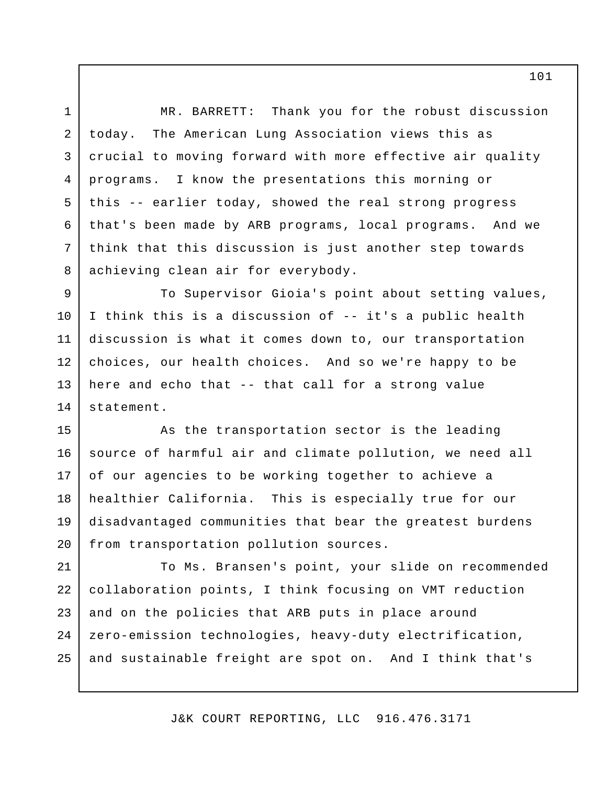MR. BARRETT: Thank you for the robust discussion today. The American Lung Association views this as crucial to moving forward with more effective air quality programs. I know the presentations this morning or this -- earlier today, showed the real strong progress that's been made by ARB programs, local programs. And we think that this discussion is just another step towards achieving clean air for everybody. 1 2 3 4 5 6 7 8

To Supervisor Gioia's point about setting values, I think this is a discussion of -- it's a public health discussion is what it comes down to, our transportation choices, our health choices. And so we're happy to be here and echo that -- that call for a strong value statement. 9 10 11 12 13 14

As the transportation sector is the leading source of harmful air and climate pollution, we need all of our agencies to be working together to achieve a healthier California. This is especially true for our disadvantaged communities that bear the greatest burdens from transportation pollution sources. 15 16 17 18 19 20

To Ms. Bransen's point, your slide on recommended collaboration points, I think focusing on VMT reduction and on the policies that ARB puts in place around zero-emission technologies, heavy-duty electrification, and sustainable freight are spot on. And I think that's 21 22 23 24 25

J&K COURT REPORTING, LLC 916.476.3171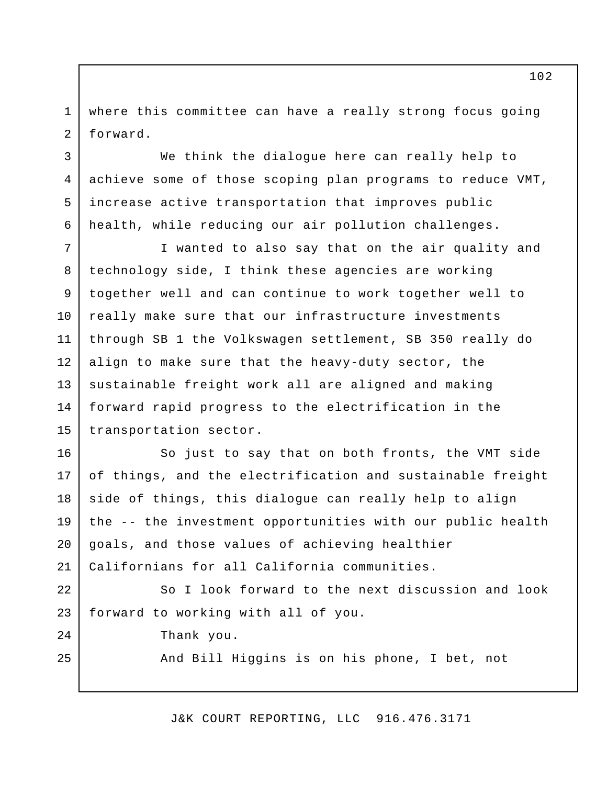where this committee can have a really strong focus going forward. 1 2

We think the dialogue here can really help to achieve some of those scoping plan programs to reduce VMT, increase active transportation that improves public health, while reducing our air pollution challenges. 4

I wanted to also say that on the air quality and technology side, I think these agencies are working together well and can continue to work together well to really make sure that our infrastructure investments through SB 1 the Volkswagen settlement, SB 350 really do align to make sure that the heavy-duty sector, the sustainable freight work all are aligned and making forward rapid progress to the electrification in the transportation sector. 7 8 9 10 11 12 13 14 15

So just to say that on both fronts, the VMT side of things, and the electrification and sustainable freight side of things, this dialogue can really help to align the -- the investment opportunities with our public health goals, and those values of achieving healthier Californians for all California communities. 16 17 18 19 20 21

So I look forward to the next discussion and look forward to working with all of you. 22 23

Thank you.

3

5

6

 $2.4$ 

25

And Bill Higgins is on his phone, I bet, not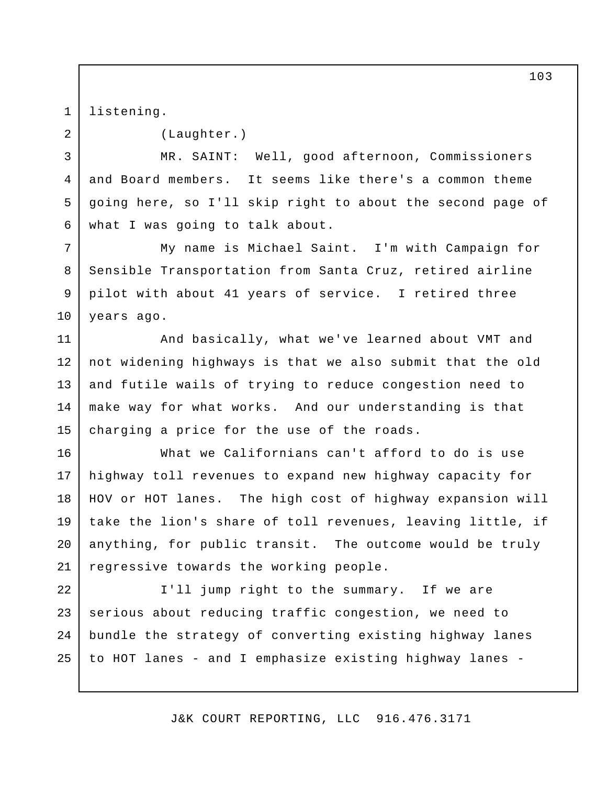listening. 1

2

3

4

5

6

(Laughter.)

MR. SAINT: Well, good afternoon, Commissioners and Board members. It seems like there's a common theme going here, so I'll skip right to about the second page of what I was going to talk about.

My name is Michael Saint. I'm with Campaign for Sensible Transportation from Santa Cruz, retired airline pilot with about 41 years of service. I retired three years ago. 7 8 9 10

And basically, what we've learned about VMT and not widening highways is that we also submit that the old and futile wails of trying to reduce congestion need to make way for what works. And our understanding is that charging a price for the use of the roads. 11 12 13 14 15

What we Californians can't afford to do is use highway toll revenues to expand new highway capacity for HOV or HOT lanes. The high cost of highway expansion will take the lion's share of toll revenues, leaving little, if anything, for public transit. The outcome would be truly regressive towards the working people. 16 17 18 19 20 21

I'll jump right to the summary. If we are serious about reducing traffic congestion, we need to bundle the strategy of converting existing highway lanes to HOT lanes - and I emphasize existing highway lanes - 22 23 24 25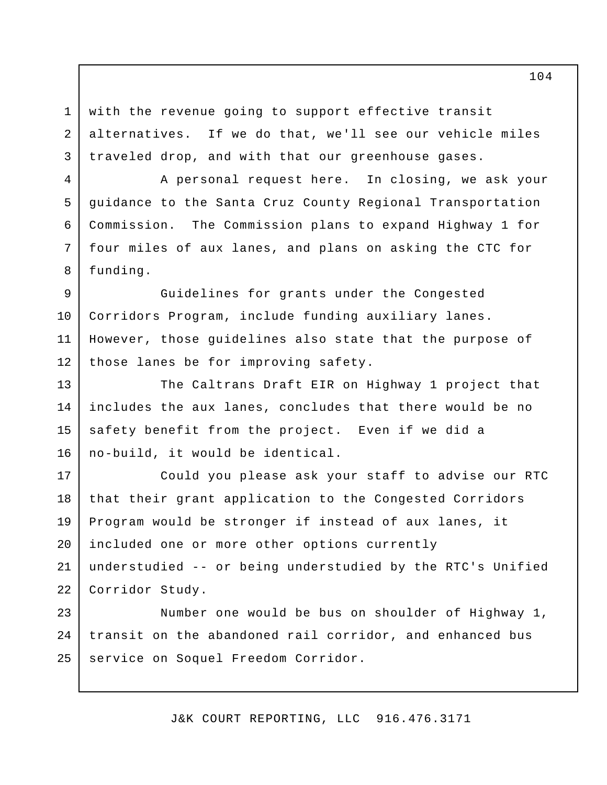with the revenue going to support effective transit alternatives. If we do that, we'll see our vehicle miles traveled drop, and with that our greenhouse gases.

1

2

3

4

5

6

7

8

A personal request here. In closing, we ask your guidance to the Santa Cruz County Regional Transportation Commission. The Commission plans to expand Highway 1 for four miles of aux lanes, and plans on asking the CTC for funding.

Guidelines for grants under the Congested Corridors Program, include funding auxiliary lanes. However, those guidelines also state that the purpose of those lanes be for improving safety. 9 10 11 12

The Caltrans Draft EIR on Highway 1 project that includes the aux lanes, concludes that there would be no safety benefit from the project. Even if we did a no-build, it would be identical. 13 14 15 16

Could you please ask your staff to advise our RTC that their grant application to the Congested Corridors Program would be stronger if instead of aux lanes, it included one or more other options currently understudied -- or being understudied by the RTC's Unified Corridor Study. 17 18 19 20 21 22

Number one would be bus on shoulder of Highway 1, transit on the abandoned rail corridor, and enhanced bus service on Soquel Freedom Corridor. 23 24 25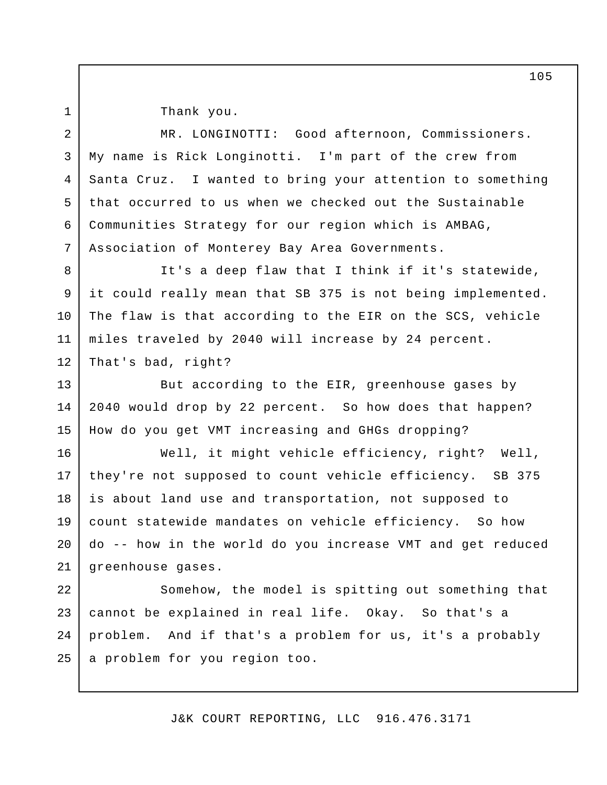1

Thank you.

MR. LONGINOTTI: Good afternoon, Commissioners. My name is Rick Longinotti. I'm part of the crew from Santa Cruz. I wanted to bring your attention to something that occurred to us when we checked out the Sustainable Communities Strategy for our region which is AMBAG, Association of Monterey Bay Area Governments. 2 3 4 5 6 7

It's a deep flaw that I think if it's statewide, it could really mean that SB 375 is not being implemented. The flaw is that according to the EIR on the SCS, vehicle miles traveled by 2040 will increase by 24 percent. That's bad, right? 8 9 10 11 12

But according to the EIR, greenhouse gases by 2040 would drop by 22 percent. So how does that happen? How do you get VMT increasing and GHGs dropping? 13 14 15

Well, it might vehicle efficiency, right? Well, they're not supposed to count vehicle efficiency. SB 375 is about land use and transportation, not supposed to count statewide mandates on vehicle efficiency. So how do -- how in the world do you increase VMT and get reduced greenhouse gases. 16 17 18 19 20 21

Somehow, the model is spitting out something that cannot be explained in real life. Okay. So that's a problem. And if that's a problem for us, it's a probably a problem for you region too. 22 23 24 25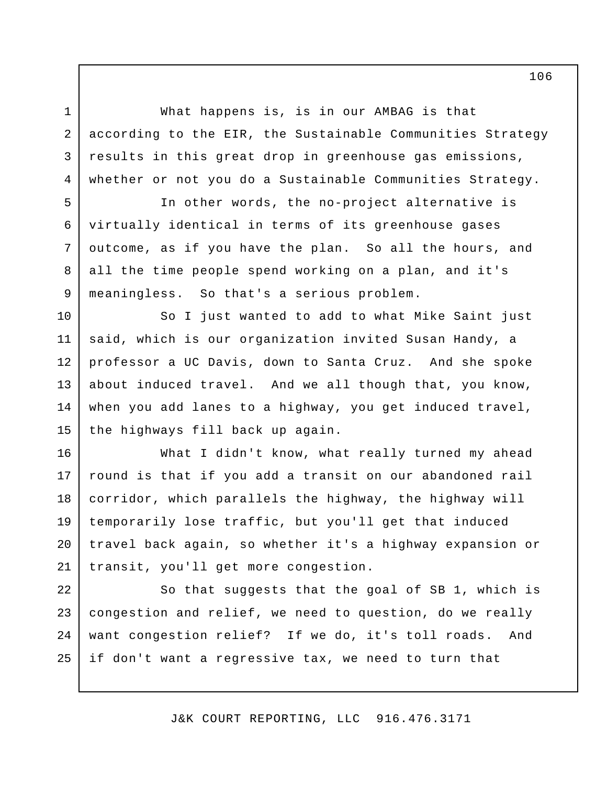What happens is, is in our AMBAG is that according to the EIR, the Sustainable Communities Strategy results in this great drop in greenhouse gas emissions, whether or not you do a Sustainable Communities Strategy.

1

2

3

4

5

6

7

8

9

10

11

12

13

14

15

In other words, the no-project alternative is virtually identical in terms of its greenhouse gases outcome, as if you have the plan. So all the hours, and all the time people spend working on a plan, and it's meaningless. So that's a serious problem.

So I just wanted to add to what Mike Saint just said, which is our organization invited Susan Handy, a professor a UC Davis, down to Santa Cruz. And she spoke about induced travel. And we all though that, you know, when you add lanes to a highway, you get induced travel, the highways fill back up again.

What I didn't know, what really turned my ahead round is that if you add a transit on our abandoned rail corridor, which parallels the highway, the highway will temporarily lose traffic, but you'll get that induced travel back again, so whether it's a highway expansion or transit, you'll get more congestion. 16 17 18 19 20 21

So that suggests that the goal of SB 1, which is congestion and relief, we need to question, do we really want congestion relief? If we do, it's toll roads. And if don't want a regressive tax, we need to turn that 22 23 24 25

J&K COURT REPORTING, LLC 916.476.3171

106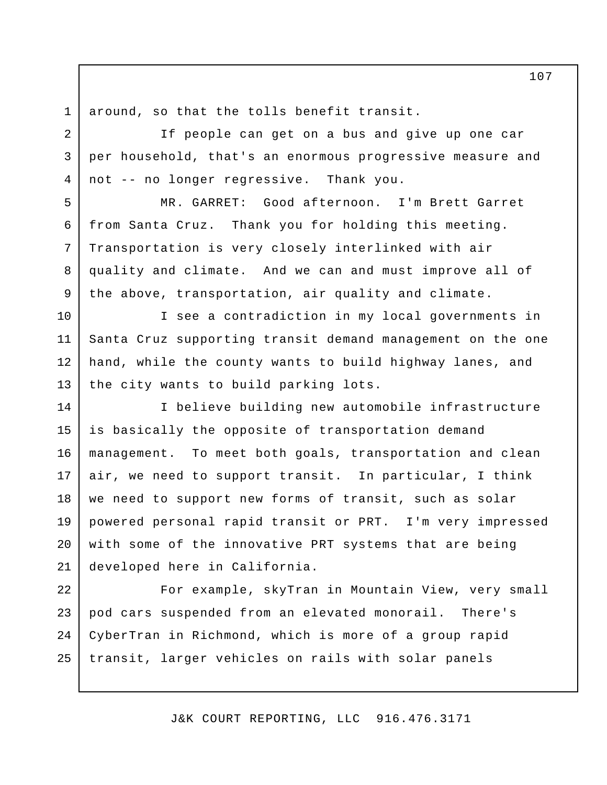around, so that the tolls benefit transit. 1

2

3

4

5

6

7

8

9

If people can get on a bus and give up one car per household, that's an enormous progressive measure and not -- no longer regressive. Thank you.

MR. GARRET: Good afternoon. I'm Brett Garret from Santa Cruz. Thank you for holding this meeting. Transportation is very closely interlinked with air quality and climate. And we can and must improve all of the above, transportation, air quality and climate.

I see a contradiction in my local governments in Santa Cruz supporting transit demand management on the one hand, while the county wants to build highway lanes, and the city wants to build parking lots. 10 11 12 13

I believe building new automobile infrastructure is basically the opposite of transportation demand management. To meet both goals, transportation and clean air, we need to support transit. In particular, I think we need to support new forms of transit, such as solar powered personal rapid transit or PRT. I'm very impressed with some of the innovative PRT systems that are being developed here in California. 14 15 16 17 18 19 20 21

For example, skyTran in Mountain View, very small pod cars suspended from an elevated monorail. There's CyberTran in Richmond, which is more of a group rapid transit, larger vehicles on rails with solar panels 22 23 24 25

J&K COURT REPORTING, LLC 916.476.3171

107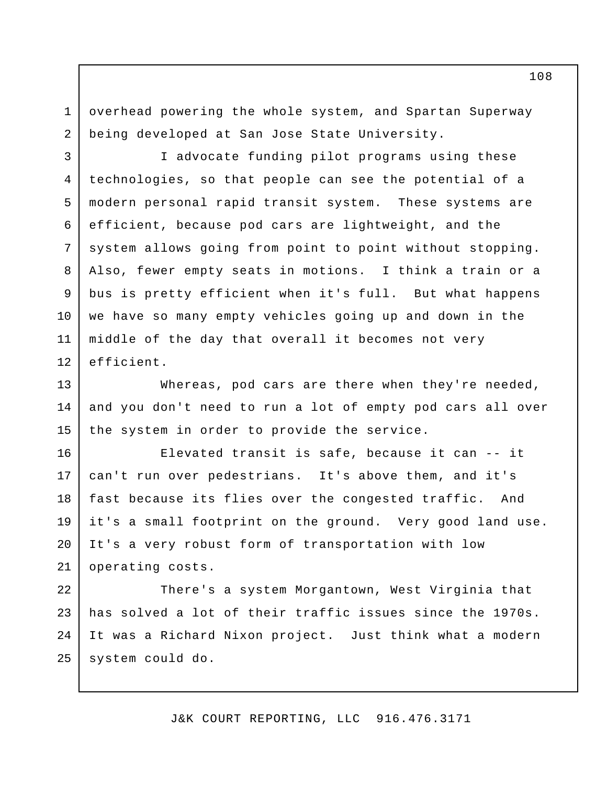overhead powering the whole system, and Spartan Superway being developed at San Jose State University. 1 2

I advocate funding pilot programs using these technologies, so that people can see the potential of a modern personal rapid transit system. These systems are efficient, because pod cars are lightweight, and the system allows going from point to point without stopping. Also, fewer empty seats in motions. I think a train or a bus is pretty efficient when it's full. But what happens we have so many empty vehicles going up and down in the middle of the day that overall it becomes not very efficient. 3 4 5 6 7 8 9 10 11 12

Whereas, pod cars are there when they're needed, and you don't need to run a lot of empty pod cars all over the system in order to provide the service. 13 14 15

Elevated transit is safe, because it can -- it can't run over pedestrians. It's above them, and it's fast because its flies over the congested traffic. And it's a small footprint on the ground. Very good land use. It's a very robust form of transportation with low operating costs. 16 17 18 19 20 21

There's a system Morgantown, West Virginia that has solved a lot of their traffic issues since the 1970s. It was a Richard Nixon project. Just think what a modern system could do. 22 23 24 25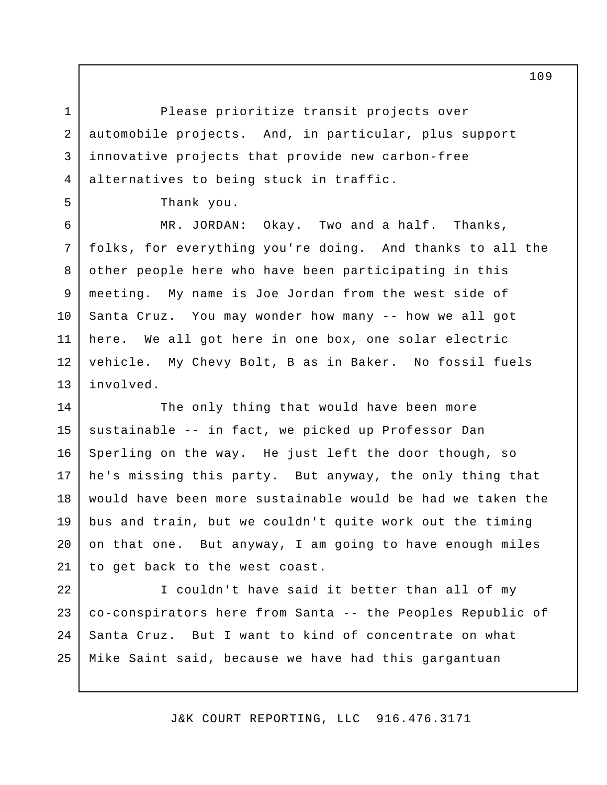Please prioritize transit projects over automobile projects. And, in particular, plus support innovative projects that provide new carbon-free alternatives to being stuck in traffic.

Thank you.

1

2

3

4

5

MR. JORDAN: Okay. Two and a half. Thanks, folks, for everything you're doing. And thanks to all the other people here who have been participating in this meeting. My name is Joe Jordan from the west side of Santa Cruz. You may wonder how many -- how we all got here. We all got here in one box, one solar electric vehicle. My Chevy Bolt, B as in Baker. No fossil fuels involved. 6 7 8 9 10 11 12 13

The only thing that would have been more sustainable -- in fact, we picked up Professor Dan Sperling on the way. He just left the door though, so he's missing this party. But anyway, the only thing that would have been more sustainable would be had we taken the bus and train, but we couldn't quite work out the timing on that one. But anyway, I am going to have enough miles to get back to the west coast. 14 15 16 17 18 19 20 21

I couldn't have said it better than all of my co-conspirators here from Santa -- the Peoples Republic of Santa Cruz. But I want to kind of concentrate on what Mike Saint said, because we have had this gargantuan 22 23 24 25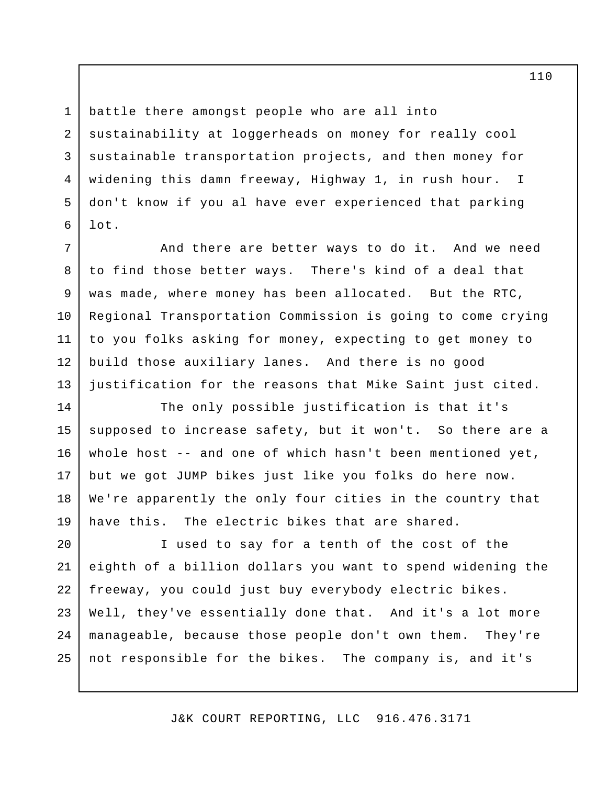battle there amongst people who are all into sustainability at loggerheads on money for really cool sustainable transportation projects, and then money for widening this damn freeway, Highway 1, in rush hour. I don't know if you al have ever experienced that parking lot.

1

2

3

4

5

6

7

9

10

And there are better ways to do it. And we need to find those better ways. There's kind of a deal that was made, where money has been allocated. But the RTC, Regional Transportation Commission is going to come crying to you folks asking for money, expecting to get money to build those auxiliary lanes. And there is no good justification for the reasons that Mike Saint just cited. 8 11 12 13

The only possible justification is that it's supposed to increase safety, but it won't. So there are a whole host -- and one of which hasn't been mentioned yet, but we got JUMP bikes just like you folks do here now. We're apparently the only four cities in the country that have this. The electric bikes that are shared. 14 15 16 17 18 19

I used to say for a tenth of the cost of the eighth of a billion dollars you want to spend widening the freeway, you could just buy everybody electric bikes. Well, they've essentially done that. And it's a lot more manageable, because those people don't own them. They're not responsible for the bikes. The company is, and it's 20 21 22 23 24 25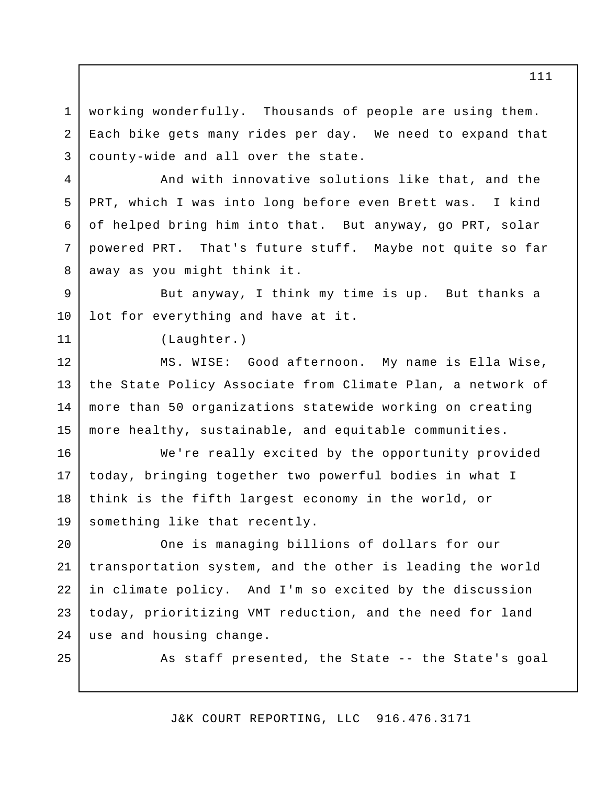working wonderfully. Thousands of people are using them. Each bike gets many rides per day. We need to expand that county-wide and all over the state. 1 2 3

And with innovative solutions like that, and the PRT, which I was into long before even Brett was. I kind of helped bring him into that. But anyway, go PRT, solar powered PRT. That's future stuff. Maybe not quite so far away as you might think it.

But anyway, I think my time is up. But thanks a lot for everything and have at it. 9 10

(Laughter.)

MS. WISE: Good afternoon. My name is Ella Wise, the State Policy Associate from Climate Plan, a network of more than 50 organizations statewide working on creating more healthy, sustainable, and equitable communities. 12 13 14 15

We're really excited by the opportunity provided today, bringing together two powerful bodies in what I think is the fifth largest economy in the world, or something like that recently. 16 17 18 19

One is managing billions of dollars for our transportation system, and the other is leading the world in climate policy. And I'm so excited by the discussion today, prioritizing VMT reduction, and the need for land use and housing change. 20 21 22 23 24

25

4

5

6

7

8

11

As staff presented, the State -- the State's goal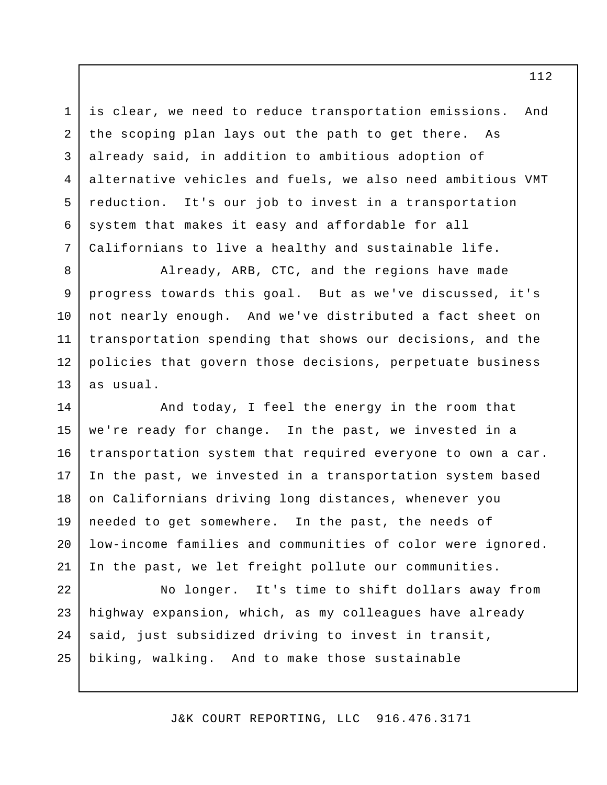is clear, we need to reduce transportation emissions. And the scoping plan lays out the path to get there. As already said, in addition to ambitious adoption of alternative vehicles and fuels, we also need ambitious VMT reduction. It's our job to invest in a transportation system that makes it easy and affordable for all Californians to live a healthy and sustainable life.

1

2

3

4

5

6

7

8

9

10

Already, ARB, CTC, and the regions have made progress towards this goal. But as we've discussed, it's not nearly enough. And we've distributed a fact sheet on transportation spending that shows our decisions, and the policies that govern those decisions, perpetuate business as usual. 11 12 13

And today, I feel the energy in the room that we're ready for change. In the past, we invested in a transportation system that required everyone to own a car. In the past, we invested in a transportation system based on Californians driving long distances, whenever you needed to get somewhere. In the past, the needs of low-income families and communities of color were ignored. In the past, we let freight pollute our communities. 14 15 16 17 18 19 20 21

No longer. It's time to shift dollars away from highway expansion, which, as my colleagues have already said, just subsidized driving to invest in transit, biking, walking. And to make those sustainable 22 23 24 25

J&K COURT REPORTING, LLC 916.476.3171

112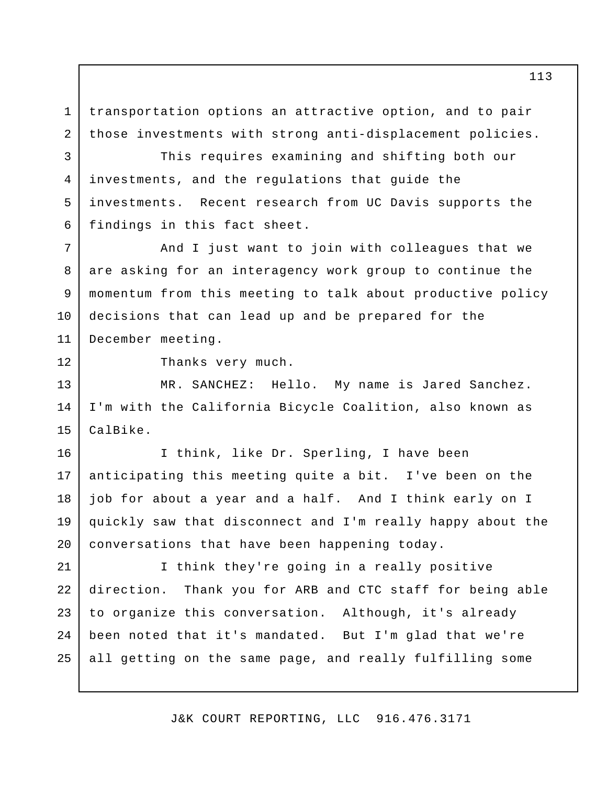transportation options an attractive option, and to pair those investments with strong anti-displacement policies. 1 2

This requires examining and shifting both our investments, and the regulations that guide the investments. Recent research from UC Davis supports the findings in this fact sheet.

And I just want to join with colleagues that we are asking for an interagency work group to continue the momentum from this meeting to talk about productive policy decisions that can lead up and be prepared for the December meeting. 7 8 9 10 11

12

3

4

5

6

Thanks very much.

MR. SANCHEZ: Hello. My name is Jared Sanchez. I'm with the California Bicycle Coalition, also known as CalBike. 13 14 15

I think, like Dr. Sperling, I have been anticipating this meeting quite a bit. I've been on the job for about a year and a half. And I think early on I quickly saw that disconnect and I'm really happy about the conversations that have been happening today. 16 17 18 19 20

I think they're going in a really positive direction. Thank you for ARB and CTC staff for being able to organize this conversation. Although, it's already been noted that it's mandated. But I'm glad that we're all getting on the same page, and really fulfilling some 21 22 23  $2.4$ 25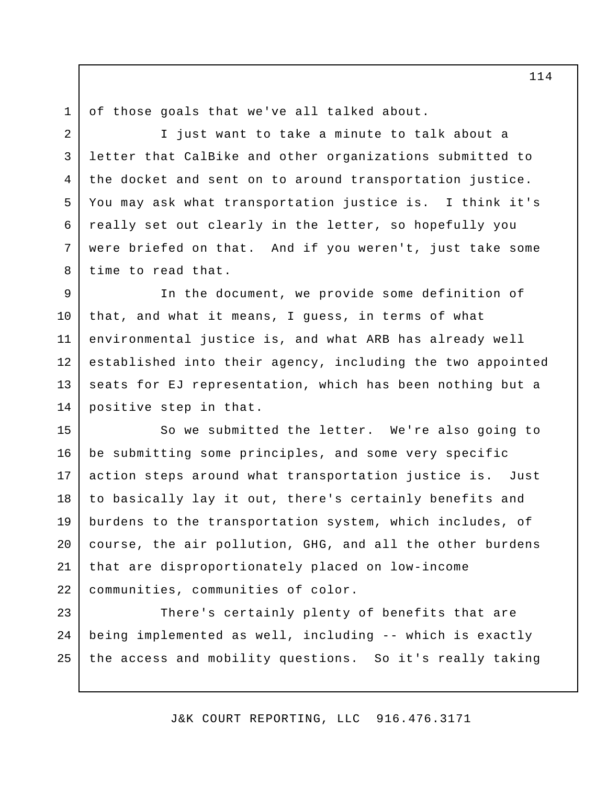1 2

3

4

5

6

7

8

of those goals that we've all talked about.

I just want to take a minute to talk about a letter that CalBike and other organizations submitted to the docket and sent on to around transportation justice. You may ask what transportation justice is. I think it's really set out clearly in the letter, so hopefully you were briefed on that. And if you weren't, just take some time to read that.

In the document, we provide some definition of that, and what it means, I guess, in terms of what environmental justice is, and what ARB has already well established into their agency, including the two appointed seats for EJ representation, which has been nothing but a positive step in that. 9 10 11 12 13 14

So we submitted the letter. We're also going to be submitting some principles, and some very specific action steps around what transportation justice is. Just to basically lay it out, there's certainly benefits and burdens to the transportation system, which includes, of course, the air pollution, GHG, and all the other burdens that are disproportionately placed on low-income communities, communities of color. 15 16 17 18 19 20 21 22

There's certainly plenty of benefits that are being implemented as well, including -- which is exactly the access and mobility questions. So it's really taking 23 24 25

J&K COURT REPORTING, LLC 916.476.3171

114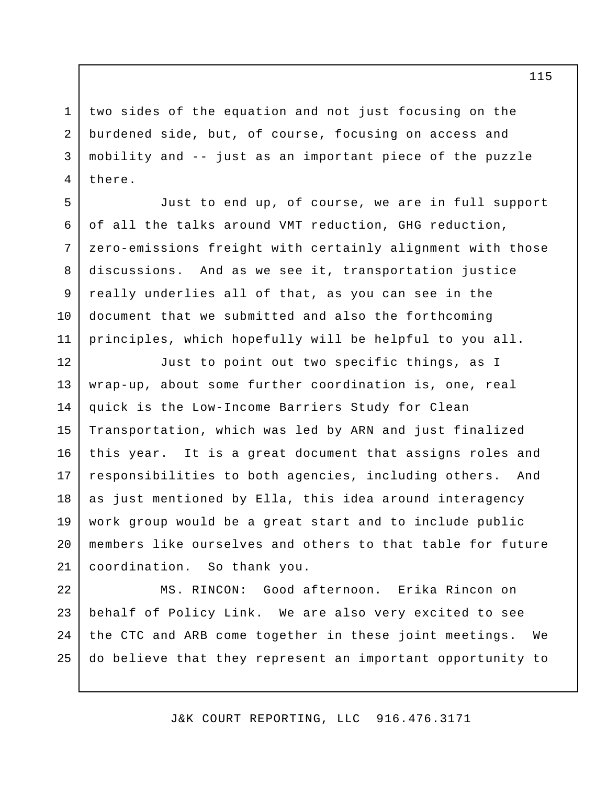two sides of the equation and not just focusing on the burdened side, but, of course, focusing on access and mobility and -- just as an important piece of the puzzle there. 1 2 3 4

5

6

7

8

9

10

11

Just to end up, of course, we are in full support of all the talks around VMT reduction, GHG reduction, zero-emissions freight with certainly alignment with those discussions. And as we see it, transportation justice really underlies all of that, as you can see in the document that we submitted and also the forthcoming principles, which hopefully will be helpful to you all.

Just to point out two specific things, as I wrap-up, about some further coordination is, one, real quick is the Low-Income Barriers Study for Clean Transportation, which was led by ARN and just finalized this year. It is a great document that assigns roles and responsibilities to both agencies, including others. And as just mentioned by Ella, this idea around interagency work group would be a great start and to include public members like ourselves and others to that table for future coordination. So thank you. 12 13 14 15 16 17 18 19 20 21

MS. RINCON: Good afternoon. Erika Rincon on behalf of Policy Link. We are also very excited to see the CTC and ARB come together in these joint meetings. We do believe that they represent an important opportunity to 22 23 24 25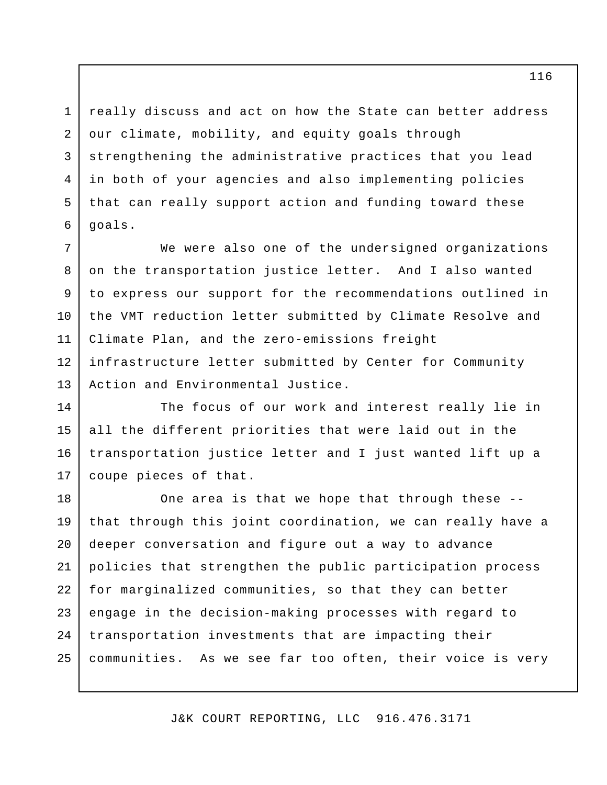really discuss and act on how the State can better address our climate, mobility, and equity goals through strengthening the administrative practices that you lead in both of your agencies and also implementing policies that can really support action and funding toward these goals. 3 4 5

1

2

6

We were also one of the undersigned organizations on the transportation justice letter. And I also wanted to express our support for the recommendations outlined in the VMT reduction letter submitted by Climate Resolve and Climate Plan, and the zero-emissions freight infrastructure letter submitted by Center for Community Action and Environmental Justice. 7 8 9 10 11 12 13

The focus of our work and interest really lie in all the different priorities that were laid out in the transportation justice letter and I just wanted lift up a coupe pieces of that. 14 15 16 17

One area is that we hope that through these - that through this joint coordination, we can really have a deeper conversation and figure out a way to advance policies that strengthen the public participation process for marginalized communities, so that they can better engage in the decision-making processes with regard to transportation investments that are impacting their communities. As we see far too often, their voice is very 18 19 20 21 22 23 24 25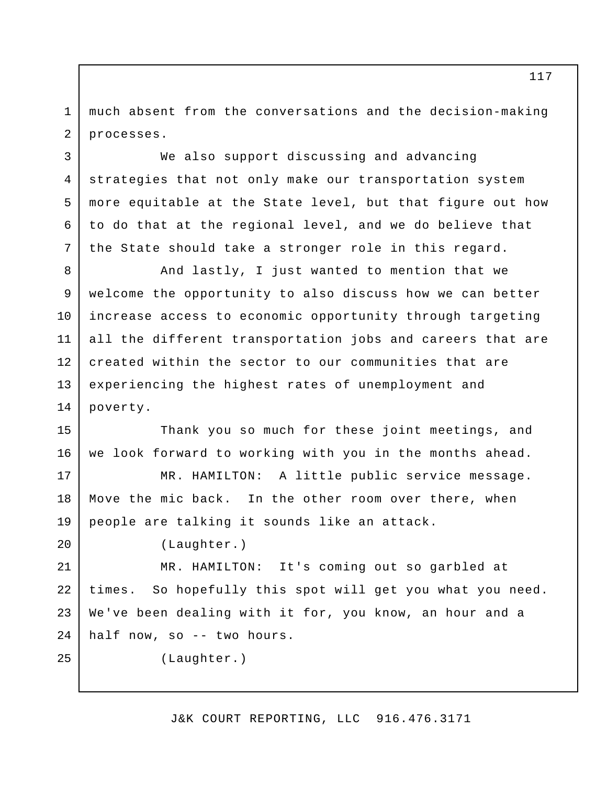much absent from the conversations and the decision-making processes. 1 2

We also support discussing and advancing strategies that not only make our transportation system more equitable at the State level, but that figure out how to do that at the regional level, and we do believe that the State should take a stronger role in this regard.

And lastly, I just wanted to mention that we welcome the opportunity to also discuss how we can better increase access to economic opportunity through targeting all the different transportation jobs and careers that are created within the sector to our communities that are experiencing the highest rates of unemployment and poverty. 8 9 10 11 12 13 14

Thank you so much for these joint meetings, and we look forward to working with you in the months ahead. 15 16

MR. HAMILTON: A little public service message. Move the mic back. In the other room over there, when people are talking it sounds like an attack. 17 18 19

(Laughter.)

3

4

5

6

7

20

25

MR. HAMILTON: It's coming out so garbled at times. So hopefully this spot will get you what you need. We've been dealing with it for, you know, an hour and a half now, so -- two hours. 21 22 23 24

(Laughter.)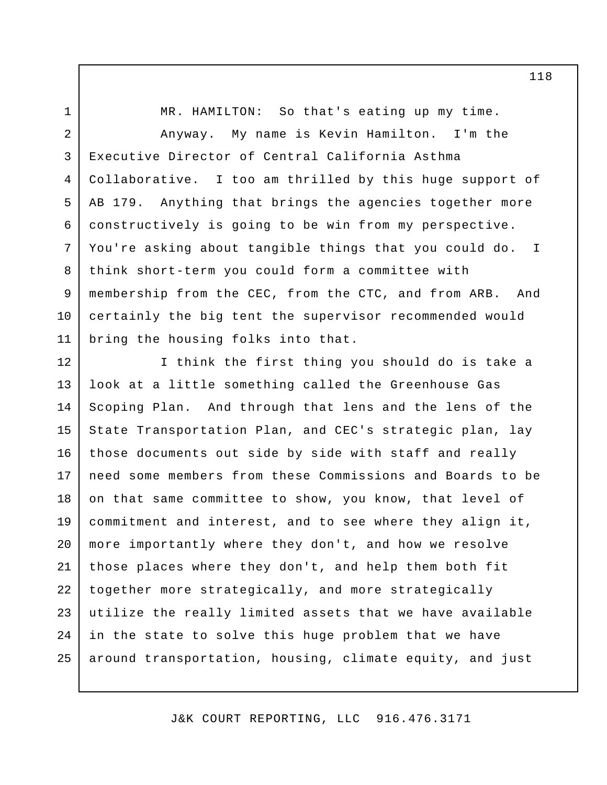MR. HAMILTON: So that's eating up my time. Anyway. My name is Kevin Hamilton. I'm the Executive Director of Central California Asthma Collaborative. I too am thrilled by this huge support of AB 179. Anything that brings the agencies together more constructively is going to be win from my perspective. You're asking about tangible things that you could do. I think short-term you could form a committee with membership from the CEC, from the CTC, and from ARB. And certainly the big tent the supervisor recommended would bring the housing folks into that. 1 2 3 4 5 6 7 8 9 10 11

I think the first thing you should do is take a look at a little something called the Greenhouse Gas Scoping Plan. And through that lens and the lens of the State Transportation Plan, and CEC's strategic plan, lay those documents out side by side with staff and really need some members from these Commissions and Boards to be on that same committee to show, you know, that level of commitment and interest, and to see where they align it, more importantly where they don't, and how we resolve those places where they don't, and help them both fit together more strategically, and more strategically utilize the really limited assets that we have available in the state to solve this huge problem that we have around transportation, housing, climate equity, and just 12 13 14 15 16 17 18 19 20 21 22 23 24 25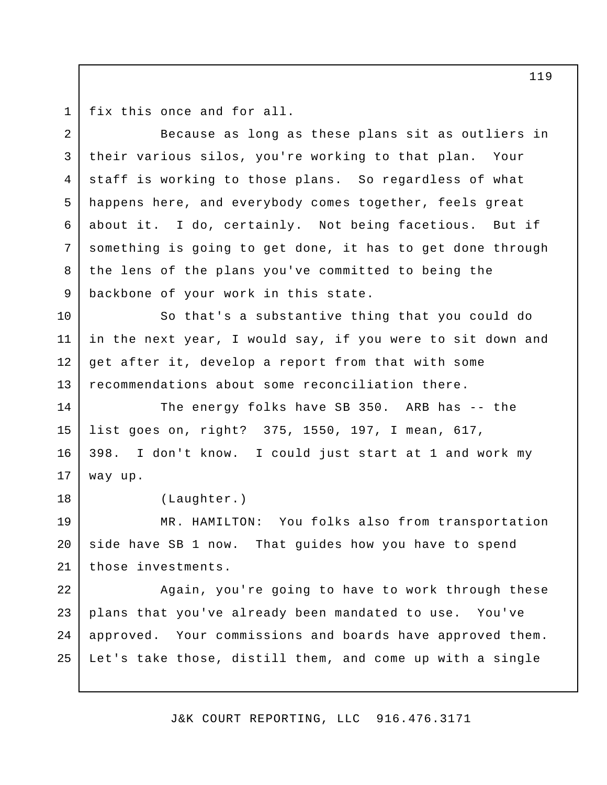1

18

fix this once and for all.

Because as long as these plans sit as outliers in their various silos, you're working to that plan. Your staff is working to those plans. So regardless of what happens here, and everybody comes together, feels great about it. I do, certainly. Not being facetious. But if something is going to get done, it has to get done through the lens of the plans you've committed to being the backbone of your work in this state. 2 3 4 5 6 7 8 9

So that's a substantive thing that you could do in the next year, I would say, if you were to sit down and get after it, develop a report from that with some recommendations about some reconciliation there. 10 11 12 13

The energy folks have SB 350. ARB has -- the list goes on, right? 375, 1550, 197, I mean, 617, 398. I don't know. I could just start at 1 and work my way up. 14 15 16 17

(Laughter.)

MR. HAMILTON: You folks also from transportation side have SB 1 now. That guides how you have to spend those investments. 19 20 21

Again, you're going to have to work through these plans that you've already been mandated to use. You've approved. Your commissions and boards have approved them. Let's take those, distill them, and come up with a single 22 23 24 25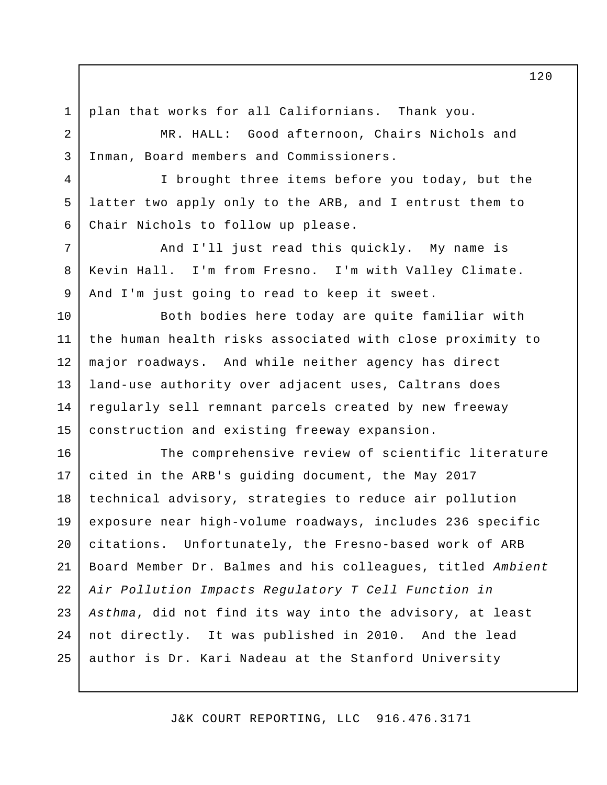plan that works for all Californians. Thank you. 1

2

3

4

5

6

7

8

9

MR. HALL: Good afternoon, Chairs Nichols and Inman, Board members and Commissioners.

I brought three items before you today, but the latter two apply only to the ARB, and I entrust them to Chair Nichols to follow up please.

And I'll just read this quickly. My name is Kevin Hall. I'm from Fresno. I'm with Valley Climate. And I'm just going to read to keep it sweet.

Both bodies here today are quite familiar with the human health risks associated with close proximity to major roadways. And while neither agency has direct land-use authority over adjacent uses, Caltrans does regularly sell remnant parcels created by new freeway construction and existing freeway expansion. 10 11 12 13 14 15

The comprehensive review of scientific literature cited in the ARB's guiding document, the May 2017 technical advisory, strategies to reduce air pollution exposure near high-volume roadways, includes 236 specific citations. Unfortunately, the Fresno-based work of ARB Board Member Dr. Balmes and his colleagues, titled *Ambient Air Pollution Impacts Regulatory T Cell Function in Asthma*, did not find its way into the advisory, at least not directly. It was published in 2010. And the lead author is Dr. Kari Nadeau at the Stanford University 16 17 18 19 20 21 22 23 24 25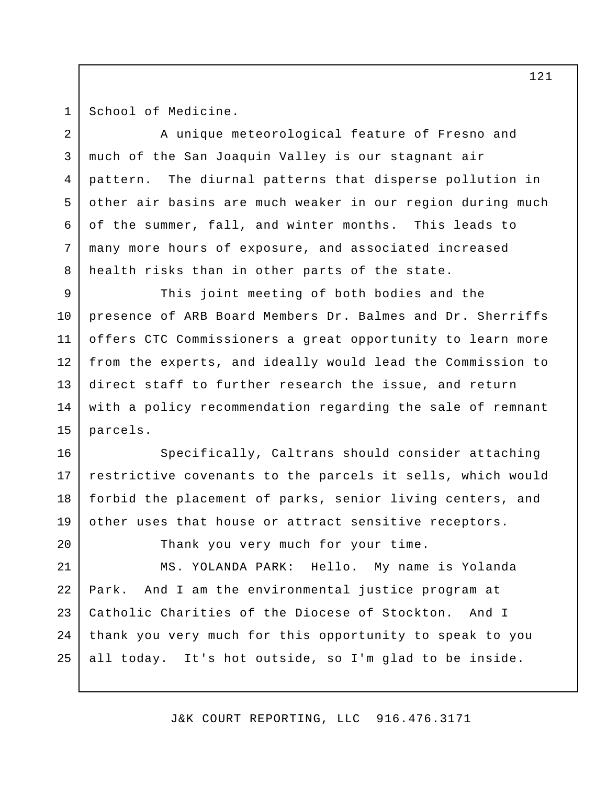1

20

School of Medicine.

A unique meteorological feature of Fresno and much of the San Joaquin Valley is our stagnant air pattern. The diurnal patterns that disperse pollution in other air basins are much weaker in our region during much of the summer, fall, and winter months. This leads to many more hours of exposure, and associated increased health risks than in other parts of the state. This joint meeting of both bodies and the 2 3 4 5 6 7 8 9

presence of ARB Board Members Dr. Balmes and Dr. Sherriffs offers CTC Commissioners a great opportunity to learn more from the experts, and ideally would lead the Commission to direct staff to further research the issue, and return with a policy recommendation regarding the sale of remnant parcels. 10 11 12 13 14 15

Specifically, Caltrans should consider attaching restrictive covenants to the parcels it sells, which would forbid the placement of parks, senior living centers, and other uses that house or attract sensitive receptors. 16 17 18 19

Thank you very much for your time.

MS. YOLANDA PARK: Hello. My name is Yolanda Park. And I am the environmental justice program at Catholic Charities of the Diocese of Stockton. And I thank you very much for this opportunity to speak to you all today. It's hot outside, so I'm glad to be inside. 21 22 23 24 25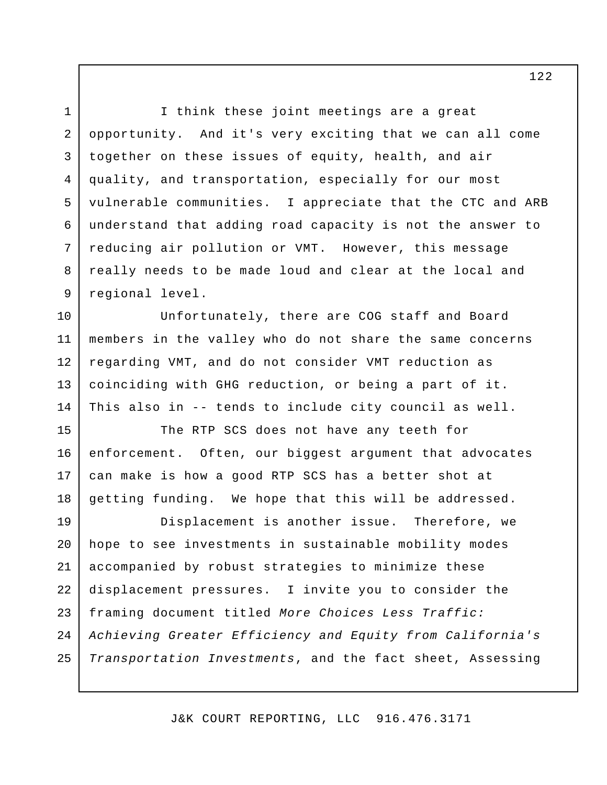I think these joint meetings are a great opportunity. And it's very exciting that we can all come together on these issues of equity, health, and air quality, and transportation, especially for our most vulnerable communities. I appreciate that the CTC and ARB understand that adding road capacity is not the answer to reducing air pollution or VMT. However, this message really needs to be made loud and clear at the local and regional level. 1 2 3 4 5 6 7 8 9

Unfortunately, there are COG staff and Board members in the valley who do not share the same concerns regarding VMT, and do not consider VMT reduction as coinciding with GHG reduction, or being a part of it. This also in -- tends to include city council as well. 10 11 12 13 14

The RTP SCS does not have any teeth for enforcement. Often, our biggest argument that advocates can make is how a good RTP SCS has a better shot at getting funding. We hope that this will be addressed. 15 16 17 18

Displacement is another issue. Therefore, we hope to see investments in sustainable mobility modes accompanied by robust strategies to minimize these displacement pressures. I invite you to consider the framing document titled *More Choices Less Traffic: Achieving Greater Efficiency and Equity from California's Transportation Investments*, and the fact sheet, Assessing 19 20 21 22 23 24 25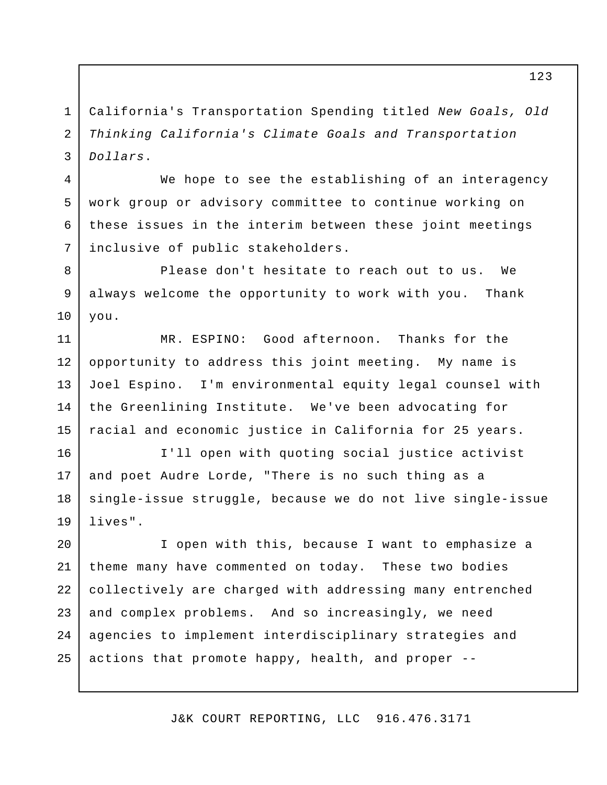California's Transportation Spending titled *New Goals, Old Thinking California's Climate Goals and Transportation Dollars*. 1 2 3

4

5

6

7

We hope to see the establishing of an interagency work group or advisory committee to continue working on these issues in the interim between these joint meetings inclusive of public stakeholders.

Please don't hesitate to reach out to us. We always welcome the opportunity to work with you. Thank you. 8 9 10

MR. ESPINO: Good afternoon. Thanks for the opportunity to address this joint meeting. My name is Joel Espino. I'm environmental equity legal counsel with the Greenlining Institute. We've been advocating for racial and economic justice in California for 25 years. 11 12 13 14 15

I'll open with quoting social justice activist and poet Audre Lorde, "There is no such thing as a single-issue struggle, because we do not live single-issue lives". 16 17 18 19

I open with this, because I want to emphasize a theme many have commented on today. These two bodies collectively are charged with addressing many entrenched and complex problems. And so increasingly, we need agencies to implement interdisciplinary strategies and actions that promote happy, health, and proper -- 20 21 22 23 24 25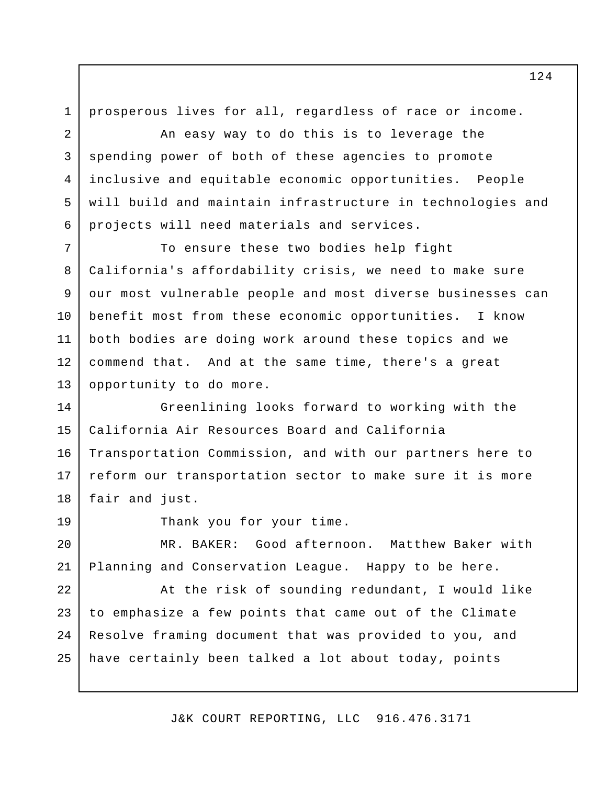prosperous lives for all, regardless of race or income. 1

An easy way to do this is to leverage the spending power of both of these agencies to promote inclusive and equitable economic opportunities. People will build and maintain infrastructure in technologies and projects will need materials and services.

To ensure these two bodies help fight California's affordability crisis, we need to make sure our most vulnerable people and most diverse businesses can benefit most from these economic opportunities. I know both bodies are doing work around these topics and we commend that. And at the same time, there's a great opportunity to do more. 7 8 9 10 11 12 13

Greenlining looks forward to working with the California Air Resources Board and California Transportation Commission, and with our partners here to reform our transportation sector to make sure it is more fair and just. 14 15 16 17 18

19

2

3

4

5

6

Thank you for your time.

MR. BAKER: Good afternoon. Matthew Baker with Planning and Conservation League. Happy to be here. 20 21

At the risk of sounding redundant, I would like to emphasize a few points that came out of the Climate Resolve framing document that was provided to you, and have certainly been talked a lot about today, points 22 23 24 25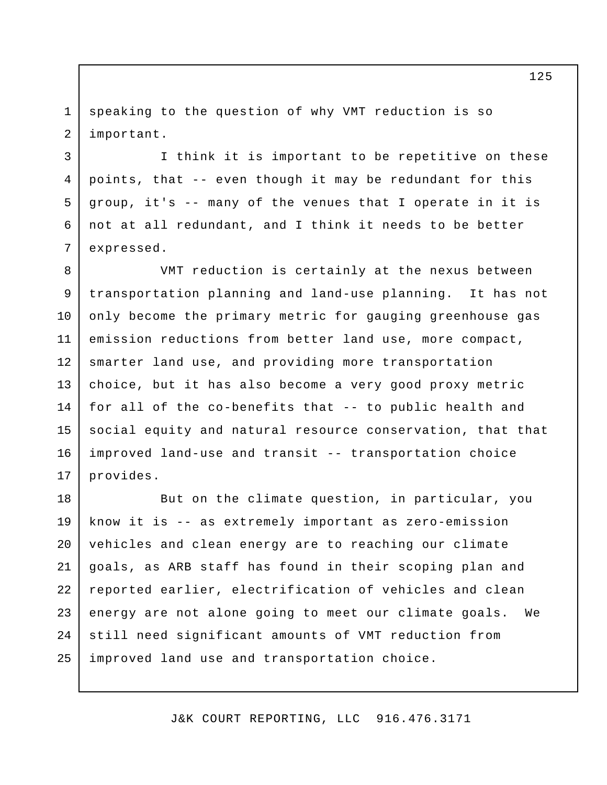speaking to the question of why VMT reduction is so important. 1 2

3

5

6

7

I think it is important to be repetitive on these points, that -- even though it may be redundant for this group, it's -- many of the venues that I operate in it is not at all redundant, and I think it needs to be better expressed. 4

VMT reduction is certainly at the nexus between transportation planning and land-use planning. It has not only become the primary metric for gauging greenhouse gas emission reductions from better land use, more compact, smarter land use, and providing more transportation choice, but it has also become a very good proxy metric for all of the co-benefits that -- to public health and social equity and natural resource conservation, that that improved land-use and transit -- transportation choice provides. 8 9 10 11 12 13 14 15 16 17

But on the climate question, in particular, you know it is -- as extremely important as zero-emission vehicles and clean energy are to reaching our climate goals, as ARB staff has found in their scoping plan and reported earlier, electrification of vehicles and clean energy are not alone going to meet our climate goals. We still need significant amounts of VMT reduction from improved land use and transportation choice. 18 19 20 21 22 23 24 25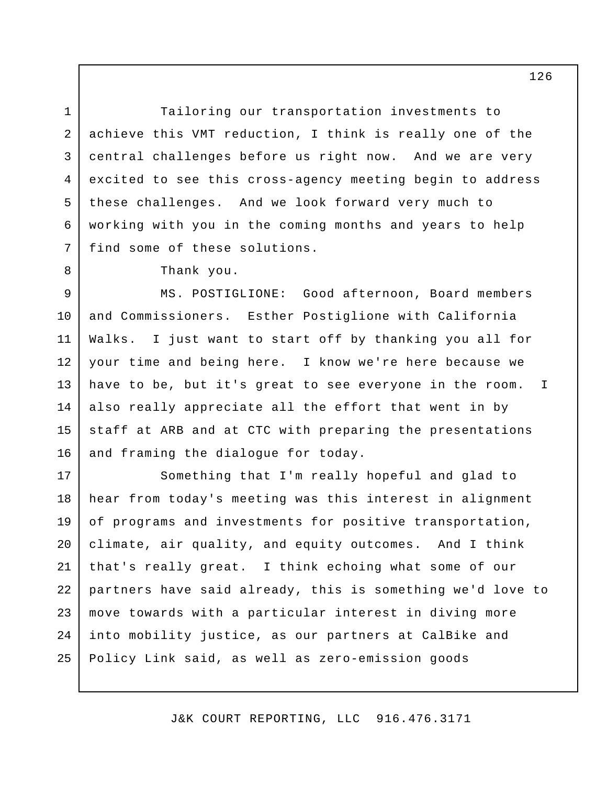Tailoring our transportation investments to achieve this VMT reduction, I think is really one of the central challenges before us right now. And we are very excited to see this cross-agency meeting begin to address these challenges. And we look forward very much to working with you in the coming months and years to help find some of these solutions. 1 2 3 4 5 6 7

Thank you.

8

MS. POSTIGLIONE: Good afternoon, Board members and Commissioners. Esther Postiglione with California Walks. I just want to start off by thanking you all for your time and being here. I know we're here because we have to be, but it's great to see everyone in the room. I also really appreciate all the effort that went in by staff at ARB and at CTC with preparing the presentations and framing the dialogue for today. 9 10 11 12 13 14 15 16

Something that I'm really hopeful and glad to hear from today's meeting was this interest in alignment of programs and investments for positive transportation, climate, air quality, and equity outcomes. And I think that's really great. I think echoing what some of our partners have said already, this is something we'd love to move towards with a particular interest in diving more into mobility justice, as our partners at CalBike and Policy Link said, as well as zero-emission goods 17 18 19 20 21 22 23 24 25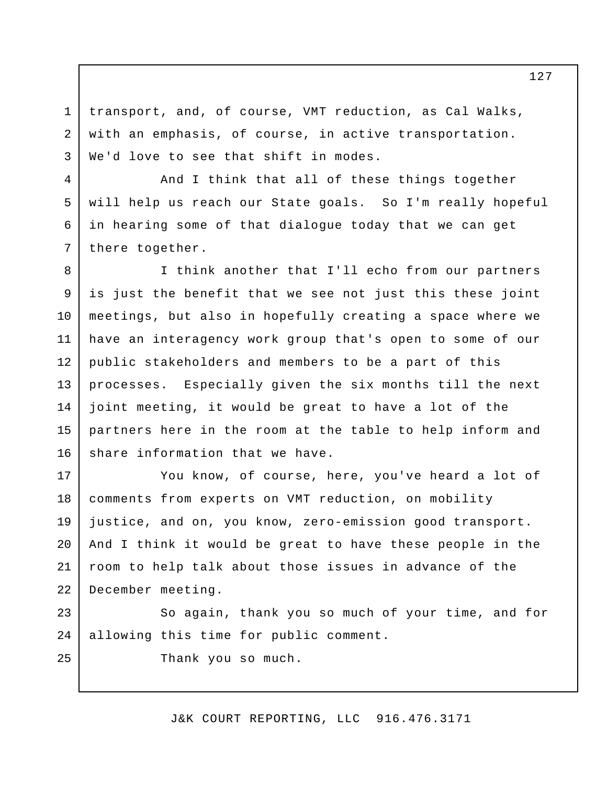transport, and, of course, VMT reduction, as Cal Walks, with an emphasis, of course, in active transportation. We'd love to see that shift in modes.

1

2

3

4

5

6

7

25

And I think that all of these things together will help us reach our State goals. So I'm really hopeful in hearing some of that dialogue today that we can get there together.

I think another that I'll echo from our partners is just the benefit that we see not just this these joint meetings, but also in hopefully creating a space where we have an interagency work group that's open to some of our public stakeholders and members to be a part of this processes. Especially given the six months till the next joint meeting, it would be great to have a lot of the partners here in the room at the table to help inform and share information that we have. 8 9 10 11 12 13 14 15 16

You know, of course, here, you've heard a lot of comments from experts on VMT reduction, on mobility justice, and on, you know, zero-emission good transport. And I think it would be great to have these people in the room to help talk about those issues in advance of the December meeting. 17 18 19 20 21 22

So again, thank you so much of your time, and for allowing this time for public comment. 23 24

Thank you so much.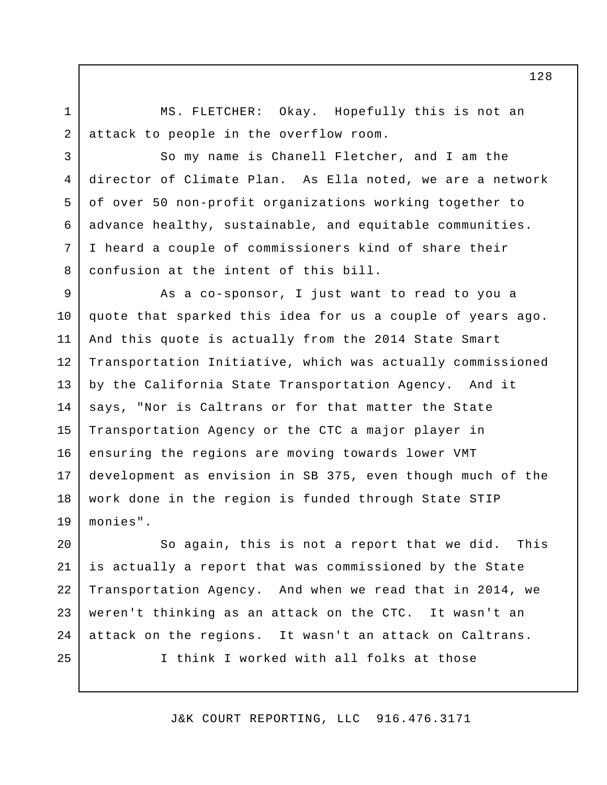1 2

3

4

5

6

7

8

MS. FLETCHER: Okay. Hopefully this is not an attack to people in the overflow room.

So my name is Chanell Fletcher, and I am the director of Climate Plan. As Ella noted, we are a network of over 50 non-profit organizations working together to advance healthy, sustainable, and equitable communities. I heard a couple of commissioners kind of share their confusion at the intent of this bill.

As a co-sponsor, I just want to read to you a quote that sparked this idea for us a couple of years ago. And this quote is actually from the 2014 State Smart Transportation Initiative, which was actually commissioned by the California State Transportation Agency. And it says, "Nor is Caltrans or for that matter the State Transportation Agency or the CTC a major player in ensuring the regions are moving towards lower VMT development as envision in SB 375, even though much of the work done in the region is funded through State STIP monies". 9 10 11 12 13 14 15 16 17 18 19

So again, this is not a report that we did. This is actually a report that was commissioned by the State Transportation Agency. And when we read that in 2014, we weren't thinking as an attack on the CTC. It wasn't an attack on the regions. It wasn't an attack on Caltrans. I think I worked with all folks at those 20 21 22 23 24 25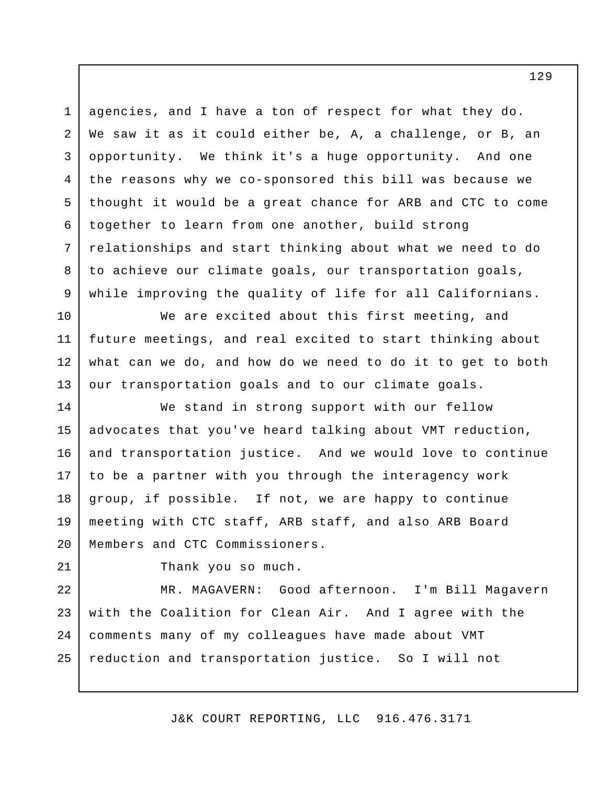agencies, and I have a ton of respect for what they do. We saw it as it could either be, A, a challenge, or B, an opportunity. We think it's a huge opportunity. And one the reasons why we co-sponsored this bill was because we thought it would be a great chance for ARB and CTC to come together to learn from one another, build strong relationships and start thinking about what we need to do to achieve our climate goals, our transportation goals, while improving the quality of life for all Californians. 1 2 3 4 5 6 7 8 9

We are excited about this first meeting, and future meetings, and real excited to start thinking about what can we do, and how do we need to do it to get to both our transportation goals and to our climate goals. 10 11 12 13

We stand in strong support with our fellow advocates that you've heard talking about VMT reduction, and transportation justice. And we would love to continue to be a partner with you through the interagency work group, if possible. If not, we are happy to continue meeting with CTC staff, ARB staff, and also ARB Board Members and CTC Commissioners. 14 15 16 17 18 19 20

21 22 Thank you so much.

MR. MAGAVERN: Good afternoon. I'm Bill Magavern with the Coalition for Clean Air. And I agree with the comments many of my colleagues have made about VMT reduction and transportation justice. So I will not 23 24 25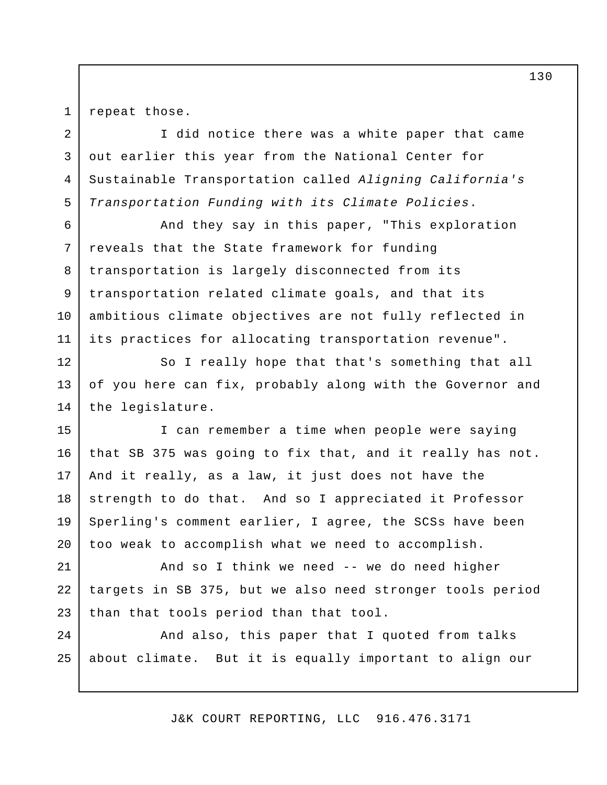1 2

7

8

9

10

repeat those.

I did notice there was a white paper that came out earlier this year from the National Center for Sustainable Transportation called *Aligning California's Transportation Funding with its Climate Policies*. 3 4 5

And they say in this paper, "This exploration reveals that the State framework for funding transportation is largely disconnected from its transportation related climate goals, and that its ambitious climate objectives are not fully reflected in its practices for allocating transportation revenue". 6 11

So I really hope that that's something that all of you here can fix, probably along with the Governor and the legislature. 12 13 14

I can remember a time when people were saying that SB 375 was going to fix that, and it really has not. And it really, as a law, it just does not have the strength to do that. And so I appreciated it Professor Sperling's comment earlier, I agree, the SCSs have been too weak to accomplish what we need to accomplish. 15 16 17 18 19 20

And so I think we need -- we do need higher targets in SB 375, but we also need stronger tools period than that tools period than that tool. 21 22 23

And also, this paper that I quoted from talks about climate. But it is equally important to align our  $2.4$ 25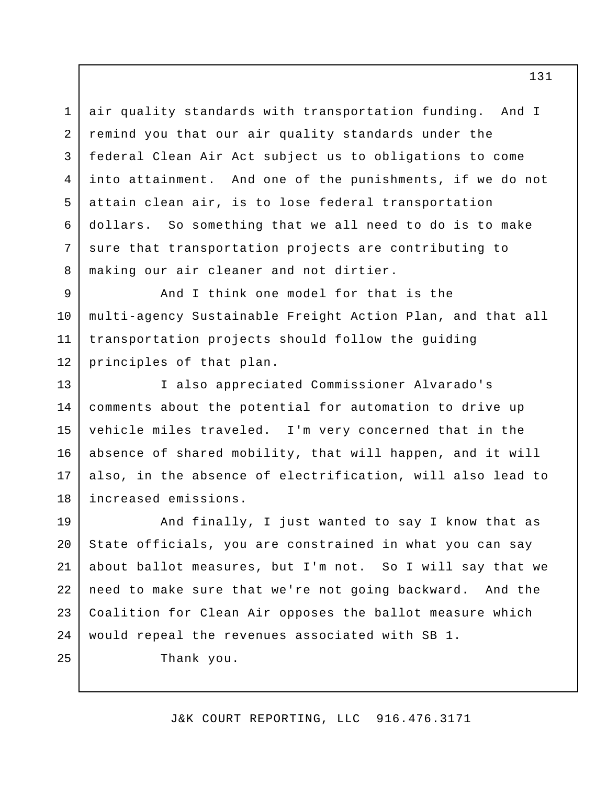air quality standards with transportation funding. And I remind you that our air quality standards under the federal Clean Air Act subject us to obligations to come into attainment. And one of the punishments, if we do not attain clean air, is to lose federal transportation dollars. So something that we all need to do is to make sure that transportation projects are contributing to making our air cleaner and not dirtier. 3 4 5

And I think one model for that is the multi-agency Sustainable Freight Action Plan, and that all transportation projects should follow the guiding principles of that plan. 9 10 11 12

I also appreciated Commissioner Alvarado's comments about the potential for automation to drive up vehicle miles traveled. I'm very concerned that in the absence of shared mobility, that will happen, and it will also, in the absence of electrification, will also lead to increased emissions. 13 14 15 16 17 18

And finally, I just wanted to say I know that as State officials, you are constrained in what you can say about ballot measures, but I'm not. So I will say that we need to make sure that we're not going backward. And the Coalition for Clean Air opposes the ballot measure which would repeal the revenues associated with SB 1. 19 20 21 22 23 24

Thank you.

1

2

6

7

8

25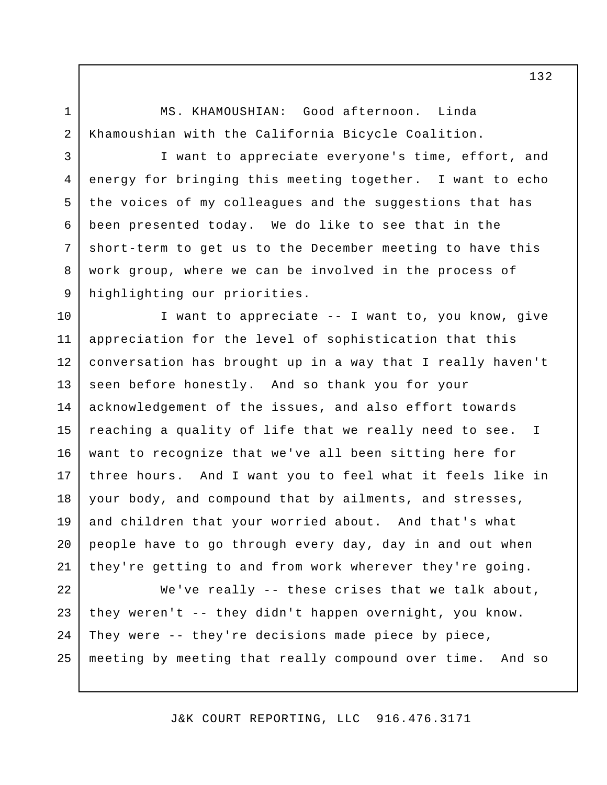MS. KHAMOUSHIAN: Good afternoon. Linda Khamoushian with the California Bicycle Coalition.

I want to appreciate everyone's time, effort, and energy for bringing this meeting together. I want to echo the voices of my colleagues and the suggestions that has been presented today. We do like to see that in the short-term to get us to the December meeting to have this work group, where we can be involved in the process of highlighting our priorities. 3 4 5 6

I want to appreciate -- I want to, you know, give appreciation for the level of sophistication that this conversation has brought up in a way that I really haven't seen before honestly. And so thank you for your acknowledgement of the issues, and also effort towards reaching a quality of life that we really need to see. I want to recognize that we've all been sitting here for three hours. And I want you to feel what it feels like in your body, and compound that by ailments, and stresses, and children that your worried about. And that's what people have to go through every day, day in and out when they're getting to and from work wherever they're going. 10 11 12 13 14 15 16 17 18 19 20 21

We've really -- these crises that we talk about, they weren't -- they didn't happen overnight, you know. They were -- they're decisions made piece by piece, meeting by meeting that really compound over time. And so 22 23 24 25

J&K COURT REPORTING, LLC 916.476.3171

2

7

8

9

1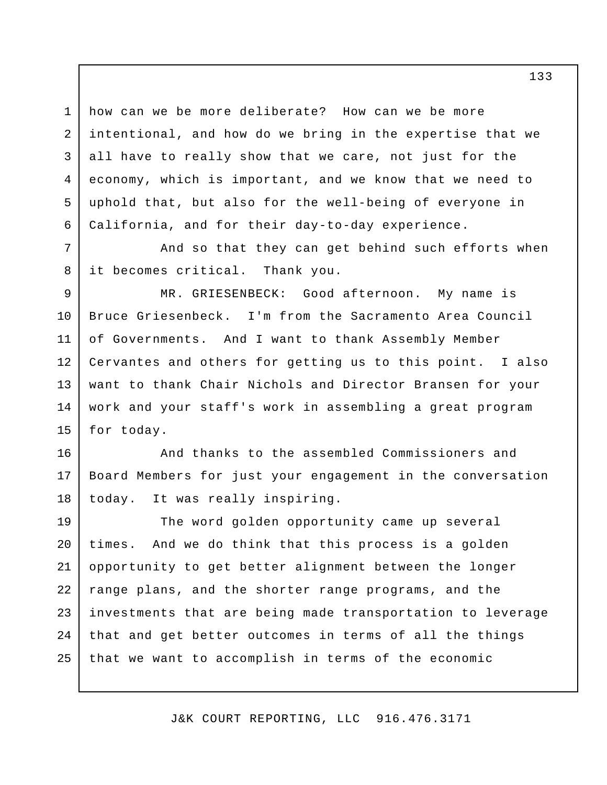how can we be more deliberate? How can we be more intentional, and how do we bring in the expertise that we all have to really show that we care, not just for the economy, which is important, and we know that we need to uphold that, but also for the well-being of everyone in California, and for their day-to-day experience.

1

2

3

4

5

6

7

8

And so that they can get behind such efforts when it becomes critical. Thank you.

MR. GRIESENBECK: Good afternoon. My name is Bruce Griesenbeck. I'm from the Sacramento Area Council of Governments. And I want to thank Assembly Member Cervantes and others for getting us to this point. I also want to thank Chair Nichols and Director Bransen for your work and your staff's work in assembling a great program for today. 9 10 11 12 13 14 15

And thanks to the assembled Commissioners and Board Members for just your engagement in the conversation today. It was really inspiring. 16 17 18

The word golden opportunity came up several times. And we do think that this process is a golden opportunity to get better alignment between the longer range plans, and the shorter range programs, and the investments that are being made transportation to leverage that and get better outcomes in terms of all the things that we want to accomplish in terms of the economic 19 20 21 22 23 24 25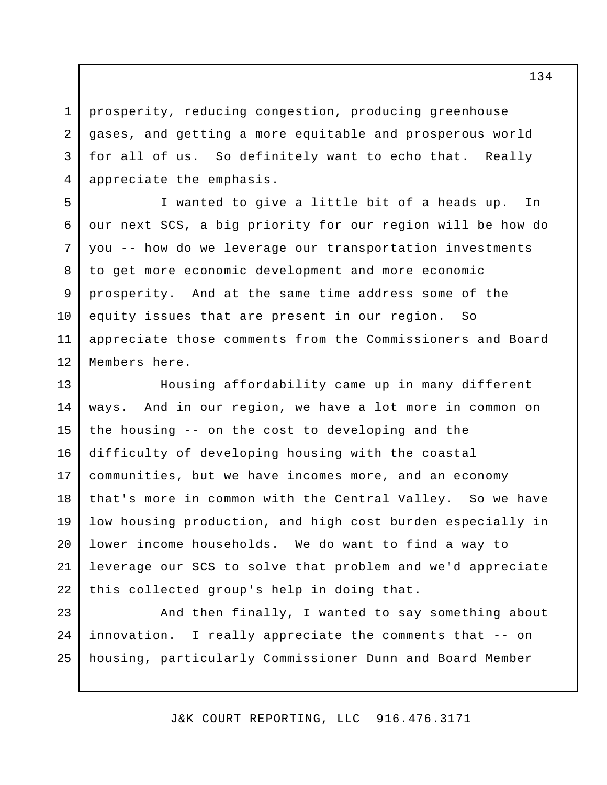prosperity, reducing congestion, producing greenhouse gases, and getting a more equitable and prosperous world for all of us. So definitely want to echo that. Really appreciate the emphasis. 3 4

1

2

I wanted to give a little bit of a heads up. In our next SCS, a big priority for our region will be how do you -- how do we leverage our transportation investments to get more economic development and more economic prosperity. And at the same time address some of the equity issues that are present in our region. So appreciate those comments from the Commissioners and Board Members here. 5 6 7 8 9 10 11 12

Housing affordability came up in many different ways. And in our region, we have a lot more in common on the housing -- on the cost to developing and the difficulty of developing housing with the coastal communities, but we have incomes more, and an economy that's more in common with the Central Valley. So we have low housing production, and high cost burden especially in lower income households. We do want to find a way to leverage our SCS to solve that problem and we'd appreciate this collected group's help in doing that. 13 14 15 16 17 18 19 20 21 22

And then finally, I wanted to say something about innovation. I really appreciate the comments that -- on housing, particularly Commissioner Dunn and Board Member 23 24 25

J&K COURT REPORTING, LLC 916.476.3171

134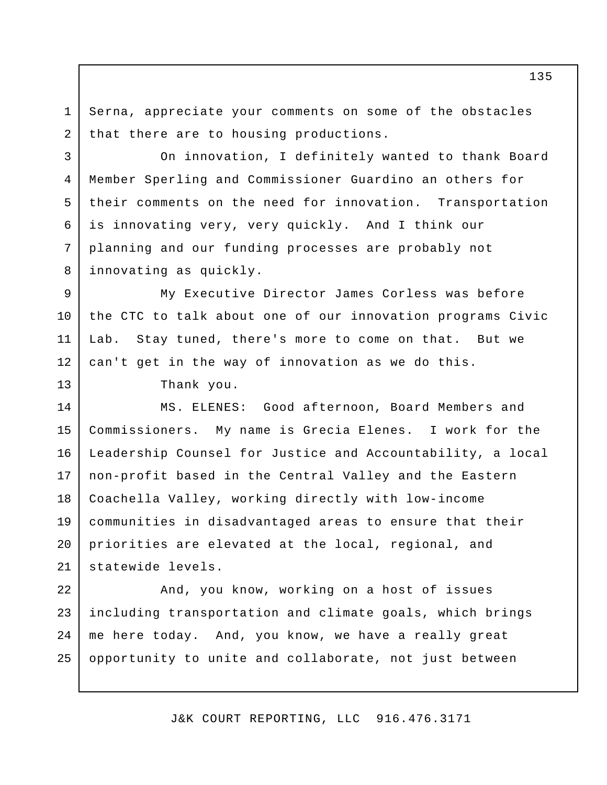Serna, appreciate your comments on some of the obstacles that there are to housing productions. 1 2

On innovation, I definitely wanted to thank Board Member Sperling and Commissioner Guardino an others for their comments on the need for innovation. Transportation is innovating very, very quickly. And I think our planning and our funding processes are probably not innovating as quickly.

My Executive Director James Corless was before the CTC to talk about one of our innovation programs Civic Lab. Stay tuned, there's more to come on that. But we can't get in the way of innovation as we do this. 9 10 11 12

Thank you.

3

4

5

6

7

8

13

MS. ELENES: Good afternoon, Board Members and Commissioners. My name is Grecia Elenes. I work for the Leadership Counsel for Justice and Accountability, a local non-profit based in the Central Valley and the Eastern Coachella Valley, working directly with low-income communities in disadvantaged areas to ensure that their priorities are elevated at the local, regional, and statewide levels. 14 15 16 17 18 19 20 21

And, you know, working on a host of issues including transportation and climate goals, which brings me here today. And, you know, we have a really great opportunity to unite and collaborate, not just between 22 23 24 25

J&K COURT REPORTING, LLC 916.476.3171

135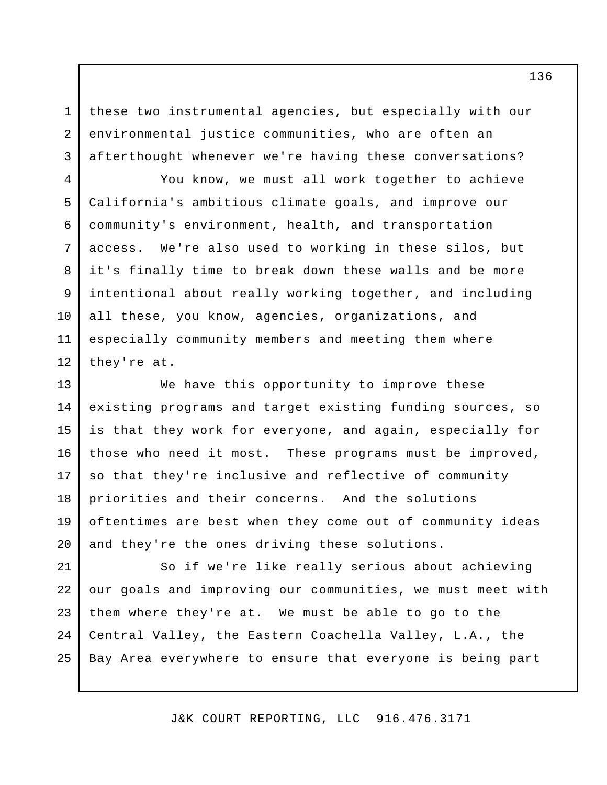these two instrumental agencies, but especially with our environmental justice communities, who are often an afterthought whenever we're having these conversations?

1

2

3

4

5

6

7

8

9

10

11

12

You know, we must all work together to achieve California's ambitious climate goals, and improve our community's environment, health, and transportation access. We're also used to working in these silos, but it's finally time to break down these walls and be more intentional about really working together, and including all these, you know, agencies, organizations, and especially community members and meeting them where they're at.

We have this opportunity to improve these existing programs and target existing funding sources, so is that they work for everyone, and again, especially for those who need it most. These programs must be improved, so that they're inclusive and reflective of community priorities and their concerns. And the solutions oftentimes are best when they come out of community ideas and they're the ones driving these solutions. 13 14 15 16 17 18 19 20

So if we're like really serious about achieving our goals and improving our communities, we must meet with them where they're at. We must be able to go to the Central Valley, the Eastern Coachella Valley, L.A., the Bay Area everywhere to ensure that everyone is being part 21 22 23 24 25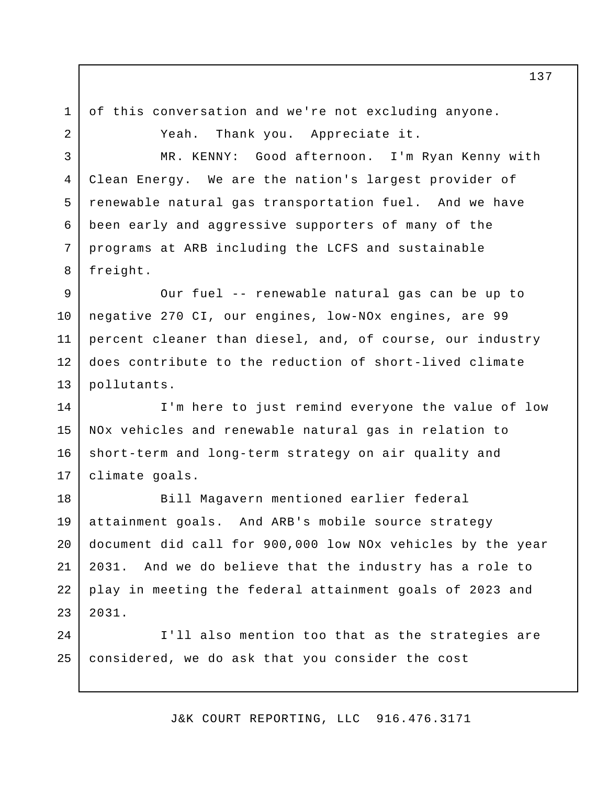2

1

3

4

5

6

7

8

of this conversation and we're not excluding anyone.

Yeah. Thank you. Appreciate it.

MR. KENNY: Good afternoon. I'm Ryan Kenny with Clean Energy. We are the nation's largest provider of renewable natural gas transportation fuel. And we have been early and aggressive supporters of many of the programs at ARB including the LCFS and sustainable freight.

Our fuel -- renewable natural gas can be up to negative 270 CI, our engines, low-NOx engines, are 99 percent cleaner than diesel, and, of course, our industry does contribute to the reduction of short-lived climate pollutants. 9 10 11 12 13

I'm here to just remind everyone the value of low NOx vehicles and renewable natural gas in relation to short-term and long-term strategy on air quality and climate goals. 14 15 16 17

Bill Magavern mentioned earlier federal attainment goals. And ARB's mobile source strategy document did call for 900,000 low NOx vehicles by the year 2031. And we do believe that the industry has a role to play in meeting the federal attainment goals of 2023 and 2031. 18 19 20 21 22 23

I'll also mention too that as the strategies are considered, we do ask that you consider the cost  $2.4$ 25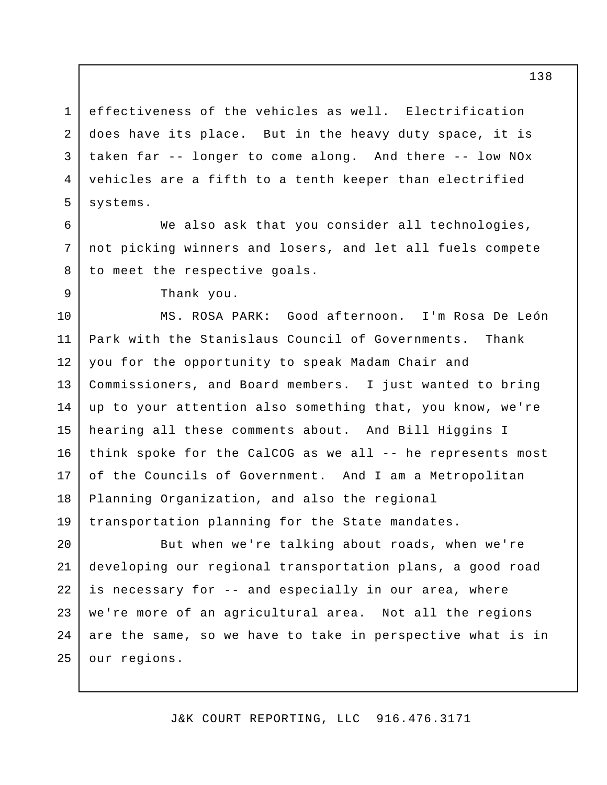effectiveness of the vehicles as well. Electrification does have its place. But in the heavy duty space, it is taken far -- longer to come along. And there -- low NOx vehicles are a fifth to a tenth keeper than electrified systems. 1 2 3 4 5

We also ask that you consider all technologies, not picking winners and losers, and let all fuels compete to meet the respective goals.

Thank you.

6

7

8

9

MS. ROSA PARK: Good afternoon. I'm Rosa De León Park with the Stanislaus Council of Governments. Thank you for the opportunity to speak Madam Chair and Commissioners, and Board members. I just wanted to bring up to your attention also something that, you know, we're hearing all these comments about. And Bill Higgins I think spoke for the CalCOG as we all -- he represents most of the Councils of Government. And I am a Metropolitan Planning Organization, and also the regional transportation planning for the State mandates. 10 11 12 13 14 15 16 17 18 19

But when we're talking about roads, when we're developing our regional transportation plans, a good road is necessary for -- and especially in our area, where we're more of an agricultural area. Not all the regions are the same, so we have to take in perspective what is in our regions. 20 21 22 23  $2.4$ 25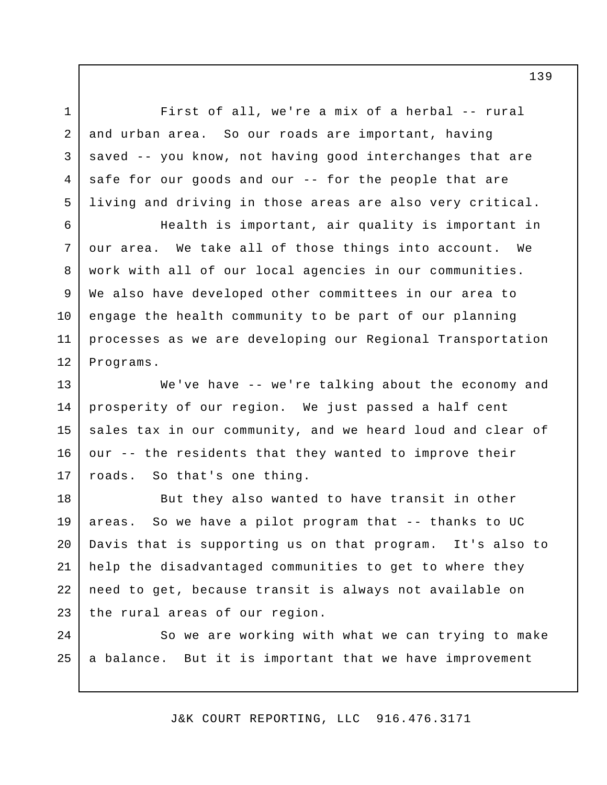First of all, we're a mix of a herbal -- rural and urban area. So our roads are important, having saved -- you know, not having good interchanges that are safe for our goods and our -- for the people that are living and driving in those areas are also very critical.

1

2

3

4

5

Health is important, air quality is important in our area. We take all of those things into account. We work with all of our local agencies in our communities. We also have developed other committees in our area to engage the health community to be part of our planning processes as we are developing our Regional Transportation Programs. 6 7 8 9 10 11 12

We've have -- we're talking about the economy and prosperity of our region. We just passed a half cent sales tax in our community, and we heard loud and clear of our -- the residents that they wanted to improve their roads. So that's one thing. 13 14 15 16 17

But they also wanted to have transit in other areas. So we have a pilot program that -- thanks to UC Davis that is supporting us on that program. It's also to help the disadvantaged communities to get to where they need to get, because transit is always not available on the rural areas of our region. 18 19 20 21 22 23

So we are working with what we can trying to make a balance. But it is important that we have improvement 24 25

J&K COURT REPORTING, LLC 916.476.3171

139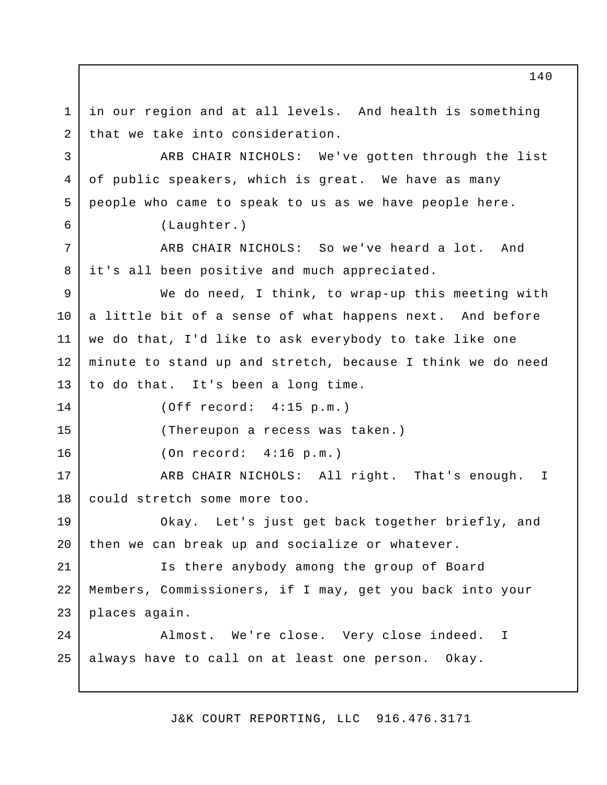in our region and at all levels. And health is something that we take into consideration. ARB CHAIR NICHOLS: We've gotten through the list of public speakers, which is great. We have as many people who came to speak to us as we have people here. (Laughter.) ARB CHAIR NICHOLS: So we've heard a lot. And it's all been positive and much appreciated. We do need, I think, to wrap-up this meeting with a little bit of a sense of what happens next. And before we do that, I'd like to ask everybody to take like one minute to stand up and stretch, because I think we do need to do that. It's been a long time. (Off record: 4:15 p.m.) (Thereupon a recess was taken.) (On record: 4:16 p.m.) ARB CHAIR NICHOLS: All right. That's enough. I could stretch some more too. Okay. Let's just get back together briefly, and then we can break up and socialize or whatever. Is there anybody among the group of Board Members, Commissioners, if I may, get you back into your places again. Almost. We're close. Very close indeed. I always have to call on at least one person. Okay. 1 2 3 4 5 6 7 8 9 10 11 12 13 14 15 16 17 18 19 20 21 22 23  $2.4$ 25

J&K COURT REPORTING, LLC 916.476.3171

140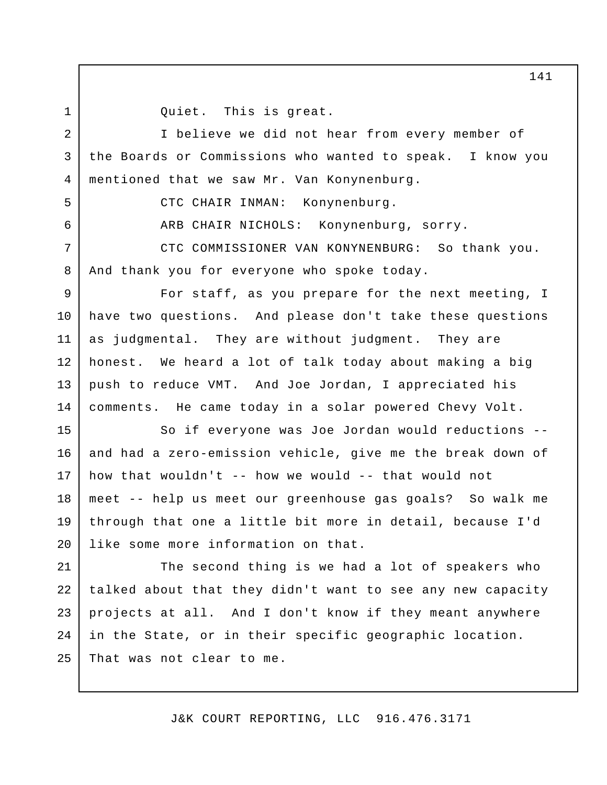1 2 Quiet. This is great.

I believe we did not hear from every member of the Boards or Commissions who wanted to speak. I know you mentioned that we saw Mr. Van Konynenburg. 3 4

5

6

CTC CHAIR INMAN: Konynenburg.

ARB CHAIR NICHOLS: Konynenburg, sorry.

CTC COMMISSIONER VAN KONYNENBURG: So thank you. And thank you for everyone who spoke today. 7 8

For staff, as you prepare for the next meeting, I have two questions. And please don't take these questions as judgmental. They are without judgment. They are honest. We heard a lot of talk today about making a big push to reduce VMT. And Joe Jordan, I appreciated his comments. He came today in a solar powered Chevy Volt. 9 10 11 12 13 14

So if everyone was Joe Jordan would reductions - and had a zero-emission vehicle, give me the break down of how that wouldn't  $-$  how we would  $-$  that would not meet -- help us meet our greenhouse gas goals? So walk me through that one a little bit more in detail, because I'd like some more information on that. 15 16 17 18 19 20

The second thing is we had a lot of speakers who talked about that they didn't want to see any new capacity projects at all. And I don't know if they meant anywhere in the State, or in their specific geographic location. That was not clear to me. 21 22 23 24 25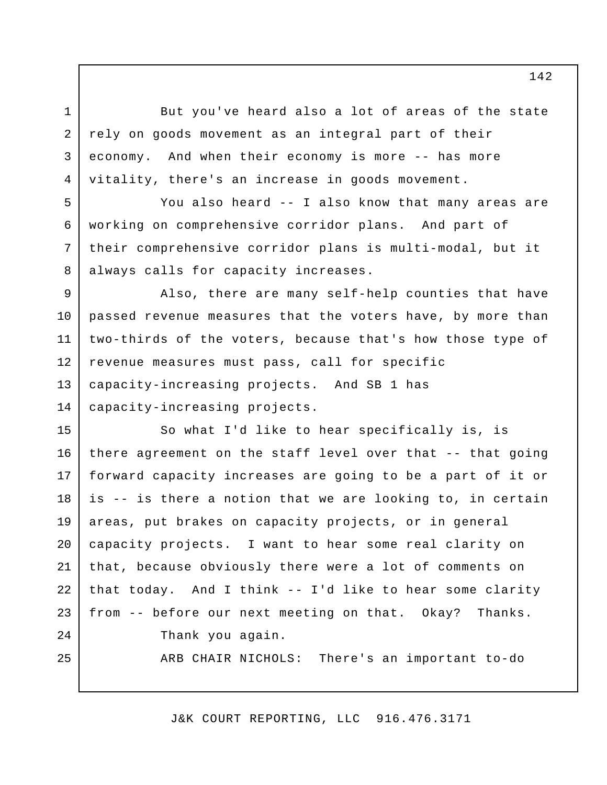But you've heard also a lot of areas of the state rely on goods movement as an integral part of their economy. And when their economy is more -- has more vitality, there's an increase in goods movement.

1

2

3

4

5

6

7

8

You also heard -- I also know that many areas are working on comprehensive corridor plans. And part of their comprehensive corridor plans is multi-modal, but it always calls for capacity increases.

Also, there are many self-help counties that have passed revenue measures that the voters have, by more than two-thirds of the voters, because that's how those type of revenue measures must pass, call for specific capacity-increasing projects. And SB 1 has capacity-increasing projects. 9 10 11 12 13 14

So what I'd like to hear specifically is, is there agreement on the staff level over that -- that going forward capacity increases are going to be a part of it or is -- is there a notion that we are looking to, in certain areas, put brakes on capacity projects, or in general capacity projects. I want to hear some real clarity on that, because obviously there were a lot of comments on that today. And I think -- I'd like to hear some clarity from -- before our next meeting on that. Okay? Thanks. Thank you again. ARB CHAIR NICHOLS: There's an important to-do 15 16 17 18 19 20 21 22 23  $2.4$ 25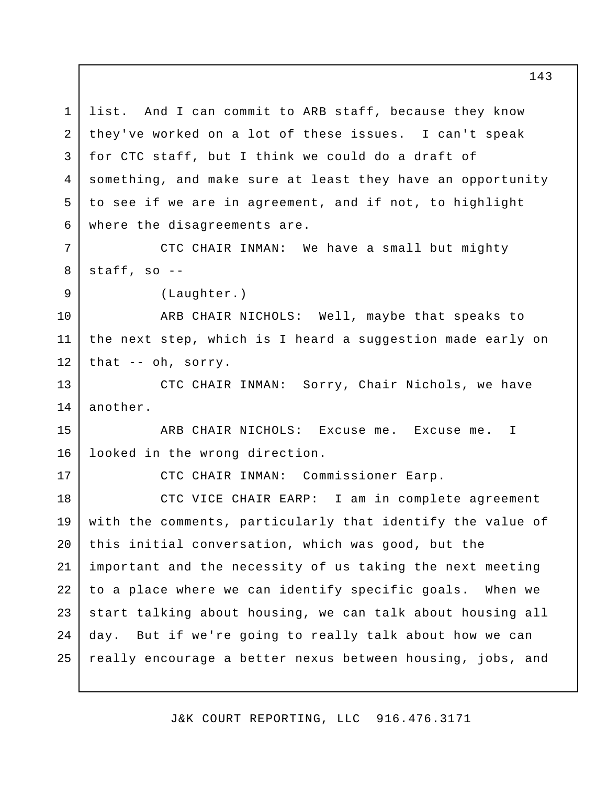list. And I can commit to ARB staff, because they know they've worked on a lot of these issues. I can't speak for CTC staff, but I think we could do a draft of something, and make sure at least they have an opportunity to see if we are in agreement, and if not, to highlight where the disagreements are. CTC CHAIR INMAN: We have a small but mighty staff, so -- (Laughter.) ARB CHAIR NICHOLS: Well, maybe that speaks to the next step, which is I heard a suggestion made early on that -- oh, sorry. CTC CHAIR INMAN: Sorry, Chair Nichols, we have another. ARB CHAIR NICHOLS: Excuse me. Excuse me. I looked in the wrong direction. CTC CHAIR INMAN: Commissioner Earp. CTC VICE CHAIR EARP: I am in complete agreement with the comments, particularly that identify the value of this initial conversation, which was good, but the important and the necessity of us taking the next meeting to a place where we can identify specific goals. When we start talking about housing, we can talk about housing all day. But if we're going to really talk about how we can really encourage a better nexus between housing, jobs, and 1 2 3 4 5 6 7 8 9 10 11 12 13 14 15 16 17 18 19 20 21 22 23 24 25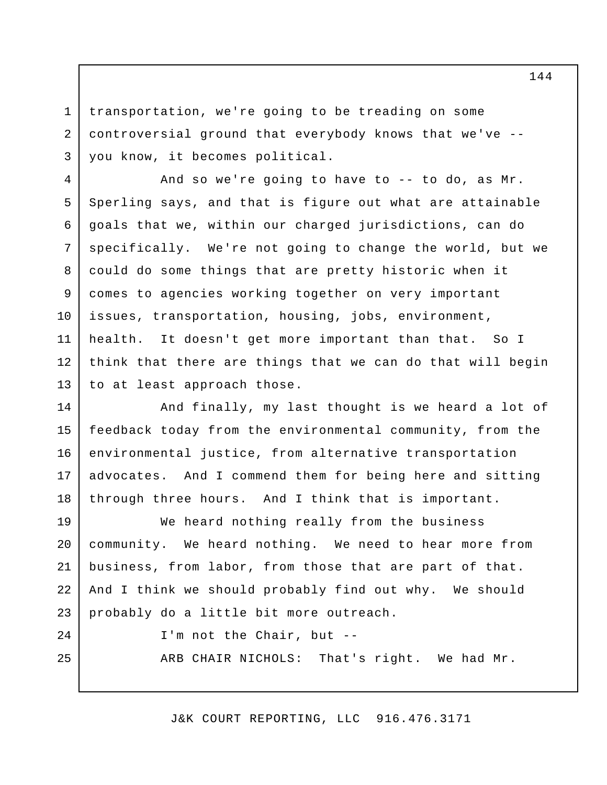transportation, we're going to be treading on some controversial ground that everybody knows that we've - you know, it becomes political. 1 2 3

And so we're going to have to -- to do, as Mr. Sperling says, and that is figure out what are attainable goals that we, within our charged jurisdictions, can do specifically. We're not going to change the world, but we could do some things that are pretty historic when it comes to agencies working together on very important issues, transportation, housing, jobs, environment, health. It doesn't get more important than that. So I think that there are things that we can do that will begin to at least approach those. 4 5 6 7 8 9 10 11 12 13

And finally, my last thought is we heard a lot of feedback today from the environmental community, from the environmental justice, from alternative transportation advocates. And I commend them for being here and sitting through three hours. And I think that is important. 14 15 16 17 18

We heard nothing really from the business community. We heard nothing. We need to hear more from business, from labor, from those that are part of that. And I think we should probably find out why. We should probably do a little bit more outreach. 19 20 21 22 23

 $2.4$ 

25

I'm not the Chair, but --

ARB CHAIR NICHOLS: That's right. We had Mr.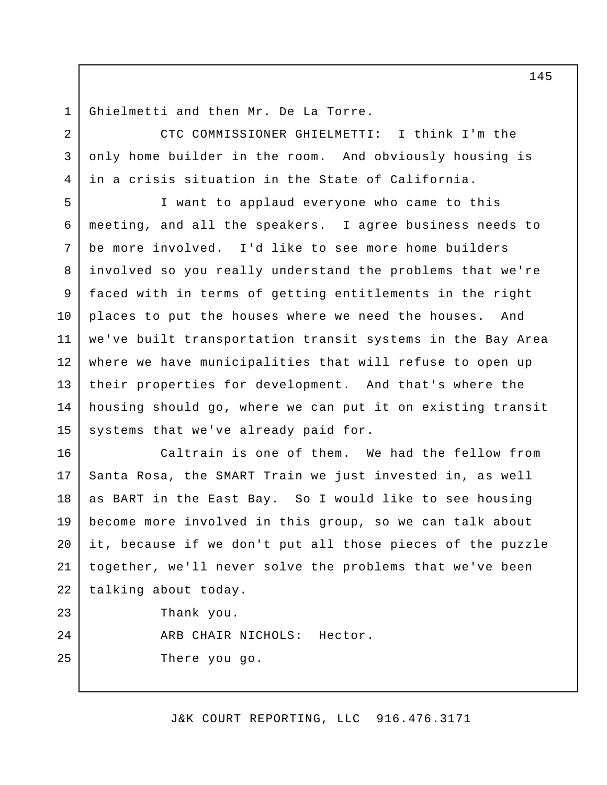Ghielmetti and then Mr. De La Torre. 1

2

3

4

25

CTC COMMISSIONER GHIELMETTI: I think I'm the only home builder in the room. And obviously housing is in a crisis situation in the State of California.

I want to applaud everyone who came to this meeting, and all the speakers. I agree business needs to be more involved. I'd like to see more home builders involved so you really understand the problems that we're faced with in terms of getting entitlements in the right places to put the houses where we need the houses. And we've built transportation transit systems in the Bay Area where we have municipalities that will refuse to open up their properties for development. And that's where the housing should go, where we can put it on existing transit systems that we've already paid for. 5 6 7 8 9 10 11 12 13 14 15

Caltrain is one of them. We had the fellow from Santa Rosa, the SMART Train we just invested in, as well as BART in the East Bay. So I would like to see housing become more involved in this group, so we can talk about it, because if we don't put all those pieces of the puzzle together, we'll never solve the problems that we've been talking about today. Thank you. ARB CHAIR NICHOLS: Hector. 16 17 18 19 20 21 22 23  $2.4$ 

There you go.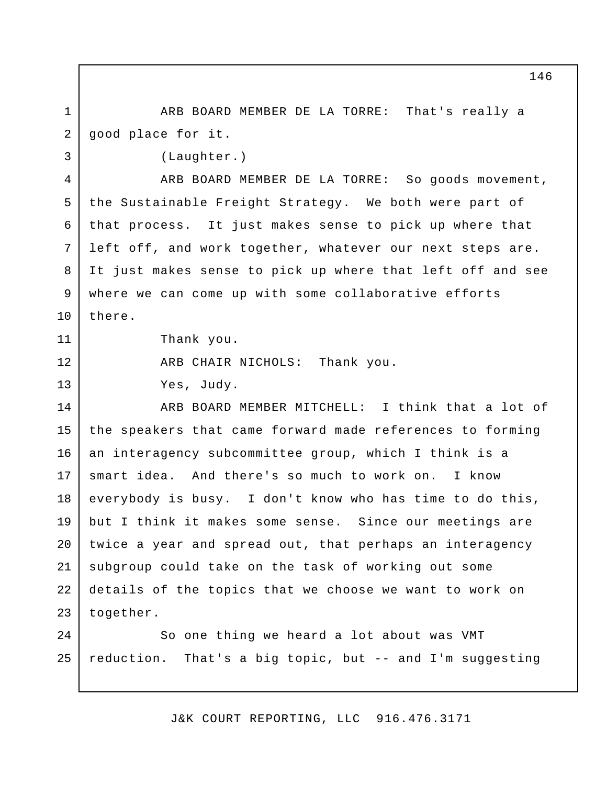ARB BOARD MEMBER DE LA TORRE: That's really a good place for it. 1 2

(Laughter.)

3

11

12

13

ARB BOARD MEMBER DE LA TORRE: So goods movement, the Sustainable Freight Strategy. We both were part of that process. It just makes sense to pick up where that left off, and work together, whatever our next steps are. It just makes sense to pick up where that left off and see where we can come up with some collaborative efforts there. 4 5 6 7 8 9 10

Thank you.

ARB CHAIR NICHOLS: Thank you.

Yes, Judy.

ARB BOARD MEMBER MITCHELL: I think that a lot of the speakers that came forward made references to forming an interagency subcommittee group, which I think is a smart idea. And there's so much to work on. I know everybody is busy. I don't know who has time to do this, but I think it makes some sense. Since our meetings are twice a year and spread out, that perhaps an interagency subgroup could take on the task of working out some details of the topics that we choose we want to work on together. 14 15 16 17 18 19 20 21 22 23

So one thing we heard a lot about was VMT reduction. That's a big topic, but -- and I'm suggesting 24 25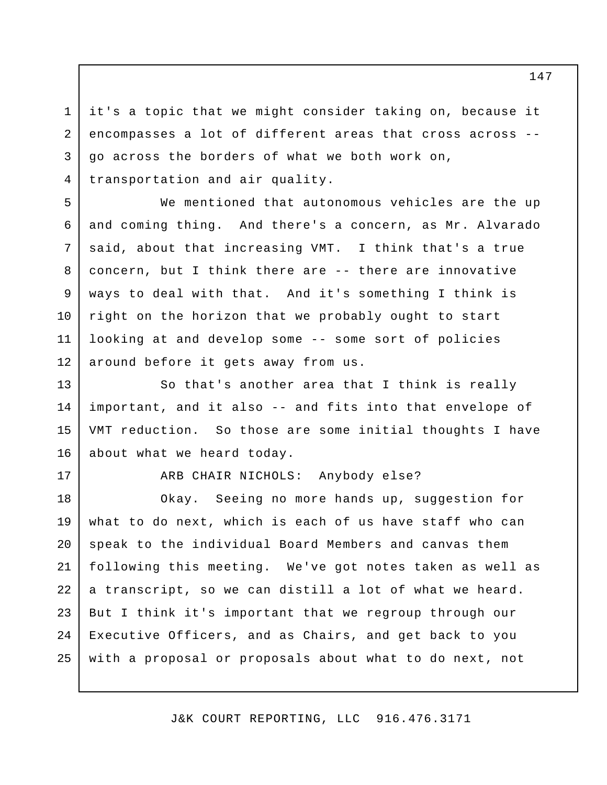it's a topic that we might consider taking on, because it encompasses a lot of different areas that cross across - go across the borders of what we both work on, transportation and air quality. 3 4

We mentioned that autonomous vehicles are the up and coming thing. And there's a concern, as Mr. Alvarado said, about that increasing VMT. I think that's a true concern, but I think there are -- there are innovative ways to deal with that. And it's something I think is right on the horizon that we probably ought to start looking at and develop some -- some sort of policies around before it gets away from us.

So that's another area that I think is really important, and it also -- and fits into that envelope of VMT reduction. So those are some initial thoughts I have about what we heard today. 13 14 15 16

17

1

2

5

6

7

8

9

10

11

12

ARB CHAIR NICHOLS: Anybody else?

Okay. Seeing no more hands up, suggestion for what to do next, which is each of us have staff who can speak to the individual Board Members and canvas them following this meeting. We've got notes taken as well as a transcript, so we can distill a lot of what we heard. But I think it's important that we regroup through our Executive Officers, and as Chairs, and get back to you with a proposal or proposals about what to do next, not 18 19 20 21 22 23 24 25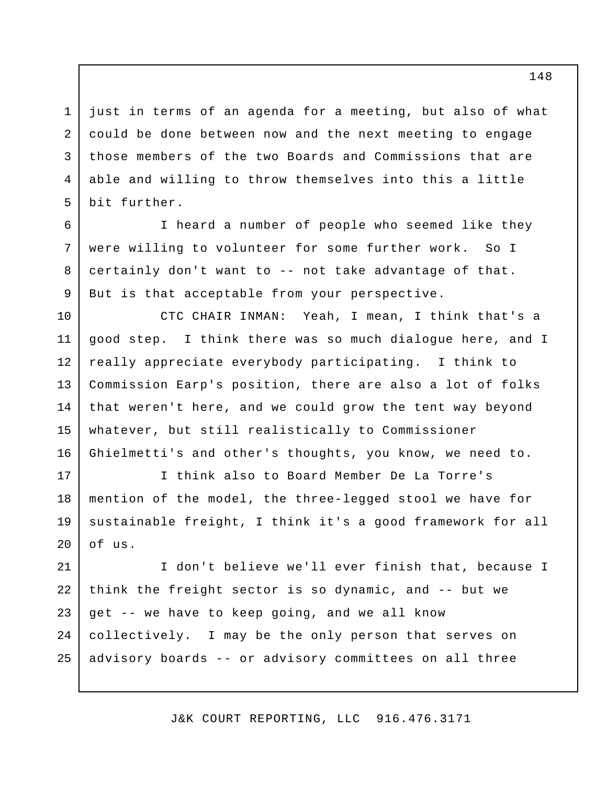just in terms of an agenda for a meeting, but also of what could be done between now and the next meeting to engage those members of the two Boards and Commissions that are able and willing to throw themselves into this a little bit further. 1 2 3 4 5

I heard a number of people who seemed like they were willing to volunteer for some further work. So I certainly don't want to -- not take advantage of that. But is that acceptable from your perspective.

6

7

8

9

CTC CHAIR INMAN: Yeah, I mean, I think that's a good step. I think there was so much dialogue here, and I really appreciate everybody participating. I think to Commission Earp's position, there are also a lot of folks that weren't here, and we could grow the tent way beyond whatever, but still realistically to Commissioner Ghielmetti's and other's thoughts, you know, we need to. 10 11 12 13 14 15 16

I think also to Board Member De La Torre's mention of the model, the three-legged stool we have for sustainable freight, I think it's a good framework for all of us. 17 18 19 20

I don't believe we'll ever finish that, because I think the freight sector is so dynamic, and -- but we get -- we have to keep going, and we all know collectively. I may be the only person that serves on advisory boards -- or advisory committees on all three 21 22 23 24 25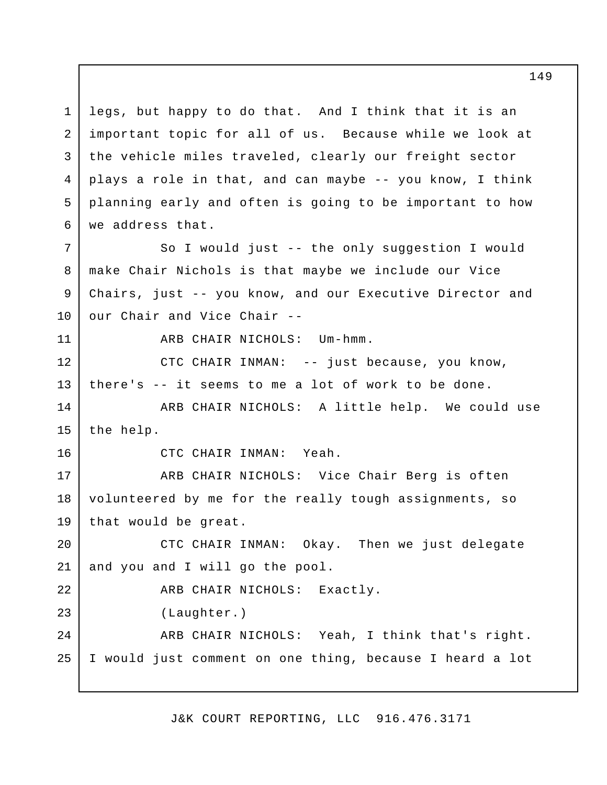legs, but happy to do that. And I think that it is an important topic for all of us. Because while we look at the vehicle miles traveled, clearly our freight sector plays a role in that, and can maybe -- you know, I think planning early and often is going to be important to how we address that. 1 2 3 4 5 6

So I would just -- the only suggestion I would make Chair Nichols is that maybe we include our Vice Chairs, just -- you know, and our Executive Director and our Chair and Vice Chair -- 7 8 9 10

11

ARB CHAIR NICHOLS: Um-hmm.

CTC CHAIR INMAN: -- just because, you know, there's -- it seems to me a lot of work to be done. 12 13

ARB CHAIR NICHOLS: A little help. We could use the help. 14 15

16

CTC CHAIR INMAN: Yeah.

ARB CHAIR NICHOLS: Vice Chair Berg is often volunteered by me for the really tough assignments, so that would be great. 17 18 19

CTC CHAIR INMAN: Okay. Then we just delegate and you and I will go the pool. 20 21

ARB CHAIR NICHOLS: Exactly. (Laughter.) ARB CHAIR NICHOLS: Yeah, I think that's right. 22 23 24

I would just comment on one thing, because I heard a lot 25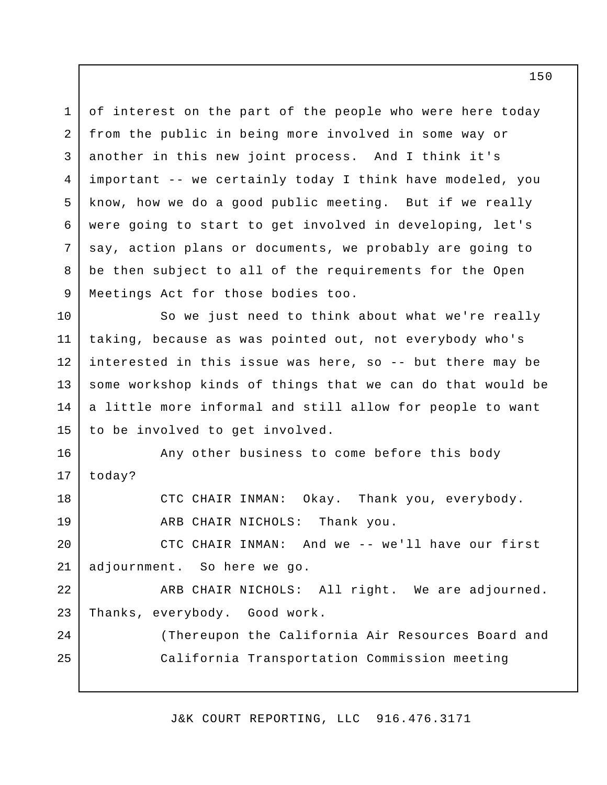of interest on the part of the people who were here today from the public in being more involved in some way or another in this new joint process. And I think it's important -- we certainly today I think have modeled, you know, how we do a good public meeting. But if we really were going to start to get involved in developing, let's say, action plans or documents, we probably are going to be then subject to all of the requirements for the Open Meetings Act for those bodies too. 1 2 3 4 5 6 7 8 9

So we just need to think about what we're really taking, because as was pointed out, not everybody who's interested in this issue was here, so -- but there may be some workshop kinds of things that we can do that would be a little more informal and still allow for people to want to be involved to get involved. 10 11 12 13 14 15

Any other business to come before this body today? CTC CHAIR INMAN: Okay. Thank you, everybody. 16 17 18

ARB CHAIR NICHOLS: Thank you.

19

 $2.4$ 

25

CTC CHAIR INMAN: And we -- we'll have our first adjournment. So here we go. 20 21

ARB CHAIR NICHOLS: All right. We are adjourned. Thanks, everybody. Good work. 22 23

(Thereupon the California Air Resources Board and California Transportation Commission meeting